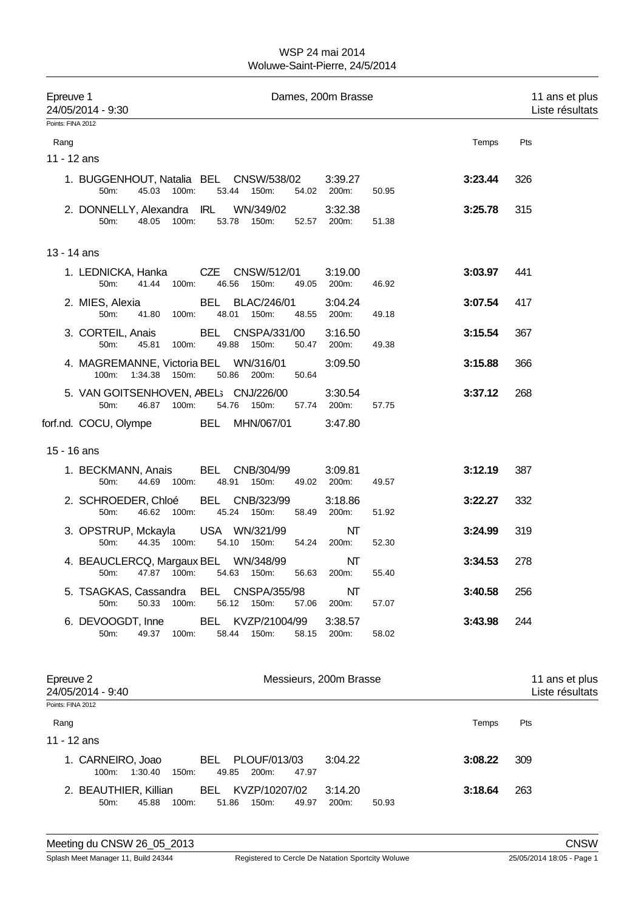| Epreuve 1                      | 24/05/2014 - 9:30                  |                     |            |                                                          |             | Dames, 200m Brasse     |       |         | 11 ans et plus<br>Liste résultats |
|--------------------------------|------------------------------------|---------------------|------------|----------------------------------------------------------|-------------|------------------------|-------|---------|-----------------------------------|
| Points: FINA 2012              |                                    |                     |            |                                                          |             |                        |       |         |                                   |
| Rang                           |                                    |                     |            |                                                          |             |                        |       | Temps   | Pts                               |
| 11 - 12 ans                    |                                    |                     |            |                                                          |             |                        |       |         |                                   |
|                                | 50m:                               | 45.03 100m:         |            | 1. BUGGENHOUT, Natalia BEL CNSW/538/02<br>53.44 150m:    |             | 3:39.27<br>54.02 200m: | 50.95 | 3:23.44 | 326                               |
|                                | 50m:                               | 48.05 100m:         |            | 2. DONNELLY, Alexandra IRL WN/349/02<br>53.78 150m:      |             | 3:32.38<br>52.57 200m: | 51.38 | 3:25.78 | 315                               |
| 13 - 14 ans                    |                                    |                     |            |                                                          |             |                        |       |         |                                   |
|                                | 1. LEDNICKA, Hanka<br>50m:         | 100m:<br>41.44      |            | 46.56<br>150m:                                           | 49.05       | 3:19.00<br>200m:       | 46.92 | 3:03.97 | 441                               |
|                                | 2. MIES, Alexia<br>50m:            | 41.80<br>100m:      |            | <b>BEL BLAC/246/01</b><br>48.01<br>150m:                 | 48.55       | 3:04.24<br>200m:       | 49.18 | 3:07.54 | 417                               |
|                                | 3. CORTEIL, Anais<br>50m:          | 45.81<br>100m:      |            | BEL CNSPA/331/00<br>49.88 150m:                          | 50.47       | 3:16.50<br>200m:       | 49.38 | 3:15.54 | 367                               |
|                                |                                    | 100m: 1:34.38 150m: |            | 4. MAGREMANNE, Victoria BEL WN/316/01<br>50.86<br>200m:  | 50.64       | 3:09.50                |       | 3:15.88 | 366                               |
|                                | 50m:                               | 46.87<br>100m:      |            | 5. VAN GOITSENHOVEN, ABEL; CNJ/226/00<br>54.76 150m:     |             | 3:30.54<br>57.74 200m: | 57.75 | 3:37.12 | 268                               |
|                                | forf.nd. COCU, Olympe              |                     |            | <b>BEL MHN/067/01</b>                                    |             | 3:47.80                |       |         |                                   |
| 15 - 16 ans                    |                                    |                     |            |                                                          |             |                        |       |         |                                   |
|                                | 1. BECKMANN, Anais<br>50m:         | 44.69 100m:         |            | BEL CNB/304/99<br>48.91<br>150m:                         |             | 3:09.81<br>49.02 200m: | 49.57 | 3:12.19 | 387                               |
|                                | 2. SCHROEDER, Chloé<br>50m:        | 46.62 100m:         |            | BEL CNB/323/99<br>45.24 150m:                            | 58.49       | 3:18.86<br>200m:       | 51.92 | 3:22.27 | 332                               |
|                                | 50m:                               | 44.35 100m:         |            | 3. OPSTRUP, Mckayla USA WN/321/99<br>150m:<br>54.10      | 54.24       | NΤ<br>200m:            | 52.30 | 3:24.99 | 319                               |
|                                | 50m:                               | 100m:<br>47.87      | 54.63      | 4. BEAUCLERCQ, Margaux BEL WN/348/99<br>150m:            | 56.63 200m: | NT                     | 55.40 | 3:34.53 | 278                               |
|                                | 50m:                               | 50.33<br>100m:      |            | 5. TSAGKAS, Cassandra BEL CNSPA/355/98<br>56.12<br>150m: | 57.06       | NΤ<br>200m:            | 57.07 | 3:40.58 | 256                               |
|                                | 6. DEVOOGDT, Inne<br>50m:          | 49.37<br>100m:      | BEL.       | KVZP/21004/99<br>58.44<br>150m:                          | 58.15       | 3:38.57<br>200m:       | 58.02 | 3:43.98 | 244                               |
| Epreuve 2<br>Points: FINA 2012 | 24/05/2014 - 9:40                  |                     |            |                                                          |             | Messieurs, 200m Brasse |       |         | 11 ans et plus<br>Liste résultats |
| Rang                           |                                    |                     |            |                                                          |             |                        |       | Temps   | Pts                               |
| 11 - 12 ans                    |                                    |                     |            |                                                          |             |                        |       |         |                                   |
|                                | 1. CARNEIRO, Joao<br>100m: 1:30.40 | 150m:               | BEL        | PLOUF/013/03<br>49.85<br>200m:                           | 47.97       | 3:04.22                |       | 3:08.22 | 309                               |
|                                | 2. BEAUTHIER, Killian<br>50m:      | 100m:<br>45.88      | <b>BEL</b> | KVZP/10207/02<br>51.86<br>150m:                          | 49.97       | 3:14.20<br>200m:       | 50.93 | 3:18.64 | 263                               |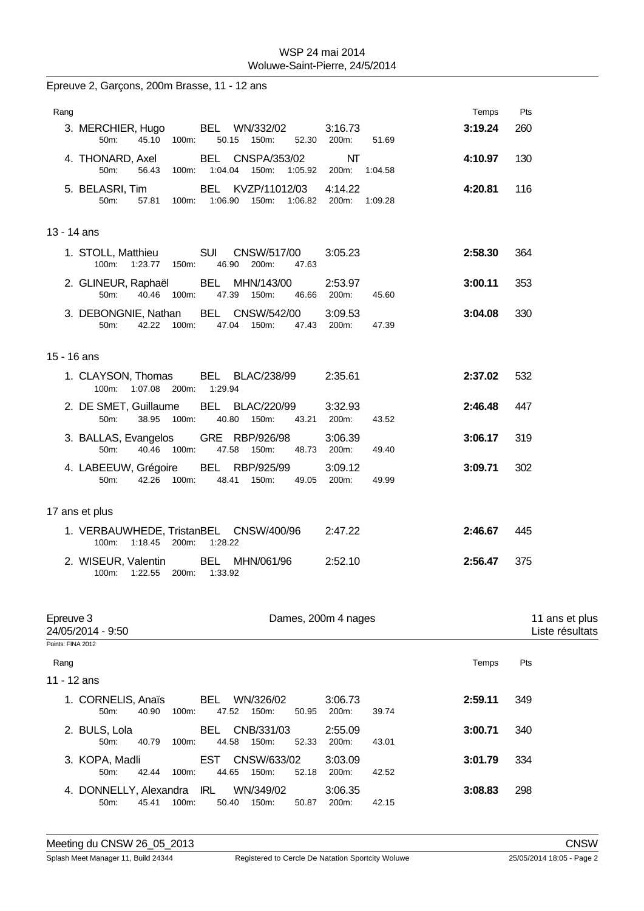| Epreuve 2, Garçons, 200m Brasse, 11 - 12 ans                                                                          |                                   |
|-----------------------------------------------------------------------------------------------------------------------|-----------------------------------|
| Rang                                                                                                                  | Temps<br>Pts                      |
| BEL WN/332/02<br>3:16.73<br>3. MERCHIER, Hugo<br>45.10 100m:<br>50.15 150m:<br>200m:<br>50m:<br>52.30                 | 3:19.24<br>260<br>51.69           |
| BEL CNSPA/353/02<br>NT<br>4. THONARD, Axel<br>50m:<br>56.43<br>100m: 1:04.04 150m:<br>1:05.92 200m:                   | 130<br>4:10.97<br>1:04.58         |
| 5. BELASRI, Tim<br>BEL KVZP/11012/03<br>4:14.22<br>50m:<br>57.81<br>1:06.90 150m:<br>1:06.82<br>200m:<br>100m:        | 4:20.81<br>116<br>1:09.28         |
| 13 - 14 ans                                                                                                           |                                   |
| 1. STOLL, Matthieu<br><b>SUI</b><br>CNSW/517/00<br>3:05.23<br>100m: 1:23.77 150m:<br>46.90<br>200m:<br>47.63          | 2:58.30<br>364                    |
| 2. GLINEUR, Raphaël<br>BEL MHN/143/00<br>2:53.97<br>40.46 100m:<br>47.39 150m:<br>200m:<br>50 <sub>m</sub> :<br>46.66 | 3:00.11<br>353<br>45.60           |
| BEL CNSW/542/00<br>3:09.53<br>3. DEBONGNIE, Nathan<br>200m:<br>42.22 100m:<br>47.04 150m:<br>47.43<br>50m:            | 330<br>3:04.08<br>47.39           |
| 15 - 16 ans                                                                                                           |                                   |
| BEL BLAC/238/99<br>2:35.61<br>1. CLAYSON, Thomas<br>1:07.08 200m: 1:29.94<br>100m:                                    | 2:37.02<br>532                    |
| 2. DE SMET, Guillaume<br>BEL BLAC/220/99<br>3:32.93<br>50m:<br>38.95 100m:<br>40.80 150m:<br>43.21<br>200m:           | 2:46.48<br>447<br>43.52           |
| GRE RBP/926/98<br>3:06.39<br>3. BALLAS, Evangelos<br>40.46<br>100m:<br>47.58<br>150m:<br>48.73 200m:<br>50m:          | 3:06.17<br>319<br>49.40           |
| 3:09.12<br>4. LABEEUW, Grégoire<br>BEL RBP/925/99<br>42.26 100m:<br>48.41 150m:<br>50m:<br>49.05<br>200m:             | 3:09.71<br>302<br>49.99           |
| 17 ans et plus                                                                                                        |                                   |
| 1. VERBAUWHEDE, TristanBEL CNSW/400/96<br>2:47.22<br>100m: 1:18.45 200m: 1:28.22                                      | 2:46.67<br>445                    |
| 2:52.10<br>2. WISEUR, Valentin<br>BEL MHN/061/96<br>100m: 1:22.55 200m: 1:33.92                                       | 2:56.47<br>375                    |
| Epreuve 3<br>Dames, 200m 4 nages<br>$\frac{1}{2}$                                                                     | 11 ans et plus<br>しきしょう しきょう おしょう |

| 24/05/2014 - 9:50                                                                                         | Liste résultats                                          |
|-----------------------------------------------------------------------------------------------------------|----------------------------------------------------------|
| Points: FINA 2012                                                                                         |                                                          |
| Rang                                                                                                      | Pts<br>Temps                                             |
| 11 - 12 ans                                                                                               |                                                          |
| BEL<br>1. CORNELIS, Anaïs<br>WN/326/02<br>100m:<br>47.52<br>150m:<br>50m:<br>40.90<br>50.95               | 2:59.11<br>349<br>3:06.73<br>200m:<br>39.74              |
| BEL<br>CNB/331/03<br>2. BULS, Lola<br>40.79<br>44.58<br>150m:<br>52.33<br>100m:<br>50m:                   | 3:00.71<br>2:55.09<br>340<br>200 <sub>m</sub> :<br>43.01 |
| EST<br>3. KOPA, Madli<br>CNSW/633/02<br>42.44<br>44.65<br>150m:<br>52.18<br>100m:<br>$50m$ :              | 3:01.79<br>334<br>3:03.09<br>200 <sub>m</sub> :<br>42.52 |
| 4. DONNELLY, Alexandra IRL<br>WN/349/02<br>45.41<br>100m:<br>150m:<br>50 <sub>m</sub> :<br>50.40<br>50.87 | 3:08.83<br>298<br>3:06.35<br>200 <sub>m</sub> :<br>42.15 |
|                                                                                                           |                                                          |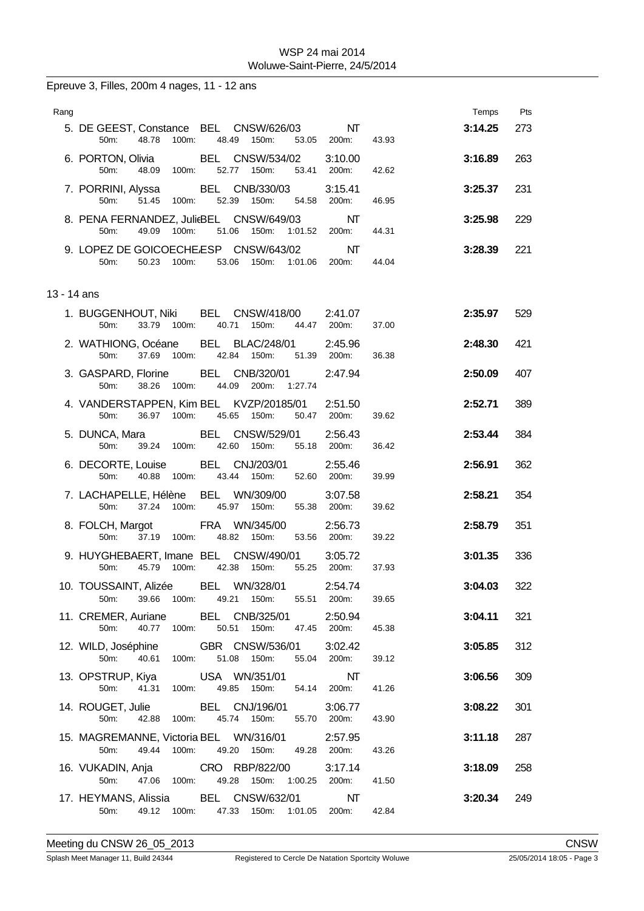Epreuve 3, Filles, 200m 4 nages, 11 - 12 ans

| Rang        |                                                                                                        |                        |       | Temps   | Pts |
|-------------|--------------------------------------------------------------------------------------------------------|------------------------|-------|---------|-----|
|             | 5. DE GEEST, Constance BEL CNSW/626/03<br>48.78<br>100m:<br>48.49 150m:<br>50 <sub>m</sub> :<br>53.05  | NT<br>200m:            | 43.93 | 3:14.25 | 273 |
|             | <b>BEL CNSW/534/02</b><br>6. PORTON, Olivia<br>48.09<br>50m:<br>100m:<br>52.77<br>150m:                | 3:10.00<br>53.41 200m: | 42.62 | 3:16.89 | 263 |
|             | 7. PORRINI, Alyssa BEL CNB/330/03<br>51.45 100m:<br>52.39 150m:<br>50 <sub>m</sub> :<br>54.58          | 3:15.41<br>200m:       | 46.95 | 3:25.37 | 231 |
|             | 8. PENA FERNANDEZ, JulieBEL CNSW/649/03<br>49.09 100m:<br>51.06 150m:<br>50m:                          | NΤ<br>1:01.52 200m:    | 44.31 | 3:25.98 | 229 |
|             | 9. LOPEZ DE GOICOECHE.ESP CNSW/643/02<br>50.23 100m:<br>53.06 150m: 1:01.06 200m:<br>50m:              | NT                     | 44.04 | 3:28.39 | 221 |
| 13 - 14 ans |                                                                                                        |                        |       |         |     |
|             | 1. BUGGENHOUT, Niki BEL CNSW/418/00 2:41.07<br>33.79 100m:<br>40.71<br>150m:<br>44.47 200m:<br>$50m$ : |                        | 37.00 | 2:35.97 | 529 |
|             | 2. WATHIONG, Océane BEL BLAC/248/01<br>37.69 100m: 42.84 150m:<br>50m                                  | 2:45.96<br>51.39 200m: | 36.38 | 2:48.30 | 421 |
|             | 3. GASPARD, Florine BEL CNB/320/01<br>100m:<br>44.09<br>200m:<br>50 <sub>m</sub> :<br>38.26<br>1:27.74 | 2:47.94                |       | 2:50.09 | 407 |
|             | 4. VANDERSTAPPEN, Kim BEL KVZP/20185/01<br>36.97 100m:<br>45.65 150m:<br>50 <sub>m</sub> :             | 2:51.50<br>50.47 200m: | 39.62 | 2:52.71 | 389 |
|             | 5. DUNCA, Mara BEL CNSW/529/01<br>39.24 100m: 42.60 150m:<br>50m:                                      | 2:56.43<br>55.18 200m: | 36.42 | 2:53.44 | 384 |
|             | 6. DECORTE, Louise BEL CNJ/203/01<br>100m:<br>43.44<br>50 <sub>m</sub> :<br>40.88<br>150m:             | 2:55.46<br>52.60 200m: | 39.99 | 2:56.91 | 362 |
|             | 7. LACHAPELLE, Hélène<br>BEL WN/309/00<br>37.24 100m:<br>45.97<br>50 <sub>m</sub> :<br>150m:           | 3:07.58<br>55.38 200m: | 39.62 | 2:58.21 | 354 |
|             | 8. FOLCH, Margot FRA WN/345/00<br>50 <sub>m</sub> :<br>37.19 100m: 48.82 150m:                         | 2:56.73<br>53.56 200m: | 39.22 | 2:58.79 | 351 |
|             | 9. HUYGHEBAERT, Imane BEL CNSW/490/01<br>42.38 150m:<br>50 <sub>m</sub> :<br>45.79 100m:               | 3:05.72<br>55.25 200m: | 37.93 | 3:01.35 | 336 |
|             | 10. TOUSSAINT, Alizée BEL WN/328/01<br>150m:<br>50m:<br>39.66<br>100m:<br>49.21<br>55.51               | 2:54.74<br>200m:       | 39.65 | 3:04.03 | 322 |
|             | 11. CREMER, Auriane<br>BEL CNB/325/01<br>100m:<br>50m:<br>40.77<br>50.51<br>150m:                      | 2:50.94<br>47.45 200m: | 45.38 | 3:04.11 | 321 |
|             | 12. WILD, Joséphine<br>50m:<br>40.61<br>100m:<br>51.08 150m:                                           | 3:02.42<br>55.04 200m: | 39.12 | 3:05.85 | 312 |
|             | 13. OPSTRUP, Kiya USA WN/351/01<br>41.31 100m:<br>49.85 150m:<br>54.14<br>50m:                         | NT<br>200m:            | 41.26 | 3:06.56 | 309 |
|             | 14. ROUGET, Julie BEL CNJ/196/01<br>45.74 150m:<br>50m:<br>42.88 100m:                                 | 3:06.77<br>55.70 200m: | 43.90 | 3:08.22 | 301 |
|             | 15. MAGREMANNE, Victoria BEL WN/316/01<br>49.44 100m: 49.20 150m: 49.28 200m:<br>50m:                  | 2:57.95                | 43.26 | 3:11.18 | 287 |
|             | 16. VUKADIN, Anja CRO RBP/822/00<br>50m:<br>47.06 100m:<br>49.28 150m:<br>1:00.25                      | 3:17.14<br>200m:       | 41.50 | 3:18.09 | 258 |
|             | 17. HEYMANS, Alissia BEL CNSW/632/01<br>50m: 49.12 100m: 47.33 150m: 1:01.05 200m:                     | NT                     | 42.84 | 3:20.34 | 249 |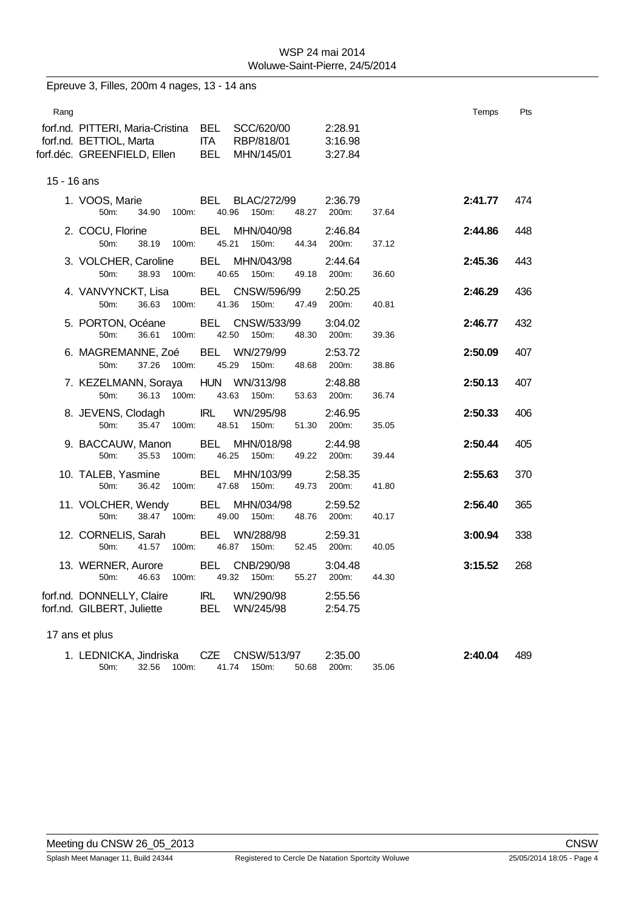| Epreuve 3, Filles, 200m 4 nages, 13 - 14 ans |                                                                                            |                                                              |                                 |         |     |  |
|----------------------------------------------|--------------------------------------------------------------------------------------------|--------------------------------------------------------------|---------------------------------|---------|-----|--|
| Rang                                         | forf.nd. PITTERI, Maria-Cristina<br>forf.nd. BETTIOL, Marta<br>forf.déc. GREENFIELD, Ellen | BEL SCC/620/00<br>ITA RBP/818/01<br>BEL MHN/145/01           | 2:28.91<br>3:16.98<br>3:27.84   | Temps   | Pts |  |
| 15 - 16 ans                                  |                                                                                            |                                                              |                                 |         |     |  |
|                                              | 1. VOOS, Marie<br>34.90<br>100m:<br>50m:                                                   | BEL<br>BLAC/272/99<br>40.96<br>150m:<br>48.27                | 2:36.79<br>200m:<br>37.64       | 2:41.77 | 474 |  |
|                                              | 2. COCU, Florine<br>50m:<br>38.19<br>100m:                                                 | BEL<br>MHN/040/98<br>45.21<br>150m:<br>44.34                 | 2:46.84<br>200m:<br>37.12       | 2:44.86 | 448 |  |
|                                              | 3. VOLCHER, Caroline<br>38.93 100m:<br>50m:                                                | BEL<br>MHN/043/98<br>40.65<br>150m:<br>49.18                 | 2:44.64<br>200m:<br>36.60       | 2:45.36 | 443 |  |
|                                              | 4. VANVYNCKT, Lisa<br>36.63<br>100m:<br>50m:                                               | BEL CNSW/596/99<br>41.36<br>150m:<br>47.49                   | 2:50.25<br>200m:<br>40.81       | 2:46.29 | 436 |  |
|                                              | 5. PORTON, Océane<br>36.61<br>50m:<br>100m:                                                | BEL CNSW/533/99<br>42.50<br>150m:<br>48.30                   | 3:04.02<br>200m:<br>39.36       | 2:46.77 | 432 |  |
|                                              | 6. MAGREMANNE, Zoé BEL WN/279/99<br>37.26 100m:<br>50m:                                    | 45.29<br>150m:                                               | 2:53.72<br>48.68 200m:<br>38.86 | 2:50.09 | 407 |  |
|                                              | 7. KEZELMANN, Soraya HUN WN/313/98<br>36.13<br>100m:<br>50m:                               | 43.63<br>150m:<br>53.63                                      | 2:48.88<br>36.74<br>200m:       | 2:50.13 | 407 |  |
|                                              | 8. JEVENS, Clodagh<br>50m:<br>35.47 100m:                                                  | <b>IRL</b><br>WN/295/98<br>48.51<br>150m:                    | 2:46.95<br>51.30 200m:<br>35.05 | 2:50.33 | 406 |  |
|                                              | 9. BACCAUW, Manon<br>35.53<br>100m:<br>50m:                                                | MHN/018/98<br>BEL<br>46.25<br>150m:<br>49.22                 | 2:44.98<br>200m:<br>39.44       | 2:50.44 | 405 |  |
|                                              | 10. TALEB, Yasmine<br>50m:<br>36.42<br>100m:                                               | BEL<br>MHN/103/99<br>47.68<br>150m:<br>49.73                 | 2:58.35<br>200m:<br>41.80       | 2:55.63 | 370 |  |
|                                              | 11. VOLCHER, Wendy<br>50m:<br>38.47 100m:                                                  | BEL<br>MHN/034/98<br>49.00<br>150m:                          | 2:59.52<br>48.76 200m:<br>40.17 | 2:56.40 | 365 |  |
|                                              | 12. CORNELIS, Sarah<br>41.57<br>100m:<br>50m:                                              | WN/288/98<br>BEL<br>46.87<br>150m:                           | 2:59.31<br>52.45 200m:<br>40.05 | 3:00.94 | 338 |  |
|                                              | 46.63<br>50m:<br>100m:                                                                     | 13. WERNER, Aurore BEL CNB/290/98<br>49.32<br>150m:<br>55.27 | 3:04.48<br>44.30<br>200m:       | 3:15.52 | 268 |  |
|                                              | forf.nd. DONNELLY, Claire<br>forf.nd. GILBERT, Juliette                                    | <b>IRL</b><br>WN/290/98<br>BEL<br>WN/245/98                  | 2:55.56<br>2:54.75              |         |     |  |
|                                              | 17 ans et plus                                                                             |                                                              |                                 |         |     |  |
|                                              | 1. LEDNICKA, Jindriska<br>32.56<br>100m:<br>50m:                                           | CZE<br>CNSW/513/97<br>41.74<br>150m:<br>50.68                | 2:35.00<br>200m:<br>35.06       | 2:40.04 | 489 |  |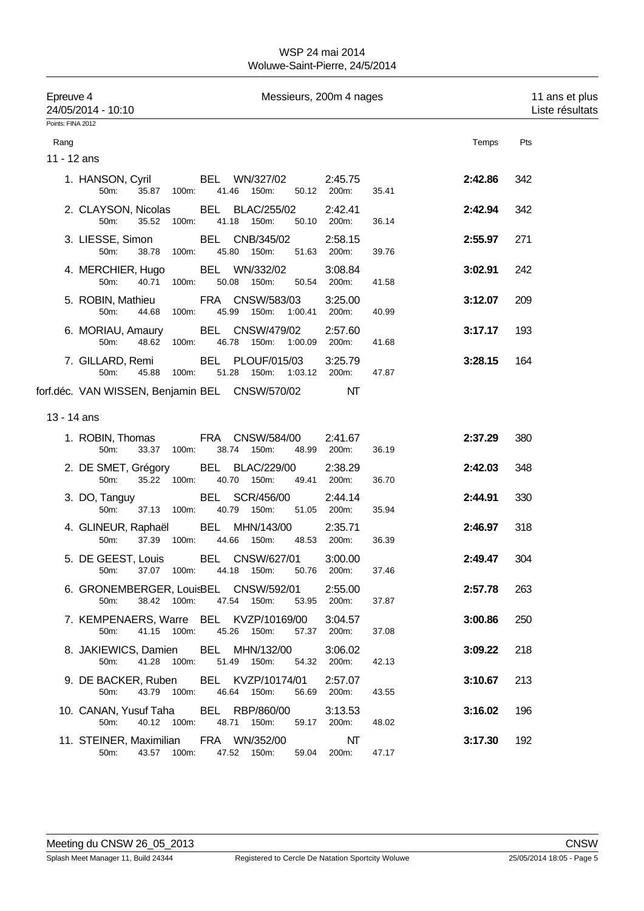| Epreuve 4         | 24/05/2014 - 10:10                             |             |                                 | Messieurs, 200m 4 nages                  |                        |       |         | 11 ans et plus<br>Liste résultats |
|-------------------|------------------------------------------------|-------------|---------------------------------|------------------------------------------|------------------------|-------|---------|-----------------------------------|
| Points: FINA 2012 |                                                |             |                                 |                                          |                        |       |         |                                   |
| Rang              |                                                |             |                                 |                                          |                        |       | Temps   | Pts                               |
| 11 - 12 ans       |                                                |             |                                 |                                          |                        |       |         |                                   |
|                   | 1. HANSON, Cyril<br>50m:                       | 35.87 100m: | 41.46 150m:                     | BEL WN/327/02                            | 2:45.75<br>50.12 200m: | 35.41 | 2:42.86 | 342                               |
|                   | 2. CLAYSON, Nicolas<br>50m:                    | 35.52 100m: | <b>BEL BLAC/255/02</b><br>41.18 | 150m:<br>50.10                           | 2:42.41<br>200m:       | 36.14 | 2:42.94 | 342                               |
|                   | 3. LIESSE, Simon<br>50m:                       | 38.78 100m: | BEL CNB/345/02<br>45.80 150m:   |                                          | 2:58.15<br>51.63 200m: | 39.76 | 2:55.97 | 271                               |
|                   | 4. MERCHIER, Hugo<br>40.71<br>50m:             | 100m:       | BEL WN/332/02<br>50.08 150m:    | 50.54                                    | 3:08.84<br>200m:       | 41.58 | 3:02.91 | 242                               |
|                   | 5. ROBIN, Mathieu<br>50m:<br>44.68             | 100m:       | FRA CNSW/583/03<br>45.99        | 150m: 1:00.41                            | 3:25.00<br>200m:       | 40.99 | 3:12.07 | 209                               |
|                   | 6. MORIAU, Amaury<br>50m:                      | 48.62 100m: | BEL CNSW/479/02                 | 46.78 150m: 1:00.09 200m:                | 2:57.60                | 41.68 | 3:17.17 | 193                               |
|                   | 7. GILLARD, Remi<br>50m:<br>45.88              | 100m:       | 51.28 150m:                     | BEL PLOUF/015/03<br>1:03.12              | 3:25.79<br>200m:       | 47.87 | 3:28.15 | 164                               |
|                   | forf.déc. VAN WISSEN, Benjamin BEL CNSW/570/02 |             |                                 |                                          | NT                     |       |         |                                   |
| 13 - 14 ans       |                                                |             |                                 |                                          |                        |       |         |                                   |
|                   | 1. ROBIN, Thomas<br>50m:<br>33.37              | 100m:       | 38.74                           | FRA CNSW/584/00<br>150m:<br>48.99        | 2:41.67<br>200m:       | 36.19 | 2:37.29 | 380                               |
|                   | 2. DE SMET, Grégory<br>50m:                    | 35.22 100m: | BEL BLAC/229/00<br>40.70 150m:  | 49.41                                    | 2:38.29<br>200m:       | 36.70 | 2:42.03 | 348                               |
|                   | 3. DO, Tanguy<br>50m:                          | 37.13 100m: | BEL SCR/456/00<br>40.79 150m:   |                                          | 2:44.14<br>51.05 200m: | 35.94 | 2:44.91 | 330                               |
|                   | 4. GLINEUR, Raphaël BEL MHN/143/00<br>50m:     | 37.39 100m: | 44.66                           | 150m:<br>48.53                           | 2:35.71<br>200m:       | 36.39 | 2:46.97 | 318                               |
|                   | 5. DE GEEST, Louis BEL CNSW/627/01             |             |                                 | 50m: 37.07 100m: 44.18 150m: 50.76 200m: | 3:00.00                | 37.46 | 2:49.47 | 304                               |
|                   | 6. GRONEMBERGER, LouisBEL CNSW/592/01<br>50m:  | 38.42 100m: | 47.54 150m:                     |                                          | 2:55.00<br>53.95 200m: | 37.87 | 2:57.78 | 263                               |
|                   | 7. KEMPENAERS, Warre BEL KVZP/10169/00<br>50m: | 41.15 100m: | 45.26 150m:                     |                                          | 3:04.57<br>57.37 200m: | 37.08 | 3:00.86 | 250                               |
|                   | 8. JAKIEWICS, Damien<br>50m:                   | 41.28 100m: | BEL MHN/132/00<br>51.49 150m:   |                                          | 3:06.02<br>54.32 200m: | 42.13 | 3:09.22 | 218                               |
|                   | 9. DE BACKER, Ruben<br>50m:                    | 43.79 100m: | 46.64 150m:                     | BEL KVZP/10174/01<br>56.69               | 2:57.07<br>200m:       | 43.55 | 3:10.67 | 213                               |
|                   | 10. CANAN, Yusuf Taha<br>50m:                  | 40.12 100m: | BEL RBP/860/00<br>48.71 150m:   |                                          | 3:13.53<br>59.17 200m: | 48.02 | 3:16.02 | 196                               |
|                   | 11. STEINER, Maximilian FRA WN/352/00<br>50m:  | 43.57 100m: | 47.52 150m:                     |                                          | NT<br>59.04 200m:      | 47.17 | 3:17.30 | 192                               |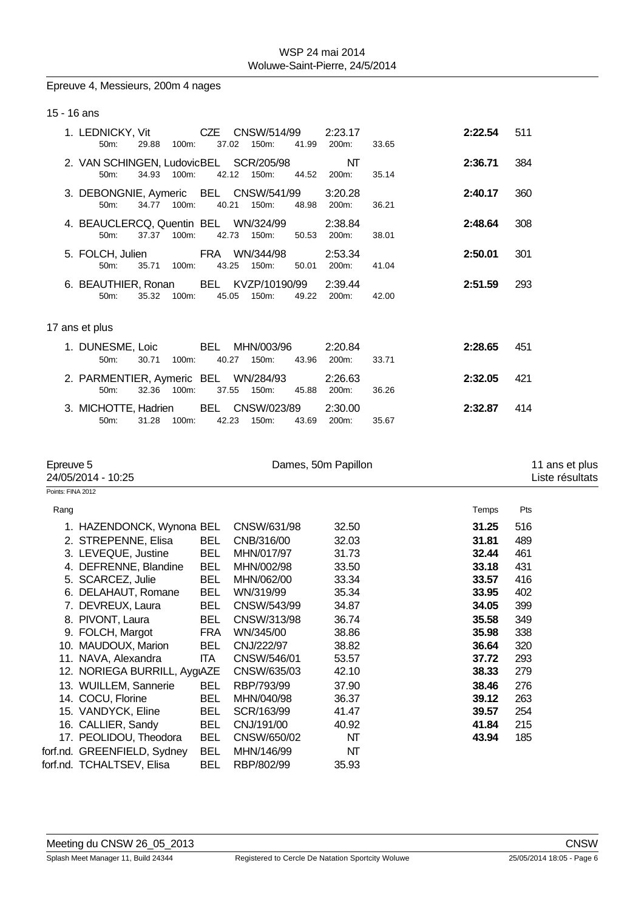# Epreuve 4, Messieurs, 200m 4 nages

### 15 - 16 ans

|  | 1. LEDNICKY, Vit<br>$50m$ :                      | 29.88       | 100m:    | CZE<br>37.02 | CNSW/514/99<br>150m:       | 41.99 | 2:23.17<br>200m:       | 33.65 | 2:22.54 | 511 |
|--|--------------------------------------------------|-------------|----------|--------------|----------------------------|-------|------------------------|-------|---------|-----|
|  | 2. VAN SCHINGEN, LudovicBEL SCR/205/98<br>50m:   | 34.93       | $100m$ : |              | 42.12<br>150m:             | 44.52 | NT<br>200m:            | 35.14 | 2:36.71 | 384 |
|  | 3. DEBONGNIE, Aymeric BEL CNSW/541/99<br>$50m$ : | 34.77       | 100m     | 40.21        | 150m:                      | 48.98 | 3:20.28<br>200m:       | 36.21 | 2:40.17 | 360 |
|  | 4. BEAUCLERCQ, Quentin BEL WN/324/99<br>$50m$ :  | 37.37 100m: |          |              | 42.73 150m:                |       | 2:38.84<br>50.53 200m: | 38.01 | 2:48.64 | 308 |
|  | 5. FOLCH, Julien<br>$50m$ :                      | 35.71 100m: |          | 43.25        | FRA WN/344/98<br>150m:     | 50.01 | 2:53.34<br>200m:       | 41.04 | 2:50.01 | 301 |
|  | 6. BEAUTHIER, Ronan<br>$50m$ :                   | 35.32       | 100m:    | 45.05        | BEL KVZP/10190/99<br>150m: | 49.22 | 2:39.44<br>200m:       | 42.00 | 2:51.59 | 293 |
|  | 17 ans et plus                                   |             |          |              |                            |       |                        |       |         |     |
|  | 1. DUNESME, Loic<br>$50m$ :                      | 30.71       | $100m$ : | BEL<br>40.27 | MHN/003/96<br>150m:        | 43.96 | 2:20.84<br>200m:       | 33.71 | 2:28.65 | 451 |
|  | 2. PARMENTIER, Aymeric BEL WN/284/93<br>$50m$ :  | 32.36       | 100m:    | 37.55        | 150m:                      | 45.88 | 2:26.63<br>200m:       | 36.26 | 2:32.05 | 421 |
|  | 3. MICHOTTE, Hadrien<br>50m:                     | 31.28       | 100m:    | 42.23        | BEL CNSW/023/89<br>150m:   | 43.69 | 2:30.00<br>200m:       | 35.67 | 2:32.87 | 414 |

| Epreuve 5<br>24/05/2014 - 10:25 |                              |            | Dames, 50m Papillon |       | 11 ans et plus<br>Liste résultats |     |
|---------------------------------|------------------------------|------------|---------------------|-------|-----------------------------------|-----|
| Points: FINA 2012               |                              |            |                     |       |                                   |     |
| Rang                            |                              |            |                     |       | Temps                             | Pts |
|                                 | 1. HAZENDONCK, Wynona BEL    |            | CNSW/631/98         | 32.50 | 31.25                             | 516 |
|                                 | 2. STREPENNE, Elisa          | <b>BEL</b> | CNB/316/00          | 32.03 | 31.81                             | 489 |
|                                 | 3. LEVEQUE, Justine          | <b>BEL</b> | MHN/017/97          | 31.73 | 32.44                             | 461 |
|                                 | 4. DEFRENNE, Blandine        | <b>BEL</b> | MHN/002/98          | 33.50 | 33.18                             | 431 |
|                                 | 5. SCARCEZ, Julie            | <b>BEL</b> | MHN/062/00          | 33.34 | 33.57                             | 416 |
|                                 | 6. DELAHAUT, Romane          | <b>BEL</b> | WN/319/99           | 35.34 | 33.95                             | 402 |
|                                 | 7. DEVREUX, Laura            | <b>BEL</b> | CNSW/543/99         | 34.87 | 34.05                             | 399 |
|                                 | 8. PIVONT, Laura             | <b>BEL</b> | CNSW/313/98         | 36.74 | 35.58                             | 349 |
|                                 | 9. FOLCH, Margot             | FRA        | WN/345/00           | 38.86 | 35.98                             | 338 |
|                                 | 10. MAUDOUX, Marion          | BEL        | CNJ/222/97          | 38.82 | 36.64                             | 320 |
|                                 | 11. NAVA, Alexandra          | ITA I      | CNSW/546/01         | 53.57 | 37.72                             | 293 |
|                                 | 12. NORIEGA BURRILL, AygıAZE |            | CNSW/635/03         | 42.10 | 38.33                             | 279 |
|                                 | 13. WUILLEM, Sannerie        | <b>BEL</b> | RBP/793/99          | 37.90 | 38.46                             | 276 |
|                                 | 14. COCU, Florine            | <b>BEL</b> | MHN/040/98          | 36.37 | 39.12                             | 263 |
|                                 | 15. VANDYCK, Eline           | <b>BEL</b> | SCR/163/99          | 41.47 | 39.57                             | 254 |
|                                 | 16. CALLIER, Sandy           | <b>BEL</b> | CNJ/191/00          | 40.92 | 41.84                             | 215 |
|                                 | 17. PEOLIDOU, Theodora       | <b>BEL</b> | CNSW/650/02         | NΤ    | 43.94                             | 185 |
|                                 | forf.nd. GREENFIELD, Sydney  | <b>BEL</b> | MHN/146/99          | NΤ    |                                   |     |
|                                 | forf.nd. TCHALTSEV, Elisa    | BEL        | RBP/802/99          | 35.93 |                                   |     |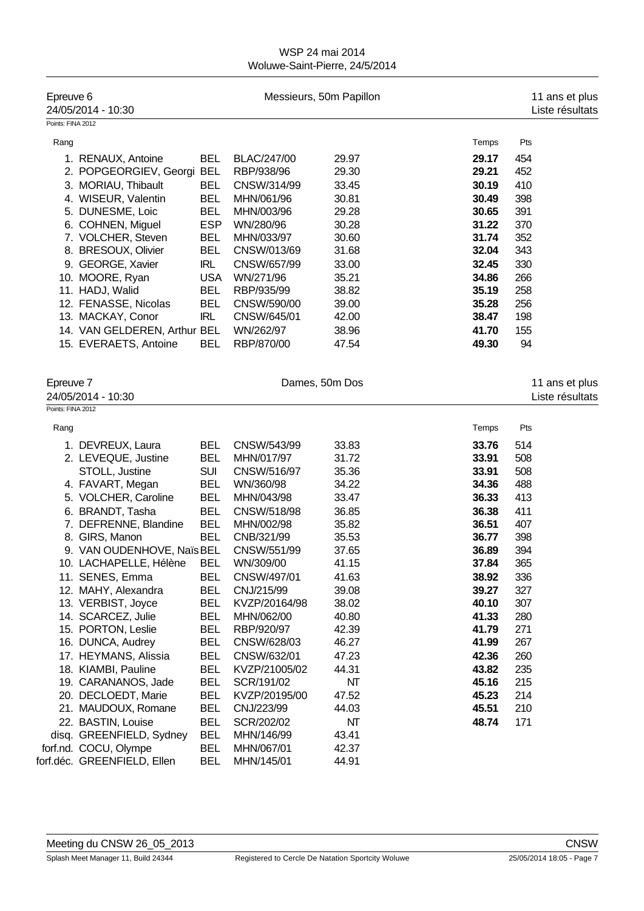| Epreuve 6         | 24/05/2014 - 10:30           |            |                    | Messieurs, 50m Papillon |       | 11 ans et plus<br>Liste résultats |
|-------------------|------------------------------|------------|--------------------|-------------------------|-------|-----------------------------------|
| Points: FINA 2012 |                              |            |                    |                         |       |                                   |
| Rang              |                              |            |                    |                         | Temps | Pts                               |
|                   | 1. RENAUX, Antoine           | <b>BEL</b> | <b>BLAC/247/00</b> | 29.97                   | 29.17 | 454                               |
|                   | 2. POPGEORGIEV, Georgi       | <b>BEL</b> | RBP/938/96         | 29.30                   | 29.21 | 452                               |
|                   | 3. MORIAU, Thibault          | <b>BEL</b> | CNSW/314/99        | 33.45                   | 30.19 | 410                               |
|                   | 4. WISEUR, Valentin          | <b>BEL</b> | MHN/061/96         | 30.81                   | 30.49 | 398                               |
|                   | 5. DUNESME, Loic             | <b>BEL</b> | MHN/003/96         | 29.28                   | 30.65 | 391                               |
|                   | 6. COHNEN, Miguel            | <b>ESP</b> | WN/280/96          | 30.28                   | 31.22 | 370                               |
|                   | 7. VOLCHER, Steven           | <b>BEL</b> | MHN/033/97         | 30.60                   | 31.74 | 352                               |
|                   | 8. BRESOUX, Olivier          | <b>BEL</b> | CNSW/013/69        | 31.68                   | 32.04 | 343                               |
|                   | 9. GEORGE, Xavier            | <b>IRL</b> | CNSW/657/99        | 33.00                   | 32.45 | 330                               |
|                   | 10. MOORE, Ryan              | <b>USA</b> | WN/271/96          | 35.21                   | 34.86 | 266                               |
|                   | 11. HADJ, Walid              | <b>BEL</b> | RBP/935/99         | 38.82                   | 35.19 | 258                               |
|                   | 12. FENASSE, Nicolas         | <b>BEL</b> | CNSW/590/00        | 39.00                   | 35.28 | 256                               |
|                   | 13. MACKAY, Conor            | <b>IRL</b> | CNSW/645/01        | 42.00                   | 38.47 | 198                               |
|                   | 14. VAN GELDEREN, Arthur BEL |            | WN/262/97          | 38.96                   | 41.70 | 155                               |
|                   | 15. EVERAETS, Antoine        | <b>BEL</b> | RBP/870/00         | 47.54                   | 49.30 | 94                                |
|                   |                              |            |                    |                         |       |                                   |
|                   |                              |            |                    |                         |       |                                   |
| Epreuve 7         |                              |            |                    | Dames, 50m Dos          |       | 11 ans et plus                    |
|                   | 24/05/2014 - 10:30           |            |                    |                         |       | Liste résultats                   |
| Points: FINA 2012 |                              |            |                    |                         |       |                                   |
| Rang              |                              |            |                    |                         | Temps | Pts                               |
|                   | 1. DEVREUX, Laura            | <b>BEL</b> | CNSW/543/99        | 33.83                   | 33.76 | 514                               |
|                   | 2. LEVEQUE, Justine          | <b>BEL</b> | MHN/017/97         | 31.72                   | 33.91 | 508                               |
|                   | STOLL, Justine               | <b>SUI</b> | CNSW/516/97        | 35.36                   | 33.91 | 508                               |
|                   | 4. FAVART, Megan             | <b>BEL</b> | WN/360/98          | 34.22                   | 34.36 | 488                               |
|                   | 5. VOLCHER, Caroline         | <b>BEL</b> | MHN/043/98         | 33.47                   | 36.33 | 413                               |
|                   | 6. BRANDT, Tasha             | <b>BEL</b> | CNSW/518/98        | 36.85                   | 36.38 | 411                               |
|                   | 7. DEFRENNE, Blandine        | <b>BEL</b> | MHN/002/98         | 35.82                   | 36.51 | 407                               |
|                   | 8. GIRS, Manon               | <b>BEL</b> | CNB/321/99         | 35.53                   | 36.77 | 398                               |
|                   | 9. VAN OUDENHOVE, Naïs BEL   |            | CNSW/551/99        | 37.65                   | 36.89 | 394                               |
|                   | 10. LACHAPELLE, Hélène       | <b>BEL</b> | WN/309/00          | 41.15                   | 37.84 | 365                               |
|                   | 11. SENES, Emma              | BEL        | CNSW/497/01        | 41.63                   | 38.92 | 336                               |
|                   | 12. MAHY, Alexandra          | <b>BEL</b> | CNJ/215/99         | 39.08                   | 39.27 | 327                               |
|                   | 13. VERBIST, Joyce           | <b>BEL</b> | KVZP/20164/98      | 38.02                   | 40.10 | 307                               |
|                   | 14. SCARCEZ, Julie           | <b>BEL</b> | MHN/062/00         | 40.80                   | 41.33 | 280                               |
|                   | 15. PORTON, Leslie           | <b>BEL</b> | RBP/920/97         | 42.39                   | 41.79 | 271                               |
|                   | 16. DUNCA, Audrey            | <b>BEL</b> | CNSW/628/03        | 46.27                   | 41.99 | 267                               |
|                   | 17. HEYMANS, Alissia         | <b>BEL</b> | CNSW/632/01        | 47.23                   | 42.36 | 260                               |
|                   | 18. KIAMBI, Pauline          | <b>BEL</b> | KVZP/21005/02      | 44.31                   | 43.82 | 235                               |
|                   | 19. CARANANOS, Jade          | <b>BEL</b> | SCR/191/02         | NΤ                      | 45.16 | 215                               |
|                   | 20. DECLOEDT, Marie          | <b>BEL</b> | KVZP/20195/00      | 47.52                   | 45.23 | 214                               |
|                   | 21. MAUDOUX, Romane          | <b>BEL</b> | CNJ/223/99         | 44.03                   | 45.51 | 210                               |
|                   | 22. BASTIN, Louise           | <b>BEL</b> | SCR/202/02         | NT                      | 48.74 | 171                               |
|                   | disq. GREENFIELD, Sydney     | <b>BEL</b> | MHN/146/99         | 43.41                   |       |                                   |
|                   | forf.nd. COCU, Olympe        | <b>BEL</b> | MHN/067/01         | 42.37                   |       |                                   |
|                   | forf.déc. GREENFIELD, Ellen  | <b>BEL</b> | MHN/145/01         | 44.91                   |       |                                   |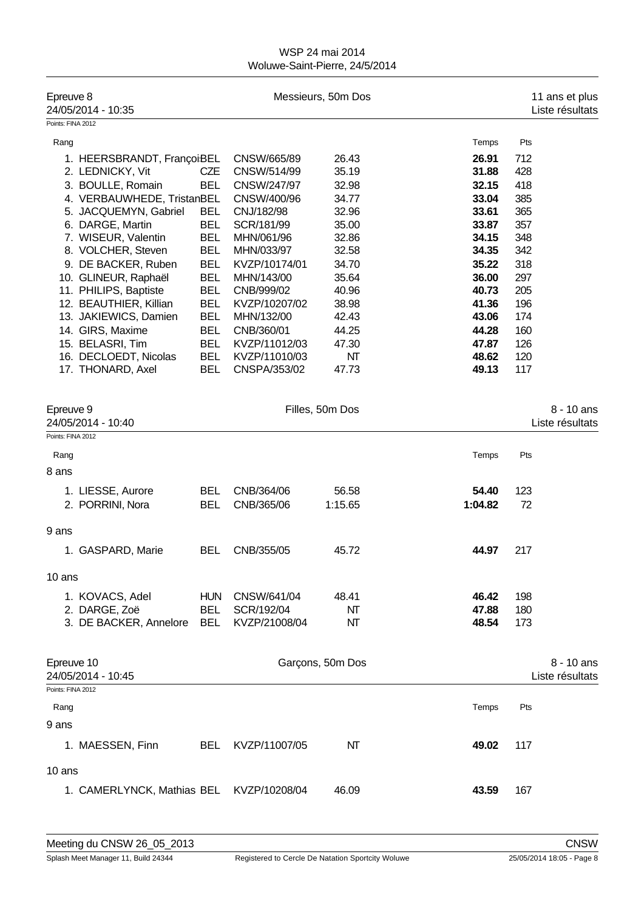| Epreuve 8<br>24/05/2014 - 10:35 |            |               | Messieurs, 50m Dos |         |     | 11 ans et plus<br>Liste résultats |
|---------------------------------|------------|---------------|--------------------|---------|-----|-----------------------------------|
| Points: FINA 2012               |            |               |                    |         |     |                                   |
| Rang                            |            |               |                    | Temps   | Pts |                                   |
| 1. HEERSBRANDT, FrançoiBEL      |            | CNSW/665/89   | 26.43              | 26.91   | 712 |                                   |
| 2. LEDNICKY, Vit                | <b>CZE</b> | CNSW/514/99   | 35.19              | 31.88   | 428 |                                   |
| 3. BOULLE, Romain               | <b>BEL</b> | CNSW/247/97   | 32.98              | 32.15   | 418 |                                   |
| 4. VERBAUWHEDE, TristanBEL      |            | CNSW/400/96   | 34.77              | 33.04   | 385 |                                   |
| 5. JACQUEMYN, Gabriel           | <b>BEL</b> | CNJ/182/98    | 32.96              | 33.61   | 365 |                                   |
| 6. DARGE, Martin                | <b>BEL</b> | SCR/181/99    | 35.00              | 33.87   | 357 |                                   |
| 7. WISEUR, Valentin             | <b>BEL</b> | MHN/061/96    | 32.86              | 34.15   | 348 |                                   |
| 8. VOLCHER, Steven              | <b>BEL</b> | MHN/033/97    | 32.58              | 34.35   | 342 |                                   |
| 9. DE BACKER, Ruben             | <b>BEL</b> | KVZP/10174/01 | 34.70              | 35.22   | 318 |                                   |
| 10. GLINEUR, Raphaël            | <b>BEL</b> | MHN/143/00    | 35.64              | 36.00   | 297 |                                   |
| 11. PHILIPS, Baptiste           | <b>BEL</b> | CNB/999/02    | 40.96              | 40.73   | 205 |                                   |
| 12. BEAUTHIER, Killian          | <b>BEL</b> | KVZP/10207/02 | 38.98              | 41.36   | 196 |                                   |
| 13. JAKIEWICS, Damien           | <b>BEL</b> | MHN/132/00    | 42.43              | 43.06   | 174 |                                   |
| 14. GIRS, Maxime                | <b>BEL</b> | CNB/360/01    | 44.25              | 44.28   | 160 |                                   |
| 15. BELASRI, Tim                | <b>BEL</b> | KVZP/11012/03 | 47.30              | 47.87   | 126 |                                   |
| 16. DECLOEDT, Nicolas           | <b>BEL</b> | KVZP/11010/03 | NΤ                 | 48.62   | 120 |                                   |
| 17. THONARD, Axel               | <b>BEL</b> | CNSPA/353/02  | 47.73              | 49.13   | 117 |                                   |
| Epreuve 9<br>24/05/2014 - 10:40 |            |               | Filles, 50m Dos    |         |     | $8 - 10$ ans<br>Liste résultats   |
| Points: FINA 2012               |            |               |                    |         |     |                                   |
| Rang                            |            |               |                    | Temps   | Pts |                                   |
| 8 ans                           |            |               |                    |         |     |                                   |
| 1. LIESSE, Aurore               | BEL        | CNB/364/06    | 56.58              | 54.40   | 123 |                                   |
|                                 |            |               |                    | 1:04.82 |     |                                   |
| 2. PORRINI, Nora                | <b>BEL</b> | CNB/365/06    | 1:15.65            |         | 72  |                                   |
| 9 ans                           |            |               |                    |         |     |                                   |
| 1. GASPARD, Marie               | <b>BEL</b> | CNB/355/05    | 45.72              | 44.97   | 217 |                                   |
| 10 ans                          |            |               |                    |         |     |                                   |
| 1. KOVACS, Adel                 | <b>HUN</b> | CNSW/641/04   | 48.41              | 46.42   | 198 |                                   |
| 2. DARGE, Zoë                   | <b>BEL</b> | SCR/192/04    | NΤ                 | 47.88   | 180 |                                   |
| 3. DE BACKER, Annelore          | <b>BEL</b> | KVZP/21008/04 | NΤ                 | 48.54   | 173 |                                   |
| Epreuve 10                      |            |               | Garçons, 50m Dos   |         |     | 8 - 10 ans                        |
| 24/05/2014 - 10:45              |            |               |                    |         |     | Liste résultats                   |
| Points: FINA 2012               |            |               |                    |         |     |                                   |
| Rang                            |            |               |                    | Temps   | Pts |                                   |
| 9 ans                           |            |               |                    |         |     |                                   |
| 1. MAESSEN, Finn                | <b>BEL</b> | KVZP/11007/05 | NΤ                 | 49.02   | 117 |                                   |
| 10 ans                          |            |               |                    |         |     |                                   |

1. CAMERLYNCK, Mathias BEL KVZP/10208/04 46.09 **43.59** 167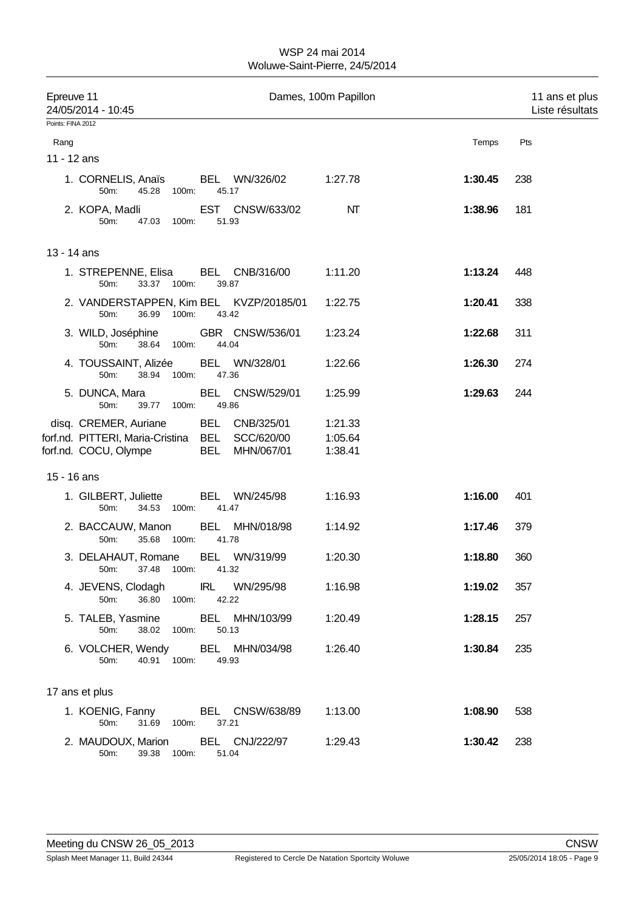| Epreuve 11<br>24/05/2014 - 10:45 |                                                                                        |                                                          | Dames, 100m Papillon          |         | 11 ans et plus<br>Liste résultats |  |
|----------------------------------|----------------------------------------------------------------------------------------|----------------------------------------------------------|-------------------------------|---------|-----------------------------------|--|
| Points: FINA 2012                |                                                                                        |                                                          |                               |         |                                   |  |
| Rang                             |                                                                                        |                                                          |                               | Temps   | Pts                               |  |
| 11 - 12 ans                      |                                                                                        |                                                          |                               |         |                                   |  |
|                                  | 1. CORNELIS, Anaïs<br>50m:<br>45.28                                                    | BEL WN/326/02<br>100m:<br>45.17                          | 1:27.78                       | 1:30.45 | 238                               |  |
|                                  | 2. KOPA, Madli<br>47.03 100m:<br>50m:                                                  | EST CNSW/633/02<br>51.93                                 | NΤ                            | 1:38.96 | 181                               |  |
| 13 - 14 ans                      |                                                                                        |                                                          |                               |         |                                   |  |
|                                  | 1. STREPENNE, Elisa<br>33.37 100m:<br>50m:                                             | BEL CNB/316/00<br>39.87                                  | 1:11.20                       | 1:13.24 | 448                               |  |
|                                  | 36.99 100m:<br>50m:                                                                    | 2. VANDERSTAPPEN, Kim BEL KVZP/20185/01<br>43.42         | 1:22.75                       | 1:20.41 | 338                               |  |
|                                  | 3. WILD, Joséphine<br>50m:<br>38.64<br>100m:                                           | GBR CNSW/536/01<br>44.04                                 | 1:23.24                       | 1:22.68 | 311                               |  |
|                                  | 4. TOUSSAINT, Alizée<br>50m:<br>38.94                                                  | BEL WN/328/01<br>100m:<br>47.36                          | 1:22.66                       | 1:26.30 | 274                               |  |
|                                  | 5. DUNCA, Mara<br>50m:<br>39.77                                                        | BEL CNSW/529/01<br>100m:<br>49.86                        | 1:25.99                       | 1:29.63 | 244                               |  |
|                                  | disq. CREMER, Auriane<br>forf.nd. PITTERI, Maria-Cristina BEL<br>forf.nd. COCU, Olympe | BEL CNB/325/01<br>SCC/620/00<br><b>BEL</b><br>MHN/067/01 | 1:21.33<br>1:05.64<br>1:38.41 |         |                                   |  |
| 15 - 16 ans                      |                                                                                        |                                                          |                               |         |                                   |  |
|                                  | 1. GILBERT, Juliette<br>50m:<br>34.53 100m:                                            | BEL WN/245/98<br>41.47                                   | 1:16.93                       | 1:16.00 | 401                               |  |
|                                  | 2. BACCAUW, Manon<br>50m:<br>35.68                                                     | BEL MHN/018/98<br>100m:<br>41.78                         | 1:14.92                       | 1:17.46 | 379                               |  |
|                                  | 50m: 37.48 100m: 41.32                                                                 | 3. DELAHAUT, Romane BEL WN/319/99                        | 1:20.30                       | 1:18.80 | 360                               |  |
|                                  | 36.80 100m:<br>50m:                                                                    | 4. JEVENS, Clodagh IRL WN/295/98<br>42.22                | 1:16.98                       | 1:19.02 | 357                               |  |
|                                  | 50m:<br>38.02 100m:                                                                    | 5. TALEB, Yasmine BEL MHN/103/99<br>50.13                | 1:20.49                       | 1:28.15 | 257                               |  |
|                                  | 40.91 100m:<br>50m:                                                                    | 6. VOLCHER, Wendy BEL MHN/034/98<br>49.93                | 1:26.40                       | 1:30.84 | 235                               |  |
|                                  | 17 ans et plus                                                                         |                                                          |                               |         |                                   |  |
|                                  | 31.69 100m:<br>50m:                                                                    | 1. KOENIG, Fanny BEL CNSW/638/89<br>37.21                | 1:13.00                       | 1:08.90 | 538                               |  |
|                                  | 2. MAUDOUX, Marion<br>50m:<br>39.38                                                    | BEL CNJ/222/97<br>100m:<br>51.04                         | 1:29.43                       | 1:30.42 | 238                               |  |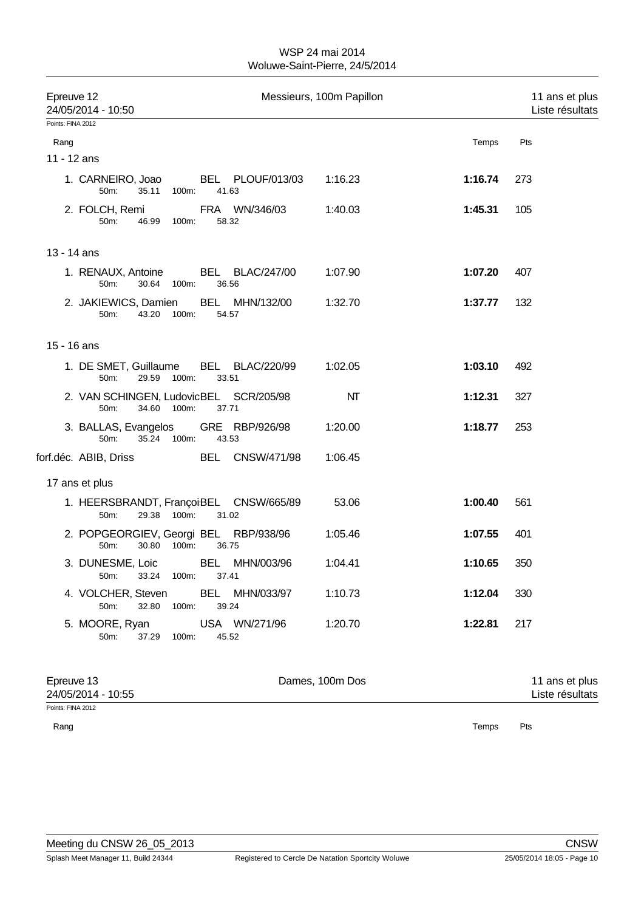| Epreuve 12<br>24/05/2014 - 10:50<br>Points: FINA 2012 |                                                 | Messieurs, 100m Papillon |         | 11 ans et plus<br>Liste résultats |
|-------------------------------------------------------|-------------------------------------------------|--------------------------|---------|-----------------------------------|
|                                                       |                                                 |                          |         |                                   |
| Rang<br>11 - 12 ans                                   |                                                 |                          | Temps   | Pts                               |
|                                                       |                                                 |                          |         |                                   |
| 1. CARNEIRO, Joao<br>35.11<br>50m:                    | BEL PLOUF/013/03<br>100m:<br>41.63              | 1:16.23                  | 1:16.74 | 273                               |
| 2. FOLCH, Remi<br>50m:<br>46.99                       | FRA WN/346/03<br>58.32<br>100m:                 | 1:40.03                  | 1:45.31 | 105                               |
| 13 - 14 ans                                           |                                                 |                          |         |                                   |
| 1. RENAUX, Antoine<br>50m:<br>30.64                   | <b>BEL BLAC/247/00</b><br>36.56<br>100m:        | 1:07.90                  | 1:07.20 | 407                               |
| 2. JAKIEWICS, Damien<br>43.20 100m:<br>50m:           | BEL MHN/132/00<br>54.57                         | 1:32.70                  | 1:37.77 | 132                               |
| 15 - 16 ans                                           |                                                 |                          |         |                                   |
| 1. DE SMET, Guillaume<br>29.59 100m:<br>50m:          | BEL BLAC/220/99<br>33.51                        | 1:02.05                  | 1:03.10 | 492                               |
| 50m:<br>34.60 100m:                                   | 2. VAN SCHINGEN, LudovicBEL SCR/205/98<br>37.71 | NΤ                       | 1:12.31 | 327                               |
| 3. BALLAS, Evangelos<br>50m:<br>35.24 100m:           | GRE RBP/926/98<br>43.53                         | 1:20.00                  | 1:18.77 | 253                               |
| forf.déc. ABIB, Driss                                 | BEL CNSW/471/98                                 | 1:06.45                  |         |                                   |
| 17 ans et plus                                        |                                                 |                          |         |                                   |
| 29.38 100m:<br>50m:                                   | 1. HEERSBRANDT, FrançoiBEL CNSW/665/89<br>31.02 | 53.06                    | 1:00.40 | 561                               |
| 30.80 100m:<br>50m:                                   | 2. POPGEORGIEV, Georgi BEL RBP/938/96<br>36.75  | 1:05.46                  | 1:07.55 | 401                               |
| 3. DUNESME, Loic<br>33.24<br>50m:                     | <b>BEL</b><br>MHN/003/96<br>100m:<br>37.41      | 1:04.41                  | 1:10.65 | 350                               |
| 4. VOLCHER, Steven<br>32.80<br>50m:                   | <b>BEL</b><br>MHN/033/97<br>100m:<br>39.24      | 1:10.73                  | 1:12.04 | 330                               |
| 5. MOORE, Ryan<br>50m:<br>37.29                       | USA WN/271/96<br>45.52<br>100m:                 | 1:20.70                  | 1:22.81 | 217                               |
| Epreuve 13<br>24/05/2014 - 10:55<br>Points: FINA 2012 |                                                 | Dames, 100m Dos          |         | 11 ans et plus<br>Liste résultats |

Rang Passacres and the contract of the contract of the contract of the contract of the contract of the contract of the contract of the contract of the contract of the contract of the contract of the contract of the contrac

Meeting du CNSW 26\_05\_2013 CNSW CNSW CNSW CNSW CNSW CNSW CNSW Splash Meet Manager 11, Build 24344 Registered to Cercle De Natation Sportcity Woluwe 25/05/2014 18:05 - Page 10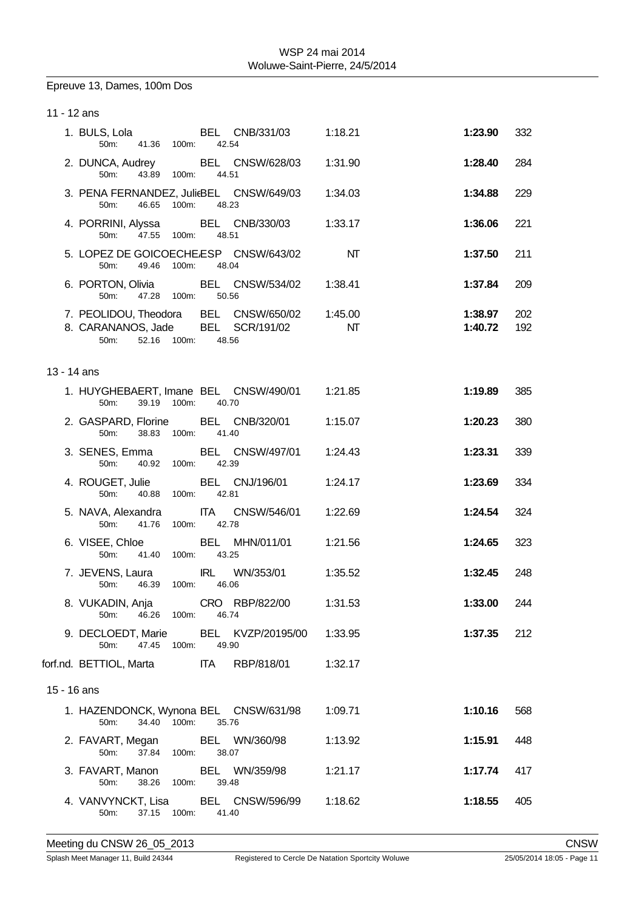# Epreuve 13, Dames, 100m Dos

| 11 - 12 ans                    |                        |                                                                  |                        |                    |            |
|--------------------------------|------------------------|------------------------------------------------------------------|------------------------|--------------------|------------|
| 1. BULS, Lola<br>50m:          | 41.36 100m:            | BEL CNB/331/03<br>42.54                                          | 1:18.21                | 1:23.90            | 332        |
| 50 <sub>m</sub> :              | 43.89 100m:            | 2. DUNCA, Audrey BEL CNSW/628/03 1:31.90<br>44.51                |                        | 1:28.40            | 284        |
| 50m:                           | 46.65 100m: 48.23      | 3. PENA FERNANDEZ, JulieBEL CNSW/649/03                          | 1:34.03                | 1:34.88            | 229        |
| 50m:                           | 47.55<br>100m:         | 4. PORRINI, Alyssa BEL CNB/330/03<br>48.51                       | 1:33.17                | 1:36.06            | 221        |
| 50 <sub>m</sub> :              | 49.46 100m:            | 5. LOPEZ DE GOICOECHE.ESP CNSW/643/02<br>48.04                   | $\mathsf{M}\mathsf{T}$ | 1:37.50            | 211        |
| 6. PORTON, Olivia              | 50m: 47.28 100m: 50.56 | BEL CNSW/534/02 1:38.41                                          |                        | 1:37.84            | 209        |
| 8. CARANANOS, Jade<br>50m:     | 52.16 100m:            | 7. PEOLIDOU, Theodora BEL CNSW/650/02<br>BEL SCR/191/02<br>48.56 | 1:45.00<br>NT          | 1:38.97<br>1:40.72 | 202<br>192 |
| $13 - 14$ ans                  |                        |                                                                  |                        |                    |            |
| 50m:                           | 39.19 100m:            | 1. HUYGHEBAERT, Imane BEL CNSW/490/01 1:21.85<br>40.70           |                        | 1:19.89            | 385        |
| 2. GASPARD, Florine            | 50m: 38.83 100m:       | BEL CNB/320/01<br>41.40                                          | 1:15.07                | 1:20.23            | 380        |
| 3. SENES, Emma<br>50m:         | 40.92 100m: 42.39      | BEL CNSW/497/01                                                  | 1:24.43                | 1:23.31            | 339        |
| 4. ROUGET, Julie<br>50m:       | 40.88 100m:            | BEL CNJ/196/01<br>42.81                                          | 1:24.17                | 1:23.69            | 334        |
| 5. NAVA, Alexandra             | 50m: 41.76 100m:       | <b>ITA</b><br>CNSW/546/01<br>42.78                               | 1:22.69                | 1:24.54            | 324        |
| 6. VISEE, Chloe                | 50m: 41.40 100m:       | BEL MHN/011/01<br>43.25                                          | 1:21.56                | 1:24.65            | 323        |
| 7. JEVENS, Laura<br>50m: 46.39 | 100m:                  | <b>IRL</b><br>WN/353/01<br>46.06                                 | 1:35.52                | 1:32.45            | 248        |
| 8. VUKADIN, Anja<br>50m:       | 46.26 100m:            | CRO RBP/822/00<br>46.74                                          | 1:31.53                | 1:33.00            | 244        |
| 9. DECLOEDT, Marie<br>50m:     | 47.45<br>100m:         | BEL KVZP/20195/00<br>49.90                                       | 1:33.95                | 1:37.35            | 212        |
| forf.nd. BETTIOL, Marta        |                        | <b>ITA</b><br>RBP/818/01                                         | 1:32.17                |                    |            |
| 15 - 16 ans                    |                        |                                                                  |                        |                    |            |
| 50m:                           | 100m:<br>34.40         | 1. HAZENDONCK, Wynona BEL CNSW/631/98<br>35.76                   | 1:09.71                | 1:10.16            | 568        |
| 2. FAVART, Megan<br>50m:       | 37.84 100m:            | BEL WN/360/98<br>38.07                                           | 1:13.92                | 1:15.91            | 448        |
| 3. FAVART, Manon<br>50m:       | 38.26 100m:            | BEL WN/359/98<br>39.48                                           | 1:21.17                | 1:17.74            | 417        |
| 4. VANVYNCKT, Lisa<br>50m:     | 37.15<br>100m:         | BEL CNSW/596/99<br>41.40                                         | 1:18.62                | 1:18.55            | 405        |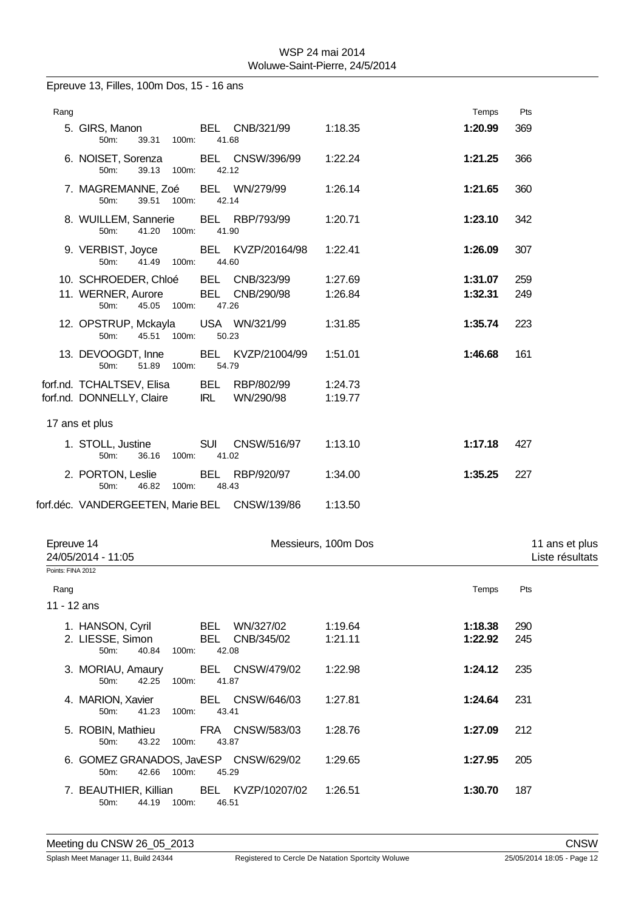Epreuve 13, Filles, 100m Dos, 15 - 16 ans

| Rang |                                                                       |            |                 |                    | Temps   | Pts |
|------|-----------------------------------------------------------------------|------------|-----------------|--------------------|---------|-----|
|      | 5. GIRS, Manon<br>39.31 100m:<br>$50m$ :                              | 41.68      | BEL CNB/321/99  | 1:18.35            | 1:20.99 | 369 |
|      | 6. NOISET, Sorenza BEL CNSW/396/99<br>39.13<br>50m:<br>100m:          | 42.12      |                 | 1:22.24            | 1:21.25 | 366 |
|      | 7. MAGREMANNE, Zoé BEL WN/279/99<br>39.51 100m:<br>50m:               | 42.14      |                 | 1:26.14            | 1:21.65 | 360 |
|      | 8. WUILLEM, Sannerie BEL RBP/793/99<br>41.20 100m:<br>50m:            | 41.90      |                 | 1:20.71            | 1:23.10 | 342 |
|      | 9. VERBIST, Joyce BEL KVZP/20164/98<br>$50m$ :<br>41.49 100m:         | 44.60      |                 | 1:22.41            | 1:26.09 | 307 |
|      | 10. SCHROEDER, Chloé BEL CNB/323/99                                   |            |                 | 1:27.69            | 1:31.07 | 259 |
|      | 11. WERNER, Aurore BEL CNB/290/98<br>$50m$ :<br>45.05 100m:           | 47.26      |                 | 1:26.84            | 1:32.31 | 249 |
|      | 12. OPSTRUP, Mckayla USA WN/321/99<br>45.51 100m:<br>50m:             | 50.23      |                 | 1:31.85            | 1:35.74 | 223 |
|      | 13. DEVOOGDT, Inne BEL KVZP/21004/99<br>50m:<br>51.89<br>100m:        | 54.79      |                 | 1:51.01            | 1:46.68 | 161 |
|      | forf.nd. TCHALTSEV, Elisa BEL RBP/802/99<br>forf.nd. DONNELLY, Claire | <b>IRL</b> | WN/290/98       | 1:24.73<br>1:19.77 |         |     |
|      | 17 ans et plus                                                        |            |                 |                    |         |     |
|      | 1. STOLL, Justine<br>50m:<br>36.16<br>100m:                           | 41.02      | SUI CNSW/516/97 | 1:13.10            | 1:17.18 | 427 |
|      | 2. PORTON, Leslie<br>50m:<br>46.82<br>100m:                           | 48.43      | BEL RBP/920/97  | 1:34.00            | 1:35.25 | 227 |
|      | forf.déc. VANDERGEETEN, Marie BEL CNSW/139/86                         |            |                 | 1:13.50            |         |     |

| Epreuve 14<br>24/05/2014 - 11:05                                                  | Messieurs, 100m Dos |         | 11 ans et plus<br>Liste résultats |  |
|-----------------------------------------------------------------------------------|---------------------|---------|-----------------------------------|--|
| Points: FINA 2012                                                                 |                     |         |                                   |  |
| Rang                                                                              |                     | Temps   | Pts                               |  |
| 11 - 12 ans                                                                       |                     |         |                                   |  |
| 1. HANSON, Cyril<br>BEL<br>WN/327/02                                              | 1:19.64             | 1:18.38 | 290                               |  |
| 2. LIESSE, Simon<br>BEL<br>CNB/345/02<br>40.84 100m:<br>$50m$ :<br>42.08          | 1:21.11             | 1:22.92 | 245                               |  |
| BEL CNSW/479/02<br>3. MORIAU, Amaury<br>42.25 100m:<br>$50m$ :<br>41.87           | 1:22.98             | 1:24.12 | 235                               |  |
| 4. MARION, Xavier BEL CNSW/646/03<br>41.23<br>50 <sub>m</sub> :<br>100m:<br>43.41 | 1:27.81             | 1:24.64 | 231                               |  |
| FRA CNSW/583/03<br>5. ROBIN, Mathieu<br>43.22<br>100m:<br>$50m$ :<br>43.87        | 1:28.76             | 1:27.09 | 212                               |  |
| 6. GOMEZ GRANADOS, JavESP CNSW/629/02<br>42.66<br>100m:<br>45.29<br>50m           | 1:29.65             | 1:27.95 | 205                               |  |
| 7. BEAUTHIER, Killian BEL KVZP/10207/02<br>44.19 100m:<br>46.51<br>50m:           | 1:26.51             | 1:30.70 | 187                               |  |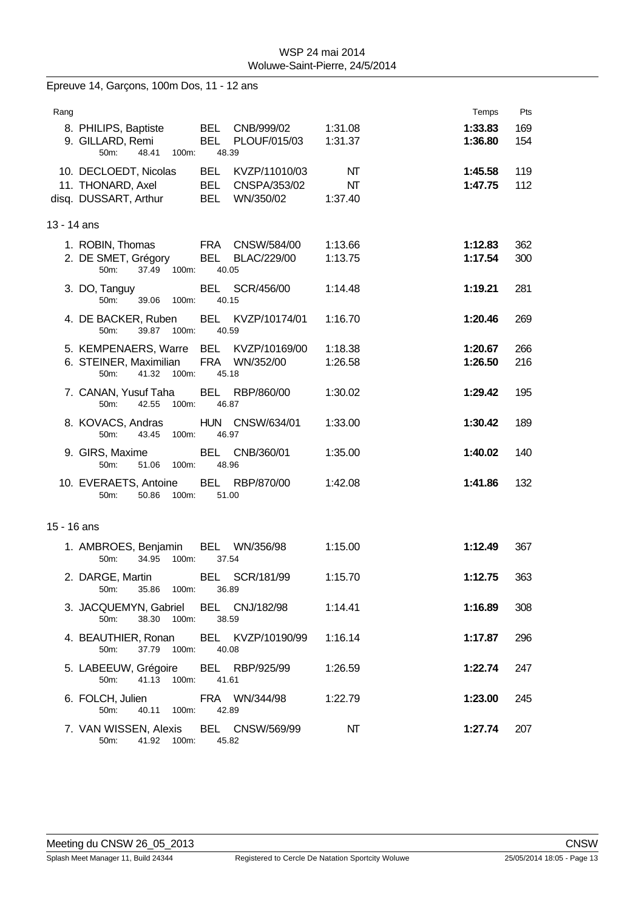| Epreuve 14, Garçons, 100m Dos, 11 - 12 ans |                                                                 |                                          |               |         |     |  |  |  |  |
|--------------------------------------------|-----------------------------------------------------------------|------------------------------------------|---------------|---------|-----|--|--|--|--|
| Rang                                       |                                                                 |                                          |               | Temps   | Pts |  |  |  |  |
|                                            | 8. PHILIPS, Baptiste                                            | BEL CNB/999/02                           | 1:31.08       | 1:33.83 | 169 |  |  |  |  |
|                                            | 9. GILLARD, Remi<br>48.41<br>50 <sub>m</sub> :<br>100m:         | <b>BEL</b><br>PLOUF/015/03<br>48.39      | 1:31.37       | 1:36.80 | 154 |  |  |  |  |
|                                            | 10. DECLOEDT, Nicolas                                           | BEL KVZP/11010/03                        | NΤ            | 1:45.58 | 119 |  |  |  |  |
|                                            | 11. THONARD, Axel<br>disq. DUSSART, Arthur                      | BEL CNSPA/353/02<br>BEL WN/350/02        | NT<br>1:37.40 | 1:47.75 | 112 |  |  |  |  |
|                                            |                                                                 |                                          |               |         |     |  |  |  |  |
| 13 - 14 ans                                |                                                                 |                                          |               |         |     |  |  |  |  |
|                                            | 1. ROBIN, Thomas                                                | FRA CNSW/584/00                          | 1:13.66       | 1:12.83 | 362 |  |  |  |  |
|                                            | 2. DE SMET, Grégory<br>37.49 100m:<br>50m:                      | <b>BEL</b><br>BLAC/229/00<br>40.05       | 1:13.75       | 1:17.54 | 300 |  |  |  |  |
|                                            | 3. DO, Tanguy                                                   | BEL SCR/456/00                           | 1:14.48       | 1:19.21 | 281 |  |  |  |  |
|                                            | 50 <sub>m</sub> :<br>39.06<br>100m:                             | 40.15                                    |               |         |     |  |  |  |  |
|                                            | 4. DE BACKER, Ruben<br>39.87<br>$100m$ :<br>50m:                | BEL KVZP/10174/01<br>40.59               | 1:16.70       | 1:20.46 | 269 |  |  |  |  |
|                                            | 5. KEMPENAERS, Warre BEL KVZP/10169/00                          |                                          | 1:18.38       | 1:20.67 | 266 |  |  |  |  |
|                                            | 6. STEINER, Maximilian<br>41.32 100m:<br>50m:                   | FRA WN/352/00<br>45.18                   | 1:26.58       | 1:26.50 | 216 |  |  |  |  |
|                                            | 7. CANAN, Yusuf Taha                                            | BEL RBP/860/00                           | 1:30.02       | 1:29.42 | 195 |  |  |  |  |
|                                            | 42.55<br>50m:<br>100m:                                          | 46.87                                    |               |         |     |  |  |  |  |
|                                            | 8. KOVACS, Andras<br>43.45<br>100m:<br>50m:                     | HUN CNSW/634/01<br>46.97                 | 1:33.00       | 1:30.42 | 189 |  |  |  |  |
|                                            | 9. GIRS, Maxime<br>50m:<br>51.06 100m:                          | BEL<br>CNB/360/01<br>48.96               | 1:35.00       | 1:40.02 | 140 |  |  |  |  |
|                                            | 10. EVERAETS, Antoine<br>50.86<br>100m:<br>50m:                 | BEL RBP/870/00<br>51.00                  | 1:42.08       | 1:41.86 | 132 |  |  |  |  |
|                                            |                                                                 |                                          |               |         |     |  |  |  |  |
| 15 - 16 ans                                |                                                                 |                                          |               |         |     |  |  |  |  |
|                                            | 1. AMBROES, Benjamin<br>34.95<br>100m:<br>50m:                  | BEL WN/356/98<br>37.54                   | 1:15.00       | 1:12.49 | 367 |  |  |  |  |
|                                            | 50m:<br>35.86 100m:                                             | 2. DARGE, Martin BEL SCR/181/99<br>36.89 | 1:15.70       | 1:12.75 | 363 |  |  |  |  |
|                                            |                                                                 | 3. JACQUEMYN, Gabriel BEL CNJ/182/98     | 1:14.41       | 1:16.89 | 308 |  |  |  |  |
|                                            | 38.30 100m:<br>50m:                                             | 38.59                                    |               |         |     |  |  |  |  |
|                                            | 4. BEAUTHIER, Ronan BEL KVZP/10190/99<br>50m:<br>37.79 100m:    | 40.08                                    | 1:16.14       | 1:17.87 | 296 |  |  |  |  |
|                                            | 5. LABEEUW, Grégoire BEL RBP/925/99                             |                                          | 1:26.59       | 1:22.74 | 247 |  |  |  |  |
|                                            | 41.13 100m:<br>50m:                                             | 41.61                                    |               |         |     |  |  |  |  |
|                                            | 40.11 100m:<br>50m:                                             | 6. FOLCH, Julien FRA WN/344/98<br>42.89  | 1:22.79       | 1:23.00 | 245 |  |  |  |  |
|                                            | 7. VAN WISSEN, Alexis BEL CNSW/569/99<br>50m: 41.92 100m: 45.82 |                                          | NT            | 1:27.74 | 207 |  |  |  |  |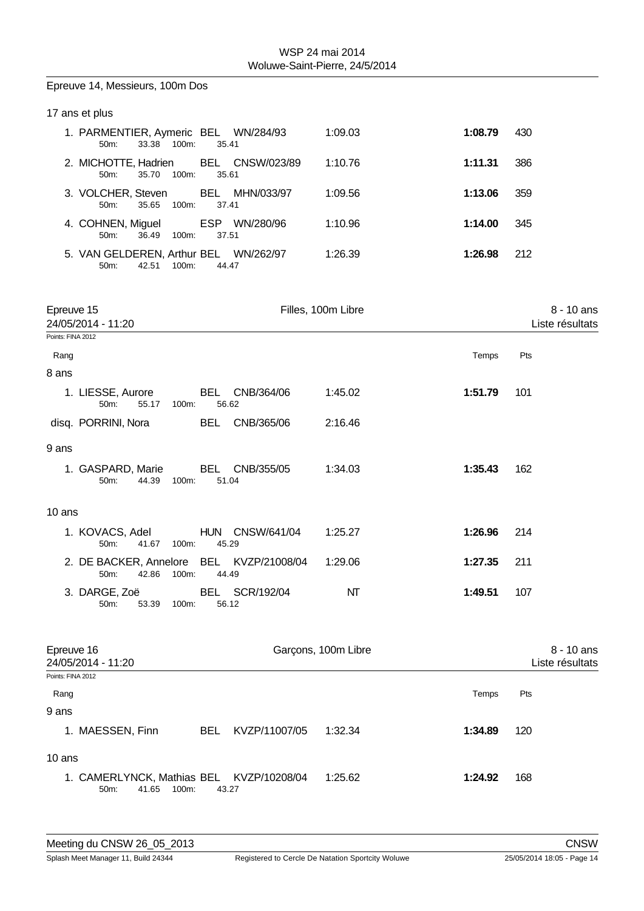|                   | Epreuve 14, Messieurs, 100m Dos                                    |            |                          |                     |         |     |                                 |
|-------------------|--------------------------------------------------------------------|------------|--------------------------|---------------------|---------|-----|---------------------------------|
|                   | 17 ans et plus                                                     |            |                          |                     |         |     |                                 |
|                   | 1. PARMENTIER, Aymeric BEL WN/284/93<br>33.38 100m:<br>50m:        |            | 35.41                    | 1:09.03             | 1:08.79 | 430 |                                 |
|                   | 2. MICHOTTE, Hadrien<br>50m:<br>35.70<br>100m:                     |            | BEL CNSW/023/89<br>35.61 | 1:10.76             | 1:11.31 | 386 |                                 |
|                   | 3. VOLCHER, Steven<br>50m:<br>35.65<br>100m:                       |            | BEL MHN/033/97<br>37.41  | 1:09.56             | 1:13.06 | 359 |                                 |
|                   | 4. COHNEN, Miguel<br>50m:<br>36.49 100m:                           |            | ESP WN/280/96<br>37.51   | 1:10.96             | 1:14.00 | 345 |                                 |
|                   | 5. VAN GELDEREN, Arthur BEL WN/262/97<br>42.51 100m:<br>50m:       |            | 44.47                    | 1:26.39             | 1:26.98 | 212 |                                 |
| Epreuve 15        | 24/05/2014 - 11:20                                                 |            |                          | Filles, 100m Libre  |         |     | $8 - 10$ ans<br>Liste résultats |
| Points: FINA 2012 |                                                                    |            |                          |                     |         |     |                                 |
| Rang              |                                                                    |            |                          |                     | Temps   | Pts |                                 |
| 8 ans             | 1. LIESSE, Aurore                                                  |            | BEL CNB/364/06           | 1:45.02             | 1:51.79 | 101 |                                 |
|                   | 50m:<br>55.17 100m:                                                |            | 56.62                    |                     |         |     |                                 |
|                   | disq. PORRINI, Nora                                                | BEL        | CNB/365/06               | 2:16.46             |         |     |                                 |
| 9 ans             |                                                                    |            |                          |                     |         |     |                                 |
|                   | 1. GASPARD, Marie<br>50m:<br>44.39<br>100m:                        | BEL        | CNB/355/05<br>51.04      | 1:34.03             | 1:35.43 | 162 |                                 |
| 10 ans            |                                                                    |            |                          |                     |         |     |                                 |
|                   | 1. KOVACS, Adel<br>41.67<br>100m:<br>50m:                          |            | HUN CNSW/641/04<br>45.29 | 1:25.27             | 1:26.96 | 214 |                                 |
|                   | 2. DE BACKER, Annelore BEL KVZP/21008/04<br>50m:<br>42.86<br>100m: |            | 44.49                    | 1:29.06             | 1:27.35 | 211 |                                 |
|                   | 3. DARGE, Zoë<br>50m:<br>53.39<br>100m:                            | <b>BEL</b> | SCR/192/04<br>56.12      | NΤ                  | 1:49.51 | 107 |                                 |
| Epreuve 16        | 24/05/2014 - 11:20                                                 |            |                          | Garçons, 100m Libre |         |     | 8 - 10 ans<br>Liste résultats   |
| Points: FINA 2012 |                                                                    |            |                          |                     |         |     |                                 |
| Rang              |                                                                    |            |                          |                     | Temps   | Pts |                                 |
| 9 ans             | 1. MAESSEN, Finn                                                   | <b>BEL</b> | KVZP/11007/05            | 1:32.34             | 1:34.89 | 120 |                                 |
|                   |                                                                    |            |                          |                     |         |     |                                 |

10 ans

1. CAMERLYNCK, Mathias BEL KVZP/10208/04 1:25.62 **1:24.92** 168 50m: 41.65 100m: 43.27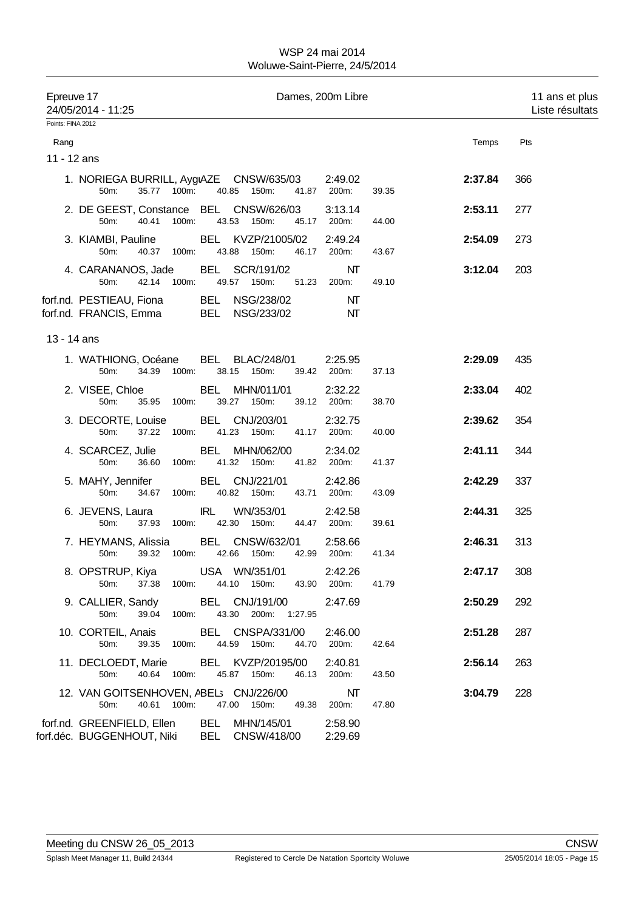| Epreuve 17        | 24/05/2014 - 11:25                                 |                |       |                                                                       |       | Dames, 200m Libre      |       |         | 11 ans et plus<br>Liste résultats |  |
|-------------------|----------------------------------------------------|----------------|-------|-----------------------------------------------------------------------|-------|------------------------|-------|---------|-----------------------------------|--|
| Points: FINA 2012 |                                                    |                |       |                                                                       |       |                        |       |         |                                   |  |
| Rang              |                                                    |                |       |                                                                       |       |                        |       | Temps   | Pts                               |  |
| 11 - 12 ans       |                                                    |                |       |                                                                       |       |                        |       |         |                                   |  |
|                   | 50m:                                               | 35.77 100m:    |       | 1. NORIEGA BURRILL, AygıAZE CNSW/635/03<br>40.85 150m:                |       | 2:49.02<br>41.87 200m: | 39.35 | 2:37.84 | 366                               |  |
|                   | 50m:                                               | 40.41<br>100m: |       | 2. DE GEEST, Constance BEL CNSW/626/03<br>43.53<br>150m:              | 45.17 | 3:13.14<br>200m:       | 44.00 | 2:53.11 | 277                               |  |
|                   | 3. KIAMBI, Pauline<br>50m:                         | 40.37 100m:    |       | BEL KVZP/21005/02<br>43.88 150m:                                      | 46.17 | 2:49.24<br>200m:       | 43.67 | 2:54.09 | 273                               |  |
|                   | 4. CARANANOS, Jade<br>50m:                         | 42.14 100m:    |       | BEL SCR/191/02<br>49.57 150m:                                         | 51.23 | NΤ<br>200m:            | 49.10 | 3:12.04 | 203                               |  |
|                   | forf.nd. PESTIEAU, Fiona<br>forf.nd. FRANCIS, Emma |                |       | BEL NSG/238/02<br>BEL NSG/233/02                                      |       | NT<br>NΤ               |       |         |                                   |  |
| 13 - 14 ans       |                                                    |                |       |                                                                       |       |                        |       |         |                                   |  |
|                   | 1. WATHIONG, Océane<br>50m:                        | 34.39<br>100m: |       | <b>BEL BLAC/248/01</b><br>38.15<br>150m:                              |       | 2:25.95<br>39.42 200m: | 37.13 | 2:29.09 | 435                               |  |
|                   | 2. VISEE, Chloe<br>50m:                            | 35.95<br>100m: |       | BEL MHN/011/01<br>39.27 150m:                                         |       | 2:32.22<br>39.12 200m: | 38.70 | 2:33.04 | 402                               |  |
|                   | 3. DECORTE, Louise<br>50m:                         | 37.22 100m:    |       | BEL CNJ/203/01<br>41.23 150m:                                         |       | 2:32.75<br>41.17 200m: | 40.00 | 2:39.62 | 354                               |  |
|                   | 4. SCARCEZ, Julie<br>50m:                          | 36.60<br>100m: |       | BEL MHN/062/00<br>41.32<br>150m:                                      |       | 2:34.02<br>41.82 200m: | 41.37 | 2:41.11 | 344                               |  |
|                   | 5. MAHY, Jennifer<br>50m:                          | 34.67<br>100m: |       | BEL CNJ/221/01<br>40.82 150m:                                         |       | 2:42.86<br>43.71 200m: | 43.09 | 2:42.29 | 337                               |  |
|                   | 6. JEVENS, Laura<br>50m:                           | 37.93 100m:    | IRL   | WN/353/01<br>42.30 150m:                                              |       | 2:42.58<br>44.47 200m: | 39.61 | 2:44.31 | 325                               |  |
|                   | 50m:                                               | 39.32<br>100m: |       | 7. HEYMANS, Alissia BEL CNSW/632/01<br>42.66<br>150m:                 |       | 2:58.66<br>42.99 200m: | 41.34 | 2:46.31 | 313                               |  |
|                   | 50m:                                               |                |       | 8. OPSTRUP, Kiya USA WN/351/01<br>37.38 100m: 44.10 150m: 43.90 200m: |       | 2:42.26                | 41.79 | 2:47.17 | 308                               |  |
|                   | 9. CALLIER, Sandy<br>50m:                          | 39.04          | 100m: | BEL CNJ/191/00<br>43.30 200m: 1:27.95                                 |       | 2:47.69                |       | 2:50.29 | 292                               |  |
|                   | 10. CORTEIL, Anais<br>50m:                         | 39.35 100m:    |       | BEL CNSPA/331/00<br>44.59 150m:                                       |       | 2:46.00<br>44.70 200m: | 42.64 | 2:51.28 | 287                               |  |
|                   | 11. DECLOEDT, Marie<br>50m:                        |                |       | BEL KVZP/20195/00<br>40.64 100m: 45.87 150m:                          |       | 2:40.81<br>46.13 200m: | 43.50 | 2:56.14 | 263                               |  |
|                   | 50m:                                               | 40.61 100m:    |       | 12. VAN GOITSENHOVEN, ABEL; CNJ/226/00<br>47.00 150m:                 | 49.38 | NT<br>200m:            | 47.80 | 3:04.79 | 228                               |  |
|                   | forf.nd. GREENFIELD, Ellen                         |                |       | BEL MHN/145/01<br>forf.déc. BUGGENHOUT, Niki BEL CNSW/418/00          |       | 2:58.90<br>2:29.69     |       |         |                                   |  |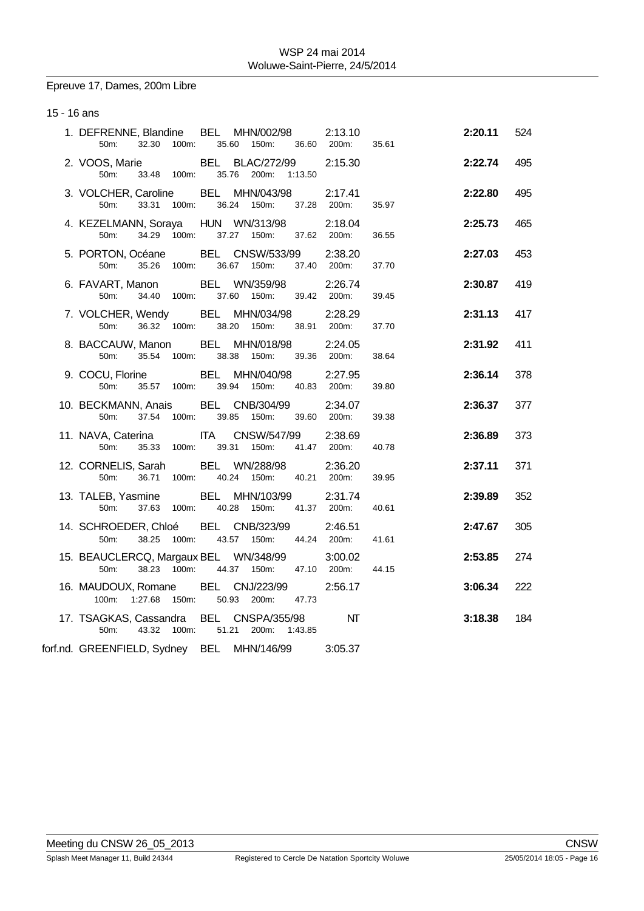Epreuve 17, Dames, 200m Libre

15 - 16 ans

| 1. DEFRENNE, Blandine BEL MHN/002/98 2:13.10                     |                         |             | 50m: 32.30 100m: 35.60 150m: 36.60 200m: |                        | 35.61 | 2:20.11 | 524 |
|------------------------------------------------------------------|-------------------------|-------------|------------------------------------------|------------------------|-------|---------|-----|
| 2. VOOS, Marie BEL BLAC/272/99                                   |                         |             | 50m: 33.48 100m: 35.76 200m: 1:13.50     | 2:15.30                |       | 2:22.74 | 495 |
| 3. VOLCHER, Caroline BEL MHN/043/98 2:17.41<br>50 <sub>m</sub> : |                         |             | 33.31 100m: 36.24 150m: 37.28 200m:      |                        | 35.97 | 2:22.80 | 495 |
| 4. KEZELMANN, Soraya HUN WN/313/98 2:18.04<br>50m:               | 34.29 100m:             |             | 37.27 150m: 37.62 200m:                  |                        | 36.55 | 2:25.73 | 465 |
| 5. PORTON, Océane BEL CNSW/533/99 2:38.20<br>50m: 35.26          | 100m:                   |             | 36.67 150m:                              | 37.40 200m:            | 37.70 | 2:27.03 | 453 |
| 6. FAVART, Manon<br>50 <sub>m</sub> :                            | 34.40 100m: 37.60 150m: |             | BEL WN/359/98                            | 2:26.74<br>39.42 200m: | 39.45 | 2:30.87 | 419 |
| 7. VOLCHER, Wendy BEL MHN/034/98<br>50m:                         | 36.32 100m: 38.20 150m: |             |                                          | 2:28.29<br>38.91 200m: | 37.70 | 2:31.13 | 417 |
| 8. BACCAUW, Manon<br>50m:                                        | 35.54 100m: 38.38       |             | BEL MHN/018/98<br>150m:                  | 2:24.05<br>39.36 200m: | 38.64 | 2:31.92 | 411 |
| 9. COCU, Florine BEL MHN/040/98                                  |                         |             | 50m: 35.57 100m: 39.94 150m: 40.83 200m: | 2:27.95                | 39.80 | 2:36.14 | 378 |
| 10. BECKMANN, Anais BEL CNB/304/99 2:34.07                       |                         |             | 50m: 37.54 100m: 39.85 150m: 39.60 200m: |                        | 39.38 | 2:36.37 | 377 |
| 11. NAVA, Caterina ITA CNSW/547/99<br>50 <sub>m</sub> :          |                         |             | 35.33 100m: 39.31 150m: 41.47 200m:      | 2:38.69                | 40.78 | 2:36.89 | 373 |
| 12. CORNELIS, Sarah BEL WN/288/98<br>50m:                        | 36.71<br>100m:          |             | 40.24 150m: 40.21 200m:                  | 2:36.20                | 39.95 | 2:37.11 | 371 |
| 13. TALEB, Yasmine BEL MHN/103/99<br>50m:                        | 37.63 100m:             | 40.28 150m: |                                          | 2:31.74<br>41.37 200m: | 40.61 | 2:39.89 | 352 |
| 14. SCHROEDER, Chloé BEL CNB/323/99<br>50m:                      | 38.25 100m: 43.57 150m: |             |                                          | 2:46.51<br>44.24 200m: | 41.61 | 2:47.67 | 305 |
| 15. BEAUCLERCQ, Margaux BEL WN/348/99<br>50m:                    | 38.23 100m:             |             | 44.37 150m: 47.10 200m:                  | 3:00.02                | 44.15 | 2:53.85 | 274 |
| 16. MAUDOUX, Romane BEL CNJ/223/99<br>100m: 1:27.68 150m: 50.93  |                         |             | 200m: 47.73                              | 2:56.17                |       | 3:06.34 | 222 |
| 17. TSAGKAS, Cassandra BEL CNSPA/355/98                          | 50m: 43.32 100m: 51.21  |             | 200m: 1:43.85                            | $\mathbf{M}$           |       | 3:18.38 | 184 |
| forf.nd. GREENFIELD, Sydney BEL MHN/146/99                       |                         |             |                                          | 3:05.37                |       |         |     |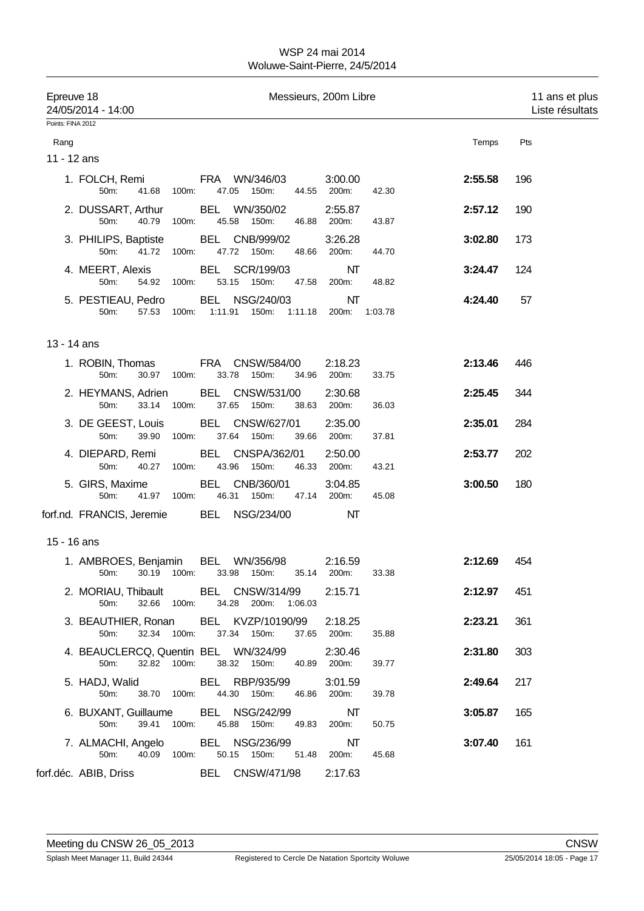| Epreuve 18        | 24/05/2014 - 14:00                                  | Messieurs, 200m Libre   |       |     |       |                                                                   |       | 11 ans et plus<br>Liste résultats |       |         |     |  |
|-------------------|-----------------------------------------------------|-------------------------|-------|-----|-------|-------------------------------------------------------------------|-------|-----------------------------------|-------|---------|-----|--|
| Points: FINA 2012 |                                                     |                         |       |     |       |                                                                   |       |                                   |       |         |     |  |
| Rang              |                                                     |                         |       |     |       |                                                                   |       |                                   |       | Temps   | Pts |  |
| 11 - 12 ans       |                                                     |                         |       |     |       |                                                                   |       |                                   |       |         |     |  |
|                   | 1. FOLCH, Remi<br>50m:                              | 41.68                   | 100m: |     |       | <b>FRA WN/346/03</b><br>47.05 150m:                               |       | 3:00.00<br>44.55 200m:            | 42.30 | 2:55.58 | 196 |  |
|                   | 2. DUSSART, Arthur<br>50m:                          | 40.79                   | 100m: |     | 45.58 | BEL WN/350/02<br>150m:                                            | 46.88 | 2:55.87<br>200m:                  | 43.87 | 2:57.12 | 190 |  |
|                   | 3. PHILIPS, Baptiste<br>50m:                        | 41.72 100m:             |       |     |       | BEL CNB/999/02<br>47.72 150m:                                     |       | 3:26.28<br>48.66 200m:            | 44.70 | 3:02.80 | 173 |  |
|                   | 4. MEERT, Alexis<br>50m:                            | 54.92                   | 100m: |     |       | BEL SCR/199/03<br>53.15 150m:                                     | 47.58 | NΤ<br>200m:                       | 48.82 | 3:24.47 | 124 |  |
|                   | 5. PESTIEAU, Pedro<br>50m:                          |                         |       |     |       | BEL NSG/240/03<br>57.53 100m: 1:11.91 150m: 1:11.18 200m: 1:03.78 |       | NΤ                                |       | 4:24.40 | 57  |  |
| 13 - 14 ans       |                                                     |                         |       |     |       |                                                                   |       |                                   |       |         |     |  |
|                   | 1. ROBIN, Thomas<br>50m:                            | 30.97 100m:             |       |     |       | FRA CNSW/584/00<br>33.78 150m:                                    | 34.96 | 2:18.23<br>200m:                  | 33.75 | 2:13.46 | 446 |  |
|                   | 2. HEYMANS, Adrien<br>50m:                          | 33.14                   | 100m: |     | 37.65 | BEL CNSW/531/00<br>150m:                                          | 38.63 | 2:30.68<br>200m:                  | 36.03 | 2:25.45 | 344 |  |
|                   | 3. DE GEEST, Louis<br>50m:                          | 39.90                   | 100m: |     | 37.64 | BEL CNSW/627/01<br>150m:                                          | 39.66 | 2:35.00<br>200m:                  | 37.81 | 2:35.01 | 284 |  |
|                   | 4. DIEPARD, Remi<br>50m:                            | 40.27                   | 100m: |     |       | BEL CNSPA/362/01<br>43.96 150m:                                   | 46.33 | 2:50.00<br>200m:                  | 43.21 | 2:53.77 | 202 |  |
|                   | 5. GIRS, Maxime<br>50m:                             | 41.97 100m:             |       | BEL | 46.31 | CNB/360/01<br>150m:                                               |       | 3:04.85<br>47.14 200m:            | 45.08 | 3:00.50 | 180 |  |
|                   | forf.nd. FRANCIS, Jeremie BEL NSG/234/00            |                         |       |     |       |                                                                   |       | NΤ                                |       |         |     |  |
| 15 - 16 ans       |                                                     |                         |       |     |       |                                                                   |       |                                   |       |         |     |  |
|                   | 1. AMBROES, Benjamin                                |                         |       |     |       | BEL WN/356/98<br>50m: 30.19 100m: 33.98 150m: 35.14 200m:         |       | 2:16.59                           | 33.38 | 2:12.69 | 454 |  |
|                   | 2. MORIAU, Thibault BEL CNSW/314/99 2:15.71<br>50m: | 32.66 100m:             |       |     |       | 34.28 200m: 1:06.03                                               |       |                                   |       | 2:12.97 | 451 |  |
|                   | 3. BEAUTHIER, Ronan<br>50m:                         | 32.34 100m: 37.34 150m: |       |     |       | BEL KVZP/10190/99                                                 |       | 2:18.25<br>37.65 200m:            | 35.88 | 2:23.21 | 361 |  |
|                   | 4. BEAUCLERCQ, Quentin BEL  WN/324/99<br>50m:       | 32.82 100m:             |       |     |       | 38.32 150m: 40.89 200m:                                           |       | 2:30.46                           | 39.77 | 2:31.80 | 303 |  |
|                   | 5. HADJ, Walid BEL RBP/935/99<br>50m:               | 38.70 100m: 44.30 150m: |       |     |       |                                                                   |       | 3:01.59<br>46.86 200m:            | 39.78 | 2:49.64 | 217 |  |
|                   | 6. BUXANT, Guillaume<br>50m:                        | 39.41 100m:             |       |     |       | BEL NSG/242/99<br>45.88 150m:                                     |       | NΤ<br>49.83 200m:                 | 50.75 | 3:05.87 | 165 |  |
|                   | 7. ALMACHI, Angelo BEL NSG/236/99<br>50m:           | 40.09 100m:             |       |     |       | 50.15 150m:                                                       |       | NΤ<br>51.48 200m:                 | 45.68 | 3:07.40 | 161 |  |
|                   | forf.déc. ABIB, Driss BEL CNSW/471/98 2:17.63       |                         |       |     |       |                                                                   |       |                                   |       |         |     |  |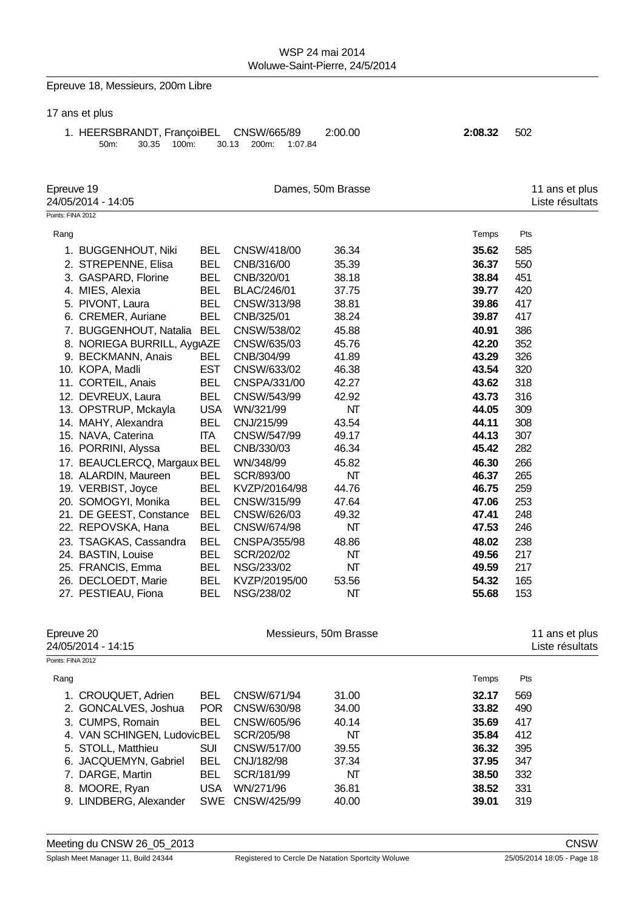# Epreuve 18, Messieurs, 200m Libre

### 17 ans et plus

1. HEERSBRANDT, FrançoisBEL CNSW/665/89 2:00.00 **2:08.32** 502 50m: 30.35 100m: 30.13 200m: 1:07.84

| Epreuve 19        | 24/05/2014 - 14:05          |            | Dames, 50m Brasse | 11 ans et plus<br>Liste résultats |       |                                   |
|-------------------|-----------------------------|------------|-------------------|-----------------------------------|-------|-----------------------------------|
| Points: FINA 2012 |                             |            |                   |                                   |       |                                   |
| Rang              |                             |            |                   |                                   | Temps | Pts                               |
|                   | 1. BUGGENHOUT, Niki         | <b>BEL</b> | CNSW/418/00       | 36.34                             | 35.62 | 585                               |
|                   | 2. STREPENNE, Elisa         | <b>BEL</b> | CNB/316/00        | 35.39                             | 36.37 | 550                               |
|                   | 3. GASPARD, Florine         | <b>BEL</b> | CNB/320/01        | 38.18                             | 38.84 | 451                               |
|                   | 4. MIES, Alexia             | <b>BEL</b> | BLAC/246/01       | 37.75                             | 39.77 | 420                               |
|                   | 5. PIVONT, Laura            | <b>BEL</b> | CNSW/313/98       | 38.81                             | 39.86 | 417                               |
|                   | 6. CREMER, Auriane          | <b>BEL</b> | CNB/325/01        | 38.24                             | 39.87 | 417                               |
|                   | 7. BUGGENHOUT, Natalia      | <b>BEL</b> | CNSW/538/02       | 45.88                             | 40.91 | 386                               |
|                   | 8. NORIEGA BURRILL, AygıAZE |            | CNSW/635/03       | 45.76                             | 42.20 | 352                               |
|                   | 9. BECKMANN, Anais          | <b>BEL</b> | CNB/304/99        | 41.89                             | 43.29 | 326                               |
|                   | 10. KOPA, Madli             | <b>EST</b> | CNSW/633/02       | 46.38                             | 43.54 | 320                               |
|                   | 11. CORTEIL, Anais          | <b>BEL</b> | CNSPA/331/00      | 42.27                             | 43.62 | 318                               |
|                   | 12. DEVREUX, Laura          | <b>BEL</b> | CNSW/543/99       | 42.92                             | 43.73 | 316                               |
|                   | 13. OPSTRUP, Mckayla        | <b>USA</b> | WN/321/99         | NT                                | 44.05 | 309                               |
|                   | 14. MAHY, Alexandra         | <b>BEL</b> | CNJ/215/99        | 43.54                             | 44.11 | 308                               |
|                   | 15. NAVA, Caterina          | <b>ITA</b> | CNSW/547/99       | 49.17                             | 44.13 | 307                               |
|                   | 16. PORRINI, Alyssa         | <b>BEL</b> | CNB/330/03        | 46.34                             | 45.42 | 282                               |
|                   | 17. BEAUCLERCQ, Margaux BEL |            | WN/348/99         | 45.82                             | 46.30 | 266                               |
|                   | 18. ALARDIN, Maureen        | <b>BEL</b> | SCR/893/00        | NΤ                                | 46.37 | 265                               |
|                   | 19. VERBIST, Joyce          | <b>BEL</b> | KVZP/20164/98     | 44.76                             | 46.75 | 259                               |
|                   | 20. SOMOGYI, Monika         | <b>BEL</b> | CNSW/315/99       | 47.64                             | 47.06 | 253                               |
|                   | 21. DE GEEST, Constance     | <b>BEL</b> | CNSW/626/03       | 49.32                             | 47.41 | 248                               |
|                   | 22. REPOVSKA, Hana          | <b>BEL</b> | CNSW/674/98       | NT                                | 47.53 | 246                               |
|                   | 23. TSAGKAS, Cassandra      | <b>BEL</b> | CNSPA/355/98      | 48.86                             | 48.02 | 238                               |
|                   | 24. BASTIN, Louise          | <b>BEL</b> | SCR/202/02        | NΤ                                | 49.56 | 217                               |
|                   | 25. FRANCIS, Emma           | <b>BEL</b> | NSG/233/02        | NΤ                                | 49.59 | 217                               |
|                   | 26. DECLOEDT, Marie         | <b>BEL</b> |                   | 53.56                             | 54.32 | 165                               |
|                   |                             |            | KVZP/20195/00     |                                   |       | 153                               |
|                   | 27. PESTIEAU, Fiona         | <b>BEL</b> | NSG/238/02        | NΤ                                | 55.68 |                                   |
| Epreuve 20        | 24/05/2014 - 14:15          |            |                   | Messieurs, 50m Brasse             |       | 11 ans et plus<br>Liste résultats |
| Points: FINA 2012 |                             |            |                   |                                   |       |                                   |
| Rang              |                             |            |                   |                                   | Temps | Pts                               |
|                   | 1. CROUQUET, Adrien         | <b>BEL</b> | CNSW/671/94       | 31.00                             | 32.17 | 569                               |
|                   | 2. GONCALVES, Joshua        | <b>POR</b> | CNSW/630/98       | 34.00                             | 33.82 | 490                               |
|                   | 3. CUMPS, Romain            | <b>BEL</b> | CNSW/605/96       | 40.14                             | 35.69 | 417                               |
|                   | 4. VAN SCHINGEN, LudovicBEL |            | SCR/205/98        | NT                                | 35.84 | 412                               |
|                   | 5. STOLL, Matthieu          | <b>SUI</b> | CNSW/517/00       | 39.55                             | 36.32 | 395                               |
|                   | 6. JACQUEMYN, Gabriel       | <b>BEL</b> | CNJ/182/98        | 37.34                             | 37.95 | 347                               |
|                   | 7. DARGE, Martin            | <b>BEL</b> | SCR/181/99        | NT                                | 38.50 | 332                               |
|                   | 8. MOORE, Ryan              | <b>USA</b> | WN/271/96         | 36.81                             | 38.52 | 331                               |
|                   | 9. LINDBERG, Alexander      |            | SWE CNSW/425/99   | 40.00                             | 39.01 | 319                               |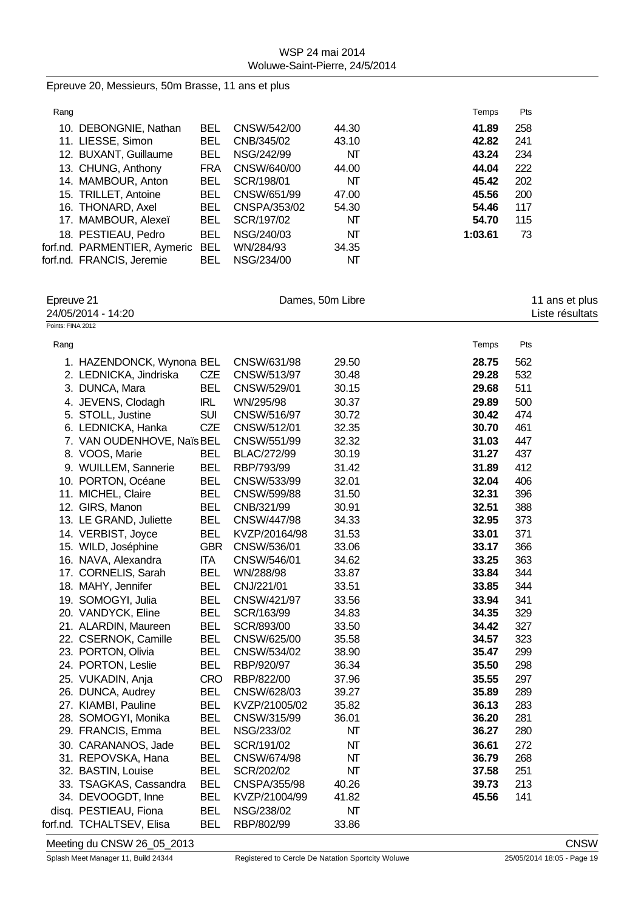|                   | Epreuve 20, Messieurs, 50m Brasse, 11 ans et plus |            |               |                  |         |                 |
|-------------------|---------------------------------------------------|------------|---------------|------------------|---------|-----------------|
| Rang              |                                                   |            |               |                  | Temps   | Pts             |
|                   | 10. DEBONGNIE, Nathan                             | <b>BEL</b> | CNSW/542/00   | 44.30            | 41.89   | 258             |
|                   | 11. LIESSE, Simon                                 | <b>BEL</b> | CNB/345/02    | 43.10            | 42.82   | 241             |
|                   | 12. BUXANT, Guillaume                             | <b>BEL</b> | NSG/242/99    | NΤ               | 43.24   | 234             |
|                   | 13. CHUNG, Anthony                                | <b>FRA</b> | CNSW/640/00   | 44.00            | 44.04   | 222             |
|                   | 14. MAMBOUR, Anton                                | <b>BEL</b> | SCR/198/01    | NΤ               | 45.42   | 202             |
|                   | 15. TRILLET, Antoine                              | <b>BEL</b> | CNSW/651/99   | 47.00            | 45.56   | 200             |
|                   | 16. THONARD, Axel                                 | <b>BEL</b> | CNSPA/353/02  | 54.30            | 54.46   | 117             |
|                   | 17. MAMBOUR, Alexeï                               | <b>BEL</b> | SCR/197/02    | NΤ               | 54.70   | 115             |
|                   | 18. PESTIEAU, Pedro                               | <b>BEL</b> | NSG/240/03    | NT               | 1:03.61 | 73              |
|                   | forf.nd. PARMENTIER, Aymeric BEL                  |            | WN/284/93     | 34.35            |         |                 |
|                   | forf.nd. FRANCIS, Jeremie                         | <b>BEL</b> | NSG/234/00    | NΤ               |         |                 |
| Epreuve 21        |                                                   |            |               | Dames, 50m Libre |         | 11 ans et plus  |
|                   | 24/05/2014 - 14:20                                |            |               |                  |         | Liste résultats |
| Points: FINA 2012 |                                                   |            |               |                  |         |                 |
| Rang              |                                                   |            |               |                  | Temps   | Pts             |
|                   | 1. HAZENDONCK, Wynona BEL                         |            | CNSW/631/98   | 29.50            | 28.75   | 562             |
|                   | 2. LEDNICKA, Jindriska                            | CZE        | CNSW/513/97   | 30.48            | 29.28   | 532             |
|                   | 3. DUNCA, Mara                                    | <b>BEL</b> | CNSW/529/01   | 30.15            | 29.68   | 511             |
|                   | 4. JEVENS, Clodagh                                | <b>IRL</b> | WN/295/98     | 30.37            | 29.89   | 500             |
|                   | 5. STOLL, Justine                                 | <b>SUI</b> | CNSW/516/97   | 30.72            | 30.42   | 474             |
|                   | 6. LEDNICKA, Hanka                                | CZE        | CNSW/512/01   | 32.35            | 30.70   | 461             |
|                   | 7. VAN OUDENHOVE, Naïs BEL                        |            | CNSW/551/99   | 32.32            | 31.03   | 447             |
|                   | 8. VOOS, Marie                                    | <b>BEL</b> | BLAC/272/99   | 30.19            | 31.27   | 437             |
|                   | 9. WUILLEM, Sannerie                              | <b>BEL</b> | RBP/793/99    | 31.42            | 31.89   | 412             |
|                   | 10. PORTON, Océane                                | <b>BEL</b> | CNSW/533/99   | 32.01            | 32.04   | 406             |
|                   | 11. MICHEL, Claire                                | <b>BEL</b> | CNSW/599/88   | 31.50            | 32.31   | 396             |
|                   | 12. GIRS, Manon                                   | <b>BEL</b> | CNB/321/99    | 30.91            | 32.51   | 388             |
|                   | 13. LE GRAND, Juliette                            | <b>BEL</b> | CNSW/447/98   | 34.33            | 32.95   | 373             |
|                   | 14. VERBIST, Joyce                                | <b>BEL</b> | KVZP/20164/98 | 31.53            | 33.01   | 371             |
|                   | 15. WILD, Joséphine                               | <b>GBR</b> | CNSW/536/01   | 33.06            | 33.17   | 366             |
|                   | 16. NAVA, Alexandra                               | <b>ITA</b> | CNSW/546/01   | 34.62            | 33.25   | 363             |
|                   | 17. CORNELIS, Sarah                               | <b>BEL</b> | WN/288/98     | 33.87            | 33.84   | 344             |
|                   | 18. MAHY, Jennifer                                | BEL        | CNJ/221/01    | 33.51            | 33.85   | 344             |
|                   | 19. SOMOGYI, Julia                                | <b>BEL</b> | CNSW/421/97   | 33.56            | 33.94   | 341             |
|                   | 20. VANDYCK, Eline                                | <b>BEL</b> | SCR/163/99    | 34.83            | 34.35   | 329             |
|                   | 21. ALARDIN, Maureen                              | <b>BEL</b> | SCR/893/00    | 33.50            | 34.42   | 327             |
|                   | 22. CSERNOK, Camille                              | <b>BEL</b> | CNSW/625/00   | 35.58            | 34.57   | 323             |
|                   | 23. PORTON, Olivia                                | <b>BEL</b> | CNSW/534/02   | 38.90            | 35.47   | 299             |
|                   | 24. PORTON, Leslie                                | <b>BEL</b> | RBP/920/97    | 36.34            | 35.50   | 298             |
|                   | 25. VUKADIN, Anja                                 | <b>CRO</b> | RBP/822/00    | 37.96            | 35.55   | 297             |
|                   | 26. DUNCA, Audrey                                 | BEL        | CNSW/628/03   | 39.27            | 35.89   | 289             |
|                   | 27. KIAMBI, Pauline                               | BEL        | KVZP/21005/02 | 35.82            | 36.13   | 283             |
|                   | 28. SOMOGYI, Monika                               | BEL        | CNSW/315/99   | 36.01            | 36.20   | 281             |
|                   | 29. FRANCIS, Emma                                 | <b>BEL</b> | NSG/233/02    | NΤ               | 36.27   | 280             |
|                   | 30. CARANANOS, Jade                               | BEL        | SCR/191/02    | NΤ               | 36.61   | 272             |
|                   | 31. REPOVSKA, Hana                                | <b>BEL</b> | CNSW/674/98   | NΤ               | 36.79   | 268             |
|                   | 32. BASTIN, Louise                                | <b>BEL</b> | SCR/202/02    | NΤ               | 37.58   | 251             |
|                   | 33. TSAGKAS, Cassandra                            | <b>BEL</b> | CNSPA/355/98  | 40.26            | 39.73   | 213             |
|                   | 34. DEVOOGDT, Inne                                | <b>BEL</b> | KVZP/21004/99 | 41.82            | 45.56   | 141             |
|                   | disq. PESTIEAU, Fiona                             | <b>BEL</b> | NSG/238/02    | NT               |         |                 |
|                   | forf.nd. TCHALTSEV, Elisa                         | <b>BEL</b> | RBP/802/99    | 33.86            |         |                 |

# Meeting du CNSW 26\_05\_2013 CNSW CNSW CNSW CNSW CNSW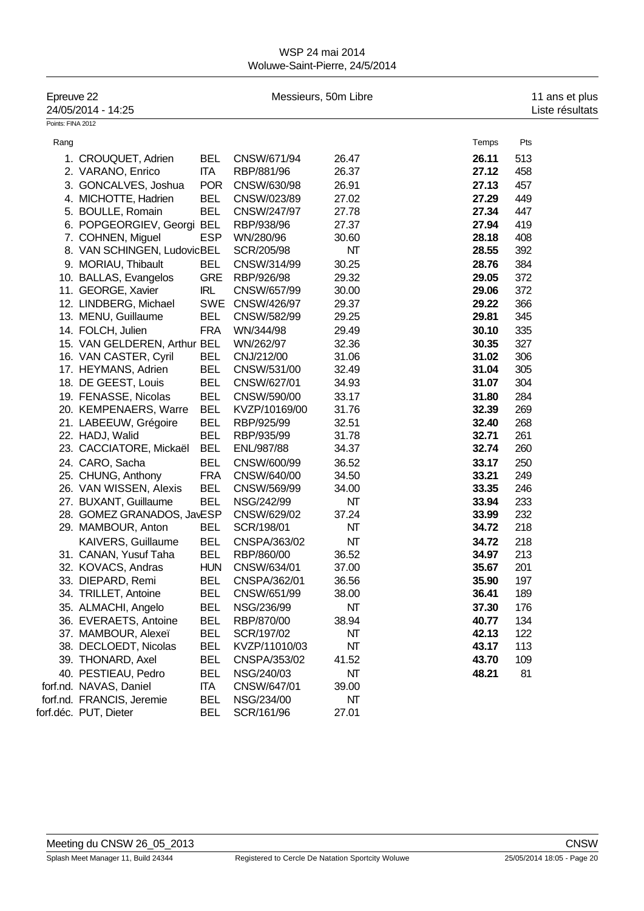| Epreuve 22        | 24/05/2014 - 14:25           |            |                 | Messieurs, 50m Libre |       | 11 ans et plus<br>Liste résultats |
|-------------------|------------------------------|------------|-----------------|----------------------|-------|-----------------------------------|
| Points: FINA 2012 |                              |            |                 |                      |       |                                   |
| Rang              |                              |            |                 |                      | Temps | Pts                               |
|                   | 1. CROUQUET, Adrien          | <b>BEL</b> | CNSW/671/94     | 26.47                | 26.11 | 513                               |
|                   | 2. VARANO, Enrico            | <b>ITA</b> | RBP/881/96      | 26.37                | 27.12 | 458                               |
|                   | 3. GONCALVES, Joshua         | <b>POR</b> | CNSW/630/98     | 26.91                | 27.13 | 457                               |
|                   | 4. MICHOTTE, Hadrien         | <b>BEL</b> | CNSW/023/89     | 27.02                | 27.29 | 449                               |
|                   | 5. BOULLE, Romain            | <b>BEL</b> | CNSW/247/97     | 27.78                | 27.34 | 447                               |
|                   | 6. POPGEORGIEV, Georgi       | <b>BEL</b> | RBP/938/96      | 27.37                | 27.94 | 419                               |
|                   | 7. COHNEN, Miguel            | <b>ESP</b> | WN/280/96       | 30.60                | 28.18 | 408                               |
|                   | 8. VAN SCHINGEN, LudovicBEL  |            | SCR/205/98      | NΤ                   | 28.55 | 392                               |
|                   | 9. MORIAU, Thibault          | <b>BEL</b> | CNSW/314/99     | 30.25                | 28.76 | 384                               |
|                   | 10. BALLAS, Evangelos        | <b>GRE</b> | RBP/926/98      | 29.32                | 29.05 | 372                               |
|                   | 11. GEORGE, Xavier           | <b>IRL</b> | CNSW/657/99     | 30.00                | 29.06 | 372                               |
|                   | 12. LINDBERG, Michael        |            | SWE CNSW/426/97 | 29.37                | 29.22 | 366                               |
|                   | 13. MENU, Guillaume          | <b>BEL</b> | CNSW/582/99     | 29.25                | 29.81 | 345                               |
|                   | 14. FOLCH, Julien            | <b>FRA</b> | WN/344/98       | 29.49                | 30.10 | 335                               |
|                   | 15. VAN GELDEREN, Arthur BEL |            | WN/262/97       | 32.36                | 30.35 | 327                               |
|                   | 16. VAN CASTER, Cyril        | <b>BEL</b> | CNJ/212/00      | 31.06                | 31.02 | 306                               |
|                   | 17. HEYMANS, Adrien          | <b>BEL</b> | CNSW/531/00     | 32.49                | 31.04 | 305                               |
|                   | 18. DE GEEST, Louis          | <b>BEL</b> | CNSW/627/01     | 34.93                | 31.07 | 304                               |
|                   | 19. FENASSE, Nicolas         | <b>BEL</b> | CNSW/590/00     | 33.17                | 31.80 | 284                               |
|                   | 20. KEMPENAERS, Warre        | <b>BEL</b> | KVZP/10169/00   | 31.76                | 32.39 | 269                               |
|                   | 21. LABEEUW, Grégoire        | <b>BEL</b> | RBP/925/99      | 32.51                | 32.40 | 268                               |
|                   | 22. HADJ, Walid              | <b>BEL</b> | RBP/935/99      | 31.78                | 32.71 | 261                               |
|                   | 23. CACCIATORE, Mickaël      | <b>BEL</b> | ENL/987/88      | 34.37                | 32.74 | 260                               |
|                   | 24. CARO, Sacha              | <b>BEL</b> | CNSW/600/99     | 36.52                | 33.17 | 250                               |
|                   | 25. CHUNG, Anthony           | <b>FRA</b> | CNSW/640/00     | 34.50                | 33.21 | 249                               |
|                   | 26. VAN WISSEN, Alexis       | <b>BEL</b> | CNSW/569/99     | 34.00                | 33.35 | 246                               |
|                   | 27. BUXANT, Guillaume        | <b>BEL</b> | NSG/242/99      | NT                   | 33.94 | 233                               |
|                   | 28. GOMEZ GRANADOS, JavESP   |            | CNSW/629/02     | 37.24                | 33.99 | 232                               |
|                   | 29. MAMBOUR, Anton           | <b>BEL</b> | SCR/198/01      | NΤ                   | 34.72 | 218                               |
|                   | KAIVERS, Guillaume           | <b>BEL</b> | CNSPA/363/02    | NΤ                   | 34.72 | 218                               |
|                   | 31. CANAN, Yusuf Taha        | BEL        | RBP/860/00      | 36.52                | 34.97 | 213                               |
|                   | 32. KOVACS, Andras           | <b>HUN</b> | CNSW/634/01     | 37.00                | 35.67 | 201                               |
|                   | 33. DIEPARD, Remi            | BEL        | CNSPA/362/01    | 36.56                | 35.90 | 197                               |
|                   | 34. TRILLET, Antoine         | BEL        | CNSW/651/99     | 38.00                | 36.41 | 189                               |
|                   | 35. ALMACHI, Angelo          | BEL        | NSG/236/99      | NΤ                   | 37.30 | 176                               |
|                   | 36. EVERAETS, Antoine        | <b>BEL</b> | RBP/870/00      | 38.94                | 40.77 | 134                               |
|                   | 37. MAMBOUR, Alexeï          | BEL        | SCR/197/02      | NΤ                   | 42.13 | 122                               |
|                   | 38. DECLOEDT, Nicolas        | BEL        | KVZP/11010/03   | NT                   | 43.17 | 113                               |
|                   | 39. THONARD, Axel            | BEL        | CNSPA/353/02    | 41.52                | 43.70 | 109                               |
|                   | 40. PESTIEAU, Pedro          | BEL        | NSG/240/03      | NΤ                   | 48.21 | 81                                |
|                   | forf.nd. NAVAS, Daniel       | <b>ITA</b> | CNSW/647/01     | 39.00                |       |                                   |
|                   | forf.nd. FRANCIS, Jeremie    | BEL        | NSG/234/00      | NΤ                   |       |                                   |
|                   | forf.déc. PUT, Dieter        | <b>BEL</b> | SCR/161/96      | 27.01                |       |                                   |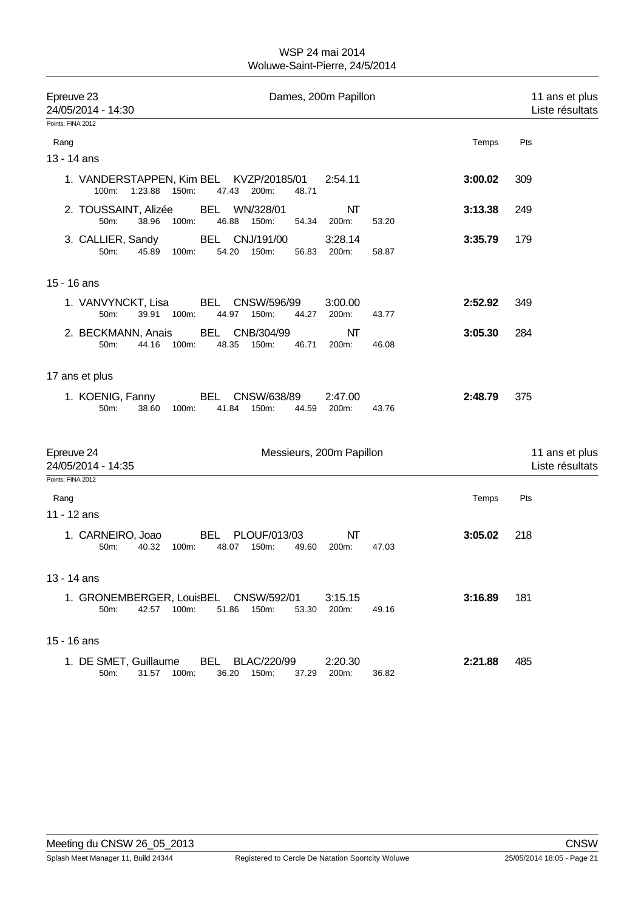| Epreuve 23<br>24/05/2014 - 14:30                                     | Dames, 200m Papillon                                                             |         | 11 ans et plus<br>Liste résultats |
|----------------------------------------------------------------------|----------------------------------------------------------------------------------|---------|-----------------------------------|
| Points: FINA 2012                                                    |                                                                                  |         |                                   |
| Rang                                                                 |                                                                                  | Temps   | Pts                               |
| 13 - 14 ans                                                          |                                                                                  |         |                                   |
| 1. VANDERSTAPPEN, Kim BEL KVZP/20185/01<br>1:23.88<br>150m:<br>100m: | 2:54.11<br>47.43<br>200m:<br>48.71                                               | 3:00.02 | 309                               |
| 2. TOUSSAINT, Alizée<br>50m:<br>38.96<br>100m:                       | NΤ<br><b>BEL</b><br>WN/328/01<br>46.88<br>150m:<br>54.34<br>200m:<br>53.20       | 3:13.38 | 249                               |
| 3. CALLIER, Sandy<br>50m:<br>45.89<br>100m:                          | CNJ/191/00<br><b>BEL</b><br>3:28.14<br>54.20<br>150m:<br>56.83<br>200m:<br>58.87 | 3:35.79 | 179                               |
| 15 - 16 ans                                                          |                                                                                  |         |                                   |
| 1. VANVYNCKT, Lisa<br>50m:<br>39.91<br>100m:                         | BEL<br>CNSW/596/99<br>3:00.00<br>44.97<br>150m:<br>44.27<br>200m:<br>43.77       | 2:52.92 | 349                               |
| 2. BECKMANN, Anais<br>44.16<br>100m:<br>50m:                         | CNB/304/99<br>NΤ<br>BEL<br>48.35<br>150m:<br>46.71<br>200m:<br>46.08             | 3:05.30 | 284                               |
| 17 ans et plus                                                       |                                                                                  |         |                                   |
| 1. KOENIG, Fanny<br>50m:<br>38.60<br>100m:                           | BEL<br>CNSW/638/89<br>2:47.00<br>41.84<br>150m:<br>44.59<br>200m:<br>43.76       | 2:48.79 | 375                               |
| Epreuve 24<br>24/05/2014 - 14:35                                     | Messieurs, 200m Papillon                                                         |         | 11 ans et plus<br>Liste résultats |
| Points: FINA 2012                                                    |                                                                                  |         |                                   |
| Rang<br>11 - 12 ans                                                  |                                                                                  | Temps   | Pts                               |
| 1. CARNEIRO, Joao<br>50m:<br>40.32<br>100m:                          | <b>BEL</b><br>PLOUF/013/03<br>NΤ<br>48.07<br>150m:<br>49.60<br>200m:<br>47.03    | 3:05.02 | 218                               |
| 13 - 14 ans                                                          |                                                                                  |         |                                   |
| 1. GRONEMBERGER, LouisBEL CNSW/592/01<br>42.57 100m:<br>50m:         | 3:15.15<br>51.86 150m:<br>200m:<br>53.30<br>49.16                                | 3:16.89 | 181                               |
| 15 - 16 ans                                                          |                                                                                  |         |                                   |
| 1. DE SMET, Guillaume<br>31.57 100m:<br>50m:                         | 2:20.30<br>BEL<br>BLAC/220/99<br>36.20 150m:<br>200m:<br>36.82<br>37.29          | 2:21.88 | 485                               |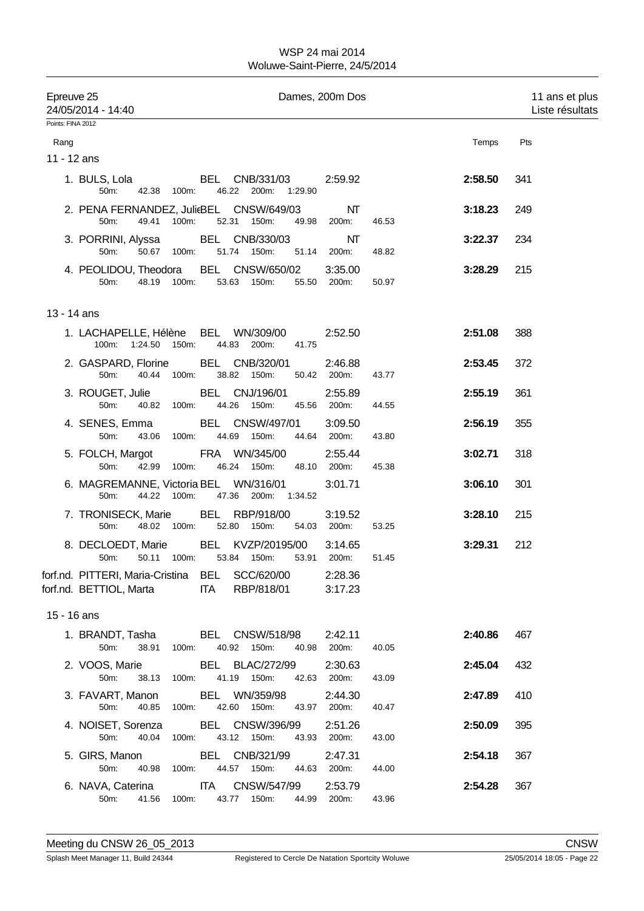| Epreuve 25        | 24/05/2014 - 14:40                                                         |       |                                          |       | Dames, 200m Dos        |       |         | 11 ans et plus<br>Liste résultats |
|-------------------|----------------------------------------------------------------------------|-------|------------------------------------------|-------|------------------------|-------|---------|-----------------------------------|
| Points: FINA 2012 |                                                                            |       |                                          |       |                        |       |         |                                   |
| Rang              |                                                                            |       |                                          |       |                        |       | Temps   | Pts                               |
| 11 - 12 ans       |                                                                            |       |                                          |       |                        |       |         |                                   |
|                   | 1. BULS, Lola<br>50m:<br>42.38 100m:                                       |       | BEL CNB/331/03<br>46.22 200m: 1:29.90    |       | 2:59.92                |       | 2:58.50 | 341                               |
|                   | 2. PENA FERNANDEZ, JulieBEL CNSW/649/03<br>50m:<br>49.41                   | 100m: | 52.31 150m:                              | 49.98 | NT<br>200m:            | 46.53 | 3:18.23 | 249                               |
|                   | 3. PORRINI, Alyssa BEL CNB/330/03<br>50m:<br>50.67 100m:                   |       | 51.74 150m:                              |       | NΤ<br>51.14 200m:      | 48.82 | 3:22.37 | 234                               |
|                   | 4. PEOLIDOU, Theodora BEL CNSW/650/02<br>48.19 100m:<br>50m:               |       | 53.63 150m:                              |       | 3:35.00<br>55.50 200m: | 50.97 | 3:28.29 | 215                               |
| 13 - 14 ans       |                                                                            |       |                                          |       |                        |       |         |                                   |
|                   | 1. LACHAPELLE, Hélène BEL WN/309/00<br>100m: 1:24.50 150m:                 |       | 44.83 200m:                              | 41.75 | 2:52.50                |       | 2:51.08 | 388                               |
|                   | 2. GASPARD, Florine BEL CNB/320/01<br>50m:<br>40.44                        | 100m: | 38.82 150m:                              | 50.42 | 2:46.88<br>200m:       | 43.77 | 2:53.45 | 372                               |
|                   | 3. ROUGET, Julie<br>50m:<br>40.82 100m:                                    |       | BEL CNJ/196/01<br>44.26 150m:            |       | 2:55.89<br>45.56 200m: | 44.55 | 2:55.19 | 361                               |
|                   | 4. SENES, Emma BEL CNSW/497/01<br>50m:                                     |       | 43.06 100m: 44.69 150m:                  |       | 3:09.50<br>44.64 200m: | 43.80 | 2:56.19 | 355                               |
|                   | 5. FOLCH, Margot FRA WN/345/00<br>50m:<br>42.99                            | 100m: | 46.24 150m:                              | 48.10 | 2:55.44<br>200m:       | 45.38 | 3:02.71 | 318                               |
|                   | 6. MAGREMANNE, Victoria BEL WN/316/01<br>44.22 100m:<br>50m:               |       | 47.36 200m: 1:34.52                      |       | 3:01.71                |       | 3:06.10 | 301                               |
|                   | 7. TRONISECK, Marie BEL RBP/918/00<br>48.02 100m:<br>50m:                  |       | 52.80 150m:                              |       | 3:19.52<br>54.03 200m: | 53.25 | 3:28.10 | 215                               |
|                   | 8. DECLOEDT, Marie BEL KVZP/20195/00<br>50m:<br>50.11 100m:                |       | 53.84 150m:                              | 53.91 | 3:14.65<br>200m:       | 51.45 | 3:29.31 | 212                               |
|                   | forf.nd. PITTERI, Maria-Cristina BEL SCC/620/00<br>forf.nd. BETTIOL, Marta |       | <b>ITA</b><br>RBP/818/01                 |       | 2:28.36<br>3:17.23     |       |         |                                   |
| 15 - 16 ans       |                                                                            |       |                                          |       |                        |       |         |                                   |
|                   | 1. BRANDT, Tasha<br>50m:<br>38.91                                          | 100m: | <b>BEL CNSW/518/98</b><br>40.92 150m:    | 40.98 | 2:42.11<br>200m:       | 40.05 | 2:40.86 | 467                               |
|                   | 2. VOOS, Marie<br>50m:<br>38.13                                            | 100m: | BEL BLAC/272/99<br>41.19 150m:           | 42.63 | 2:30.63<br>200m:       | 43.09 | 2:45.04 | 432                               |
|                   | 3. FAVART, Manon<br>50m:<br>40.85                                          | 100m: | BEL WN/359/98<br>42.60 150m:             | 43.97 | 2:44.30<br>200m:       | 40.47 | 2:47.89 | 410                               |
|                   | 4. NOISET, Sorenza<br>40.04<br>50m:                                        | 100m: | BEL<br>CNSW/396/99<br>43.12 150m:        | 43.93 | 2:51.26<br>200m:       | 43.00 | 2:50.09 | 395                               |
|                   | 5. GIRS, Manon<br>50m:<br>40.98 100m:                                      |       | BEL CNB/321/99<br>44.57 150m:            | 44.63 | 2:47.31<br>200m:       | 44.00 | 2:54.18 | 367                               |
|                   | 6. NAVA, Caterina<br>50m:<br>41.56                                         | 100m: | <b>ITA</b><br>CNSW/547/99<br>43.77 150m: | 44.99 | 2:53.79<br>200m:       | 43.96 | 2:54.28 | 367                               |
|                   |                                                                            |       |                                          |       |                        |       |         |                                   |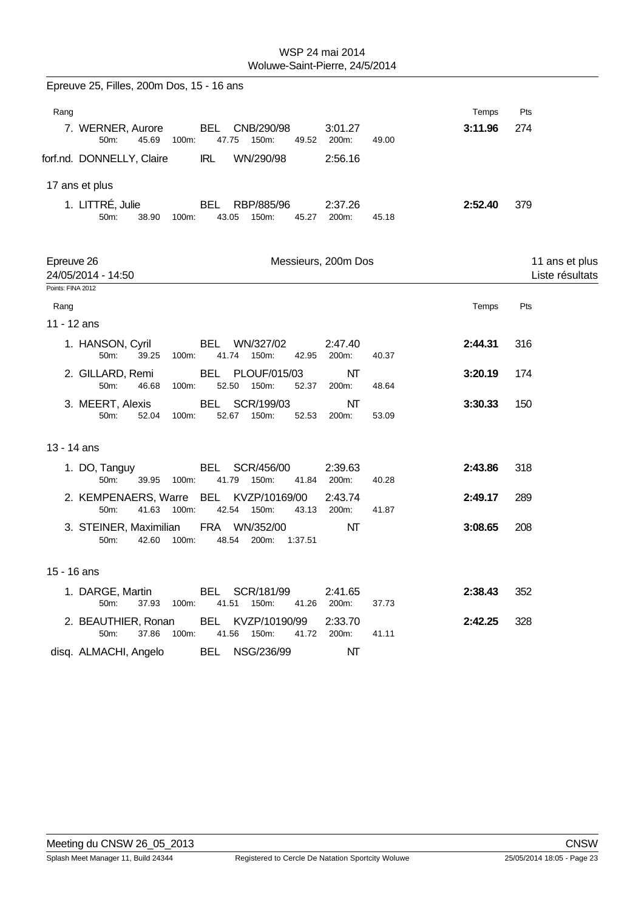| Epreuve 25, Filles, 200m Dos, 15 - 16 ans                                                      |                           |         |                 |
|------------------------------------------------------------------------------------------------|---------------------------|---------|-----------------|
| Rang                                                                                           |                           | Temps   | Pts             |
| BEL<br>CNB/290/98<br>7. WERNER, Aurore<br>45.69<br>47.75<br>150m:<br>50m:<br>100m:<br>49.52    | 3:01.27<br>200m:<br>49.00 | 3:11.96 | 274             |
| WN/290/98<br>forf.nd. DONNELLY, Claire<br>IRL                                                  | 2:56.16                   |         |                 |
| 17 ans et plus                                                                                 |                           |         |                 |
| 1. LITTRÉ, Julie<br>BEL<br>RBP/885/96<br>50m:<br>38.90<br>100m:<br>43.05<br>150m:<br>45.27     | 2:37.26<br>200m:<br>45.18 | 2:52.40 | 379             |
| Epreuve 26                                                                                     | Messieurs, 200m Dos       |         | 11 ans et plus  |
| 24/05/2014 - 14:50                                                                             |                           |         | Liste résultats |
| Points: FINA 2012                                                                              |                           |         |                 |
| Rang<br>11 - 12 ans                                                                            |                           | Temps   | Pts             |
| 1. HANSON, Cyril<br>BEL<br>WN/327/02<br>41.74<br>150m:<br>42.95<br>50m:<br>39.25<br>100m:      | 2:47.40<br>200m:<br>40.37 | 2:44.31 | 316             |
| BEL PLOUF/015/03<br>2. GILLARD, Remi<br>50m:<br>46.68<br>100m:<br>52.50<br>150m:<br>52.37      | NΤ<br>48.64<br>200m:      | 3:20.19 | 174             |
| 3. MEERT, Alexis<br>BEL<br>SCR/199/03<br>50m:<br>52.04<br>52.67<br>150m:<br>52.53<br>100m:     | NΤ<br>200m:<br>53.09      | 3:30.33 | 150             |
| 13 - 14 ans                                                                                    |                           |         |                 |
| 1. DO, Tanguy<br>BEL<br>SCR/456/00<br>50m:<br>39.95<br>100m:<br>41.79<br>150m:<br>41.84        | 2:39.63<br>200m:<br>40.28 | 2:43.86 | 318             |
| 2. KEMPENAERS, Warre BEL KVZP/10169/00<br>50m:<br>41.63 100m:<br>42.54 150m:<br>43.13          | 2:43.74<br>200m:<br>41.87 | 2:49.17 | 289             |
| 3. STEINER, Maximilian<br>FRA WN/352/00<br>48.54<br>50m:<br>42.60<br>100m:<br>200m:<br>1:37.51 | NΤ                        | 3:08.65 | 208             |
| 15 - 16 ans                                                                                    |                           |         |                 |
| 1. DARGE, Martin<br>BEL SCR/181/99<br>41.51 150m:<br>50m:<br>37.93 100m:<br>41.26              | 2:41.65<br>200m:<br>37.73 | 2:38.43 | 352             |
| 2. BEAUTHIER, Ronan<br>BEL KVZP/10190/99<br>50m:<br>37.86<br>100m:<br>41.56 150m:<br>41.72     | 2:33.70<br>200m:<br>41.11 | 2:42.25 | 328             |
| BEL NSG/236/99<br>disq. ALMACHI, Angelo                                                        | NΤ                        |         |                 |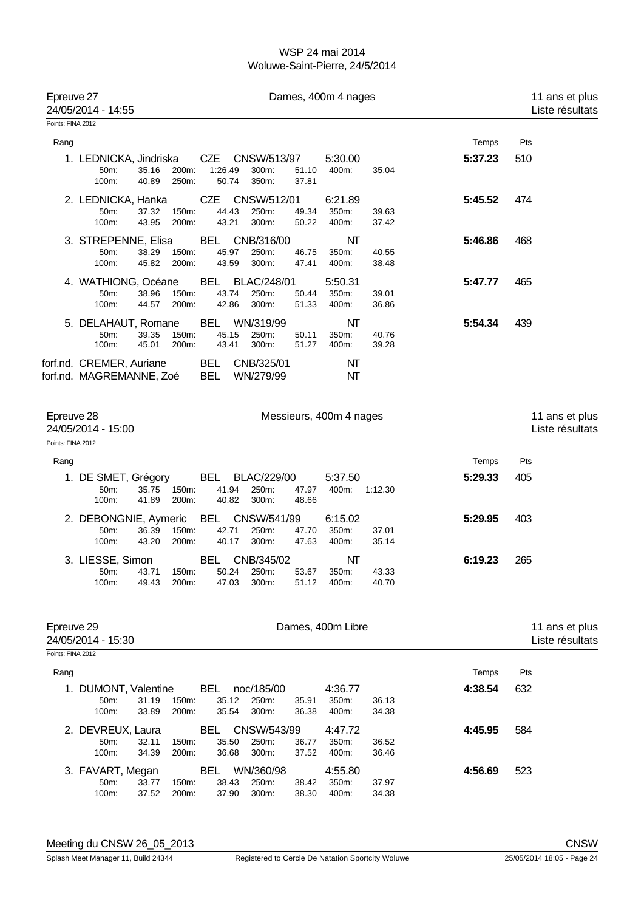| Epreuve 27                      | 24/05/2014 - 14:55                                   |                                  |                              |                                   |                | Dames, 400m 4 nages       |                |         | 11 ans et plus<br>Liste résultats |
|---------------------------------|------------------------------------------------------|----------------------------------|------------------------------|-----------------------------------|----------------|---------------------------|----------------|---------|-----------------------------------|
| Points: FINA 2012               |                                                      |                                  |                              |                                   |                |                           |                |         |                                   |
| Rang                            |                                                      |                                  |                              |                                   |                |                           |                | Temps   | Pts                               |
|                                 | 1. LEDNICKA, Jindriska<br>50m:<br>100m:              | 35.16<br>200m:<br>40.89<br>250m: | 1:26.49<br>50.74             | CZE CNSW/513/97<br>300m:<br>350m: | 51.10<br>37.81 | 5:30.00<br>400m:          | 35.04          | 5:37.23 | 510                               |
|                                 | 2. LEDNICKA, Hanka<br>50m:<br>100m:                  | 150m:<br>37.32<br>200m:<br>43.95 | <b>CZE</b><br>44.43<br>43.21 | CNSW/512/01<br>250m:<br>300m:     | 49.34<br>50.22 | 6:21.89<br>350m:<br>400m: | 39.63<br>37.42 | 5:45.52 | 474                               |
|                                 | 3. STREPENNE, Elisa<br>50m:<br>100m:                 | 38.29<br>150m:<br>200m:<br>45.82 | <b>BEL</b><br>45.97<br>43.59 | CNB/316/00<br>250m:<br>300m:      | 46.75<br>47.41 | NT<br>350m:<br>400m:      | 40.55<br>38.48 | 5:46.86 | 468                               |
|                                 | 4. WATHIONG, Océane<br>50m:<br>100m:                 | 38.96<br>150m:<br>44.57<br>200m: | <b>BEL</b><br>43.74<br>42.86 | BLAC/248/01<br>250m:<br>300m:     | 50.44<br>51.33 | 5:50.31<br>350m:<br>400m: | 39.01<br>36.86 | 5:47.77 | 465                               |
|                                 | 5. DELAHAUT, Romane<br>50m:<br>100m:                 | 150m:<br>39.35<br>45.01<br>200m: | <b>BEL</b><br>45.15<br>43.41 | WN/319/99<br>250m:<br>300m:       | 50.11<br>51.27 | NΤ<br>350m:<br>400m:      | 40.76<br>39.28 | 5:54.34 | 439                               |
|                                 | forf.nd. CREMER, Auriane<br>forf.nd. MAGREMANNE, Zoé |                                  | <b>BEL</b><br><b>BEL</b>     | CNB/325/01<br>WN/279/99           |                | NΤ<br>NΤ                  |                |         |                                   |
| Epreuve 28<br>Points: FINA 2012 | 24/05/2014 - 15:00                                   |                                  |                              |                                   |                | Messieurs, 400m 4 nages   |                |         | 11 ans et plus<br>Liste résultats |
|                                 |                                                      |                                  |                              |                                   |                |                           |                |         |                                   |
| Rang                            |                                                      |                                  |                              |                                   |                |                           |                | Temps   | Pts                               |
|                                 | 1. DE SMET, Grégory<br>50m:<br>100m:                 | 35.75<br>150m:<br>41.89<br>200m: | <b>BEL</b><br>41.94<br>40.82 | BLAC/229/00<br>250m:<br>300m:     | 47.97<br>48.66 | 5:37.50<br>400m:          | 1:12.30        | 5:29.33 | 405                               |
|                                 | 2. DEBONGNIE, Aymeric<br>50m:<br>100m:               | 36.39<br>150m:<br>43.20<br>200m: | BEL<br>42.71<br>40.17        | CNSW/541/99<br>250m:<br>300m:     | 47.70<br>47.63 | 6:15.02<br>350m:<br>400m: | 37.01<br>35.14 | 5:29.95 | 403                               |
|                                 | 3. LIESSE, Simon<br>50m. 43.71<br>100m:              | 150m:<br>49.43<br>200m:          | BEL<br>50.24<br>47.03        | CNB/345/02<br>250m:<br>300m:      | 53.67<br>51.12 | NΤ<br>350m:<br>400m:      | 43.33<br>40.70 | 6:19.23 | 265                               |
| Epreuve 29                      | 24/05/2014 - 15:30                                   |                                  |                              |                                   |                | Dames, 400m Libre         |                |         | 11 ans et plus<br>Liste résultats |
| Points: FINA 2012               |                                                      |                                  |                              |                                   |                |                           |                |         |                                   |
| Rang                            |                                                      |                                  |                              |                                   |                |                           |                | Temps   | Pts                               |
|                                 | 1. DUMONT, Valentine<br>50m:<br>100m:                | 31.19<br>150m:<br>33.89<br>200m: | BEL<br>35.12<br>35.54        | noc/185/00<br>250m:<br>300m:      | 35.91<br>36.38 | 4:36.77<br>350m:<br>400m: | 36.13<br>34.38 | 4:38.54 | 632                               |
|                                 | 2. DEVREUX, Laura<br>50m:<br>100m:                   | 32.11<br>150m:<br>34.39<br>200m: | <b>BEL</b><br>35.50<br>36.68 | CNSW/543/99<br>250m:<br>300m:     | 36.77<br>37.52 | 4:47.72<br>350m:<br>400m: | 36.52<br>36.46 | 4:45.95 | 584                               |
|                                 | 3. FAVART, Megan<br>50m:<br>100m:                    | 33.77<br>150m:<br>37.52<br>200m: | <b>BEL</b><br>38.43<br>37.90 | WN/360/98<br>250m:<br>300m:       | 38.42<br>38.30 | 4:55.80<br>350m:<br>400m: | 37.97<br>34.38 | 4:56.69 | 523                               |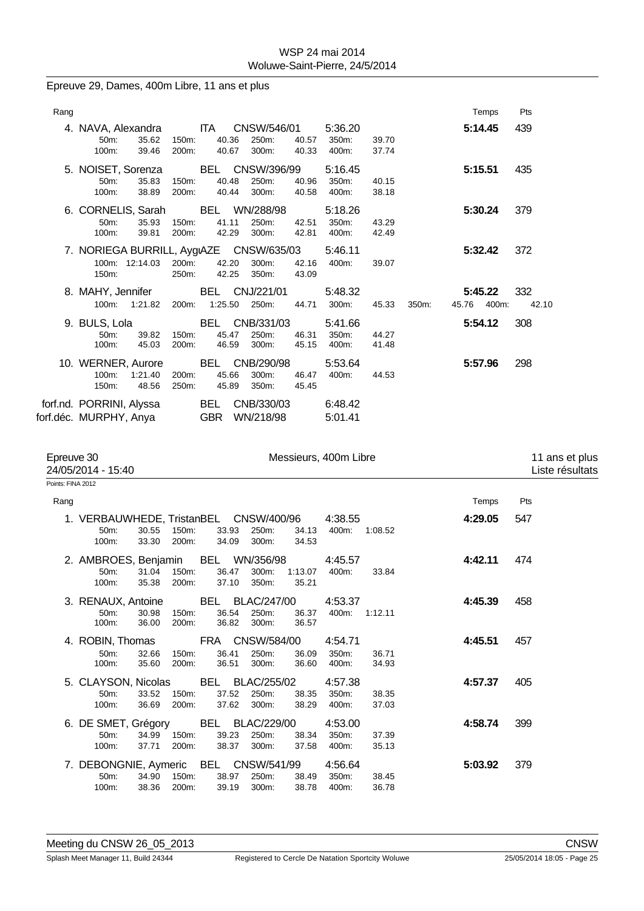Epreuve 29, Dames, 400m Libre, 11 ans et plus

| Points: FINA 2012 |                                                                    |                |                                  |                               |                |                           |                |       |                        |                                   |
|-------------------|--------------------------------------------------------------------|----------------|----------------------------------|-------------------------------|----------------|---------------------------|----------------|-------|------------------------|-----------------------------------|
| Epreuve 30        | 24/05/2014 - 15:40                                                 |                |                                  |                               |                | Messieurs, 400m Libre     |                |       |                        | 11 ans et plus<br>Liste résultats |
|                   | forf.nd. PORRINI, Alyssa<br>forf.déc. MURPHY, Anya                 |                | BEL<br><b>GBR</b>                | CNB/330/03<br>WN/218/98       |                | 6:48.42<br>5:01.41        |                |       |                        |                                   |
|                   | 10. WERNER, Aurore<br>1:21.40<br>100m:<br>48.56<br>150m:           | 200m:<br>250m: | BEL<br>45.66<br>45.89            | CNB/290/98<br>300m:<br>350m:  | 46.47<br>45.45 | 5:53.64<br>400m:          | 44.53          |       | 5:57.96                | 298                               |
|                   | 9. BULS, Lola<br>50m:<br>39.82<br>100m:<br>45.03                   | 150m:<br>200m: | BEL CNB/331/03<br>45.47<br>46.59 | 250m:<br>300m:                | 46.31<br>45.15 | 5:41.66<br>350m:<br>400m: | 44.27<br>41.48 |       | 5:54.12                | 308                               |
|                   | 8. MAHY, Jennifer<br>1:21.82<br>$100m$ :                           | 200m:          | BEL CNJ/221/01<br>1:25.50        | 250m:                         | 44.71          | 5:48.32<br>300m:          | 45.33          | 350m: | 5:45.22<br>45.76 400m: | 332<br>42.10                      |
|                   | 7. NORIEGA BURRILL, AygıAZE CNSW/635/03<br>100m: 12:14.03<br>150m: | 200m:<br>250m: | 42.20<br>42.25                   | 300m:<br>350m:                | 42.16<br>43.09 | 5:46.11<br>400m:          | 39.07          |       | 5:32.42                | 372                               |
|                   | 6. CORNELIS, Sarah<br>50m:<br>35.93<br>100m:<br>39.81              | 150m:<br>200m: | BEL WN/288/98<br>41.11<br>42.29  | 250m:<br>300m:                | 42.51<br>42.81 | 5:18.26<br>350m:<br>400m: | 43.29<br>42.49 |       | 5:30.24                | 379                               |
|                   | 5. NOISET, Sorenza<br>50m:<br>35.83<br>100m:<br>38.89              | 150m:<br>200m: | BEL<br>40.48<br>40.44            | CNSW/396/99<br>250m:<br>300m: | 40.96<br>40.58 | 5:16.45<br>350m:<br>400m: | 40.15<br>38.18 |       | 5:15.51                | 435                               |
| Rang              | 4. NAVA, Alexandra<br>50m:<br>35.62<br>100m:<br>39.46              | 150m:<br>200m: | <b>ITA</b><br>40.36<br>40.67     | CNSW/546/01<br>250m:<br>300m: | 40.57<br>40.33 | 5:36.20<br>350m:<br>400m: | 39.70<br>37.74 |       | Temps<br>5:14.45       | Pts<br>439                        |
|                   |                                                                    |                |                                  |                               |                |                           |                |       |                        |                                   |

| Rang                                                                                                                                                                                                      | Temps   | Pts |
|-----------------------------------------------------------------------------------------------------------------------------------------------------------------------------------------------------------|---------|-----|
| 1. VERBAUWHEDE, TristanBEL CNSW/400/96<br>4:38.55<br>50m:<br>30.55<br>150m:<br>33.93<br>250m:<br>400m:<br>34.13<br>1:08.52<br>33.30<br>200m:<br>34.09<br>300m:<br>34.53<br>$100m$ :                       | 4:29.05 | 547 |
| BEL WN/356/98<br>2. AMBROES, Benjamin<br>4:45.57<br>31.04<br>36.47<br>$50m$ :<br>150m:<br>300m:<br>1:13.07<br>400m:<br>33.84<br>35.38<br>200m:<br>37.10<br>350m:<br>$100m$ :<br>35.21                     | 4:42.11 | 474 |
| <b>BEL BLAC/247/00</b><br>4:53.37<br>3. RENAUX, Antoine<br>36.54<br>400m:<br>50m:<br>30.98<br>150m:<br>250m:<br>1:12.11<br>36.37<br>36.00<br>200m:<br>36.82<br>300m:<br>$100m$ :<br>36.57                 | 4:45.39 | 458 |
| FRA CNSW/584/00<br>4. ROBIN, Thomas<br>4:54.71<br>36.41<br>$50m$ :<br>32.66<br>150m:<br>250m:<br>36.09<br>350m:<br>36.71<br>35.60<br>200m:<br>300m:<br>$100m$ :<br>36.51<br>36.60<br>400m:<br>34.93       | 4:45.51 | 457 |
| 5. CLAYSON, Nicolas<br>BEL<br>BLAC/255/02<br>4:57.38<br>33.52<br>37.52<br>250m:<br>350m:<br>$50m$ :<br>150m:<br>38.35<br>38.35<br>200m:<br>$100m$ :<br>36.69<br>37.62<br>300m:<br>38.29<br>400m:<br>37.03 | 4:57.37 | 405 |
| BEL<br>4:53.00<br>6. DE SMET, Grégory<br>BLAC/229/00<br>34.99<br>39.23<br>$50m$ :<br>150m:<br>250m:<br>38.34<br>350m:<br>37.39<br>37.71<br>200m:<br>38.37<br>300m:<br>$100m$ :<br>37.58<br>400m:<br>35.13 | 4:58.74 | 399 |
| BEL CNSW/541/99<br>7. DEBONGNIE, Aymeric<br>4:56.64<br>34.90<br>150m:<br>38.97<br>250m:<br>350m:<br>$50m$ :<br>38.49<br>38.45<br>200m:<br>38.36<br>39.19<br>300m:<br>400m:<br>$100m$ :<br>38.78<br>36.78  | 5:03.92 | 379 |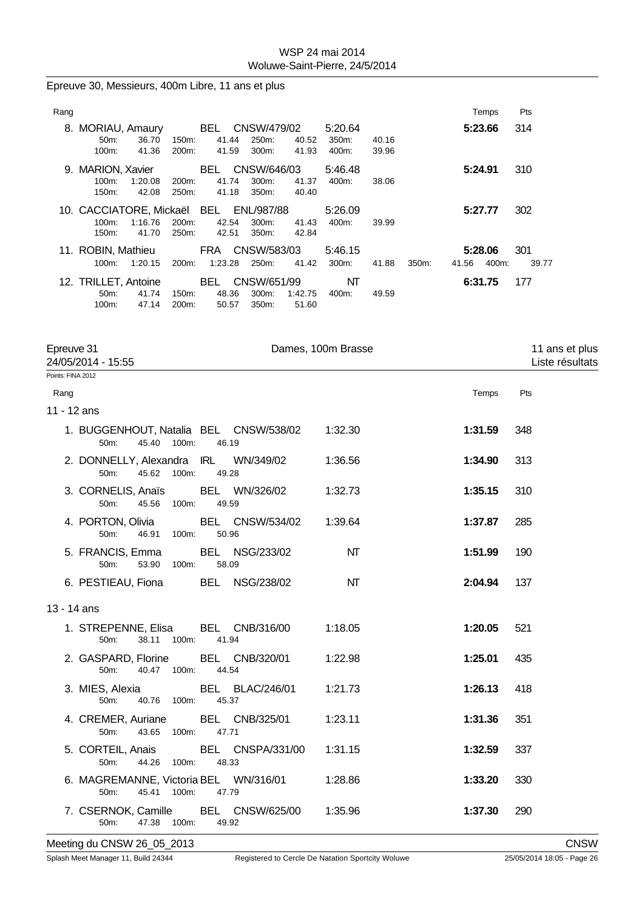| Rang |                         |         |                    |         |       |                 |         |          |       |       |       | Temps   | Pts   |
|------|-------------------------|---------|--------------------|---------|-------|-----------------|---------|----------|-------|-------|-------|---------|-------|
| 8.   | MORIAU, Amaury          |         |                    | BEL     |       | CNSW/479/02     |         | 5:20.64  |       |       |       | 5:23.66 | 314   |
|      | $50m$ :                 | 36.70   | 150m:              | 41.44   |       | 250m:           | 40.52   | 350m:    | 40.16 |       |       |         |       |
|      | $100m$ :                | 41.36   | 200 <sub>m</sub> : | 41.59   |       | 300m:           | 41.93   | 400m:    | 39.96 |       |       |         |       |
|      | 9. MARION, Xavier       |         |                    | BEL.    |       | CNSW/646/03     |         | 5:46.48  |       |       |       | 5:24.91 | 310   |
|      | $100m$ :                | 1:20.08 | 200 <sub>m</sub>   | 41.74   |       | 300m:           | 41.37   | 400m:    | 38.06 |       |       |         |       |
|      | 150m:                   | 42.08   | 250m:              |         | 41.18 | 350m:           | 40.40   |          |       |       |       |         |       |
|      | 10. CACCIATORE, Mickaël |         |                    | BEL     |       | ENL/987/88      |         | 5:26.09  |       |       |       | 5:27.77 | 302   |
|      | $100m$ :                | 1:16.76 | 200m:              | 42.54   |       | 300m:           | 41.43   | 400m:    | 39.99 |       |       |         |       |
|      | 150m:                   | 41.70   | 250m:              | 42.51   |       | 350m:           | 42.84   |          |       |       |       |         |       |
|      | 11. ROBIN, Mathieu      |         |                    |         |       | FRA CNSW/583/03 |         | 5:46.15  |       |       |       | 5:28.06 | 301   |
|      | $100m$ :                | 1:20.15 | 200 <sub>m</sub> : | 1:23.28 |       | 250m:           | 41.42   | $300m$ : | 41.88 | 350m: | 41.56 | 400m:   | 39.77 |
|      | 12. TRILLET, Antoine    |         |                    | BEL.    |       | CNSW/651/99     |         | NΤ       |       |       |       | 6:31.75 | 177   |
|      | $50m$ :                 | 41.74   | 150m:              | 48.36   |       | 300m:           | 1:42.75 | 400m:    | 49.59 |       |       |         |       |
|      | 100m:                   | 47.14   | 200 <sub>m</sub> : | 50.57   |       | 350m:           | 51.60   |          |       |       |       |         |       |

Epreuve 30, Messieurs, 400m Libre, 11 ans et plus

| Epreuve 31<br>24/05/2014 - 15:55                                                            | Dames, 100m Brasse |         | 11 ans et plus<br>Liste résultats |
|---------------------------------------------------------------------------------------------|--------------------|---------|-----------------------------------|
| Points: FINA 2012                                                                           |                    |         |                                   |
| Rang                                                                                        |                    | Temps   | Pts                               |
| 11 - 12 ans                                                                                 |                    |         |                                   |
| 1. BUGGENHOUT, Natalia BEL CNSW/538/02 1:32.30<br>45.40 100m:<br>46.19<br>50 <sub>m</sub> : |                    | 1:31.59 | 348                               |
| 2. DONNELLY, Alexandra IRL WN/349/02<br>50 <sub>m</sub> :<br>45.62<br>100m:<br>49.28        | 1:36.56            | 1:34.90 | 313                               |
| 3. CORNELIS, Anaïs BEL WN/326/02<br>50m:<br>45.56 100m:<br>49.59                            | 1:32.73            | 1:35.15 | 310                               |
| 4. PORTON, Olivia BEL CNSW/534/02<br>50m:<br>46.91 100m:<br>50.96                           | 1:39.64            | 1:37.87 | 285                               |
| <b>BEL NSG/233/02</b><br>5. FRANCIS, Emma<br>50m:<br>53.90<br>100m:<br>58.09                | NT                 | 1:51.99 | 190                               |
| BEL NSG/238/02<br>6. PESTIEAU, Fiona                                                        | NT                 | 2:04.94 | 137                               |
| 13 - 14 ans                                                                                 |                    |         |                                   |
| 1. STREPENNE, Elisa BEL CNB/316/00<br>38.11 100m:<br>50m:<br>41.94                          | 1:18.05            | 1:20.05 | 521                               |
| 2. GASPARD, Florine BEL CNB/320/01<br>50 <sub>m</sub> :<br>40.47 100m:<br>44.54             | 1:22.98            | 1:25.01 | 435                               |
| <b>BEL BLAC/246/01</b><br>3. MIES, Alexia<br>50m:<br>40.76 100m:<br>45.37                   | 1:21.73            | 1:26.13 | 418                               |
| 4. CREMER, Auriane BEL CNB/325/01<br>50m:<br>43.65 100m:<br>47.71                           | 1:23.11            | 1:31.36 | 351                               |
| BEL CNSPA/331/00<br>5. CORTEIL, Anais<br>50m:<br>44.26 100m:<br>48.33                       | 1:31.15            | 1:32.59 | 337                               |
| 6. MAGREMANNE, Victoria BEL WN/316/01<br>45.41 100m:<br>50m:<br>47.79                       | 1:28.86            | 1:33.20 | 330                               |
| 7. CSERNOK, Camille BEL CNSW/625/00<br>50 <sub>m</sub> :<br>47.38 100m:<br>49.92            | 1:35.96            | 1:37.30 | 290                               |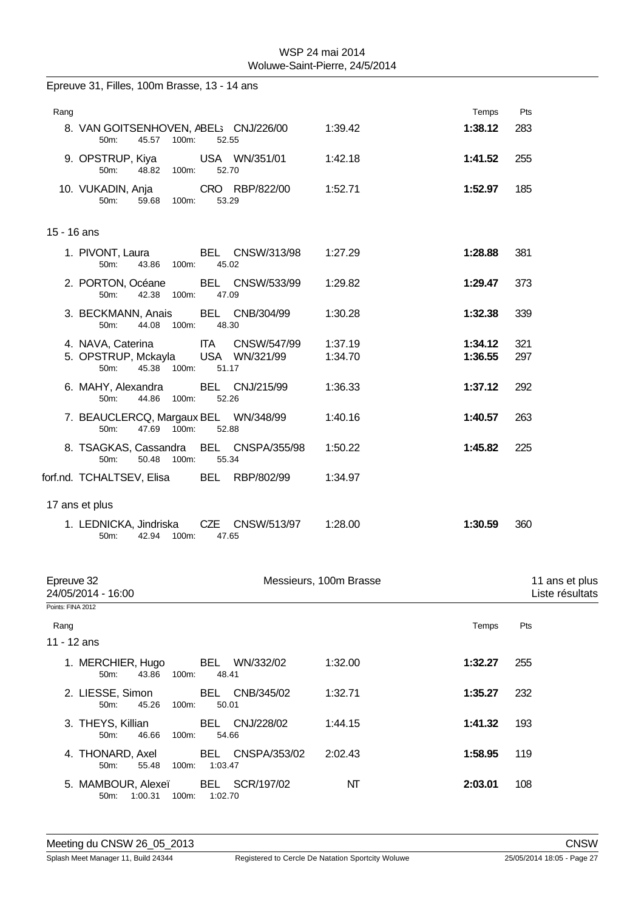|                     | Epreuve 31, Filles, 100m Brasse, 13 - 14 ans                                                        |       |                |                        |                        |                    |                                   |
|---------------------|-----------------------------------------------------------------------------------------------------|-------|----------------|------------------------|------------------------|--------------------|-----------------------------------|
| Rang                |                                                                                                     |       |                |                        |                        | Temps              | Pts                               |
|                     | 8. VAN GOITSENHOVEN, ABEL; CNJ/226/00<br>45.57 100m:<br>50m:                                        |       | 52.55          |                        | 1:39.42                | 1:38.12            | 283                               |
|                     | 9. OPSTRUP, Kiya USA WN/351/01<br>48.82 100m:<br>50m:                                               |       | 52.70          |                        | 1:42.18                | 1:41.52            | 255                               |
|                     | 10. VUKADIN, Anja<br>50m:<br>59.68 100m:                                                            |       | 53.29          | CRO RBP/822/00         | 1:52.71                | 1:52.97            | 185                               |
| 15 - 16 ans         |                                                                                                     |       |                |                        |                        |                    |                                   |
|                     | 1. PIVONT, Laura BEL CNSW/313/98<br>50m:<br>43.86 100m:                                             |       | 45.02          |                        | 1:27.29                | 1:28.88            | 381                               |
|                     | 2. PORTON, Océane<br>42.38 100m:<br>50m:                                                            |       | 47.09          | <b>BEL CNSW/533/99</b> | 1:29.82                | 1:29.47            | 373                               |
|                     | 3. BECKMANN, Anais<br>44.08 100m:<br>50m:                                                           |       | 48.30          | BEL CNB/304/99         | 1:30.28                | 1:32.38            | 339                               |
|                     | 4. NAVA, Caterina ITA CNSW/547/99<br>5. OPSTRUP, Mckayla USA WN/321/99<br>45.38 100m: 51.17<br>50m: |       |                |                        | 1:37.19<br>1:34.70     | 1:34.12<br>1:36.55 | 321<br>297                        |
|                     | 6. MAHY, Alexandra BEL CNJ/215/99<br>44.86 100m:<br>50m:                                            |       | 52.26          |                        | 1:36.33                | 1:37.12            | 292                               |
|                     | 7. BEAUCLERCQ, Margaux BEL WN/348/99<br>47.69 100m:<br>50m:                                         |       | 52.88          |                        | 1:40.16                | 1:40.57            | 263                               |
|                     | 8. TSAGKAS, Cassandra BEL CNSPA/355/98<br>50.48 100m:<br>50m:                                       |       | 55.34          |                        | 1:50.22                | 1:45.82            | 225                               |
|                     | forf.nd. TCHALTSEV, Elisa BEL RBP/802/99                                                            |       |                |                        | 1:34.97                |                    |                                   |
|                     | 17 ans et plus                                                                                      |       |                |                        |                        |                    |                                   |
|                     | 1. LEDNICKA, Jindriska CZE CNSW/513/97<br>42.94 100m:<br>50m:                                       |       | 47.65          |                        | 1:28.00                | 1:30.59            | 360                               |
| Epreuve 32          | 24/05/2014 - 16:00                                                                                  |       |                |                        | Messieurs, 100m Brasse |                    | 11 ans et plus<br>Liste résultats |
| Points: FINA 2012   |                                                                                                     |       |                |                        |                        |                    |                                   |
| Rang<br>11 - 12 ans |                                                                                                     |       |                |                        |                        | Temps              | Pts                               |
|                     | 1. MERCHIER, Hugo<br>50m:<br>43.86 100m:                                                            |       | 48.41          | BEL WN/332/02          | 1:32.00                | 1:32.27            | 255                               |
|                     | 2. LIESSE, Simon<br>50m:<br>45.26                                                                   | 100m: | 50.01          | BEL CNB/345/02         | 1:32.71                | 1:35.27            | 232                               |
|                     | 3. THEYS, Killian<br>50m:<br>46.66                                                                  | 100m: | BEL<br>54.66   | CNJ/228/02             | 1:44.15                | 1:41.32            | 193                               |
|                     | 4. THONARD, Axel<br>50m:<br>55.48                                                                   | 100m: | BEL<br>1:03.47 | CNSPA/353/02           | 2:02.43                | 1:58.95            | 119                               |
|                     | 5. MAMBOUR, Alexeï<br>50m:<br>1:00.31                                                               | 100m: | 1:02.70        | BEL SCR/197/02         | NΤ                     | 2:03.01            | 108                               |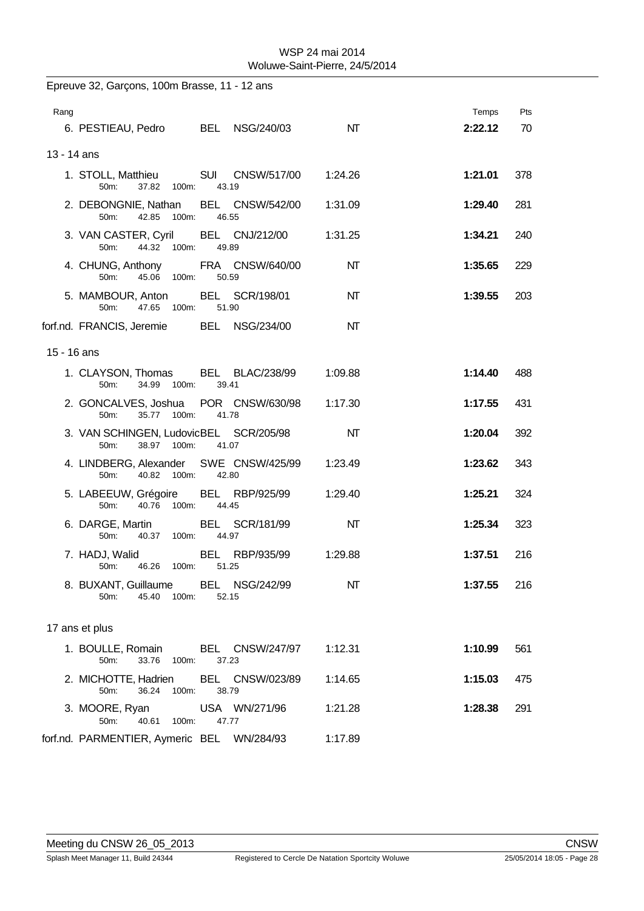|             | Epreuve 32, Garçons, 100m Brasse, 11 - 12 ans                          |                            |         |         |     |
|-------------|------------------------------------------------------------------------|----------------------------|---------|---------|-----|
| Rang        |                                                                        |                            |         | Temps   | Pts |
|             | 6. PESTIEAU, Pedro BEL NSG/240/03                                      |                            | NT      | 2:22.12 | 70  |
| 13 - 14 ans |                                                                        |                            |         |         |     |
|             | 1. STOLL, Matthieu SUI CNSW/517/00<br>50m:<br>37.82<br>100m:           | 43.19                      | 1:24.26 | 1:21.01 | 378 |
|             | 2. DEBONGNIE, Nathan<br>42.85 100m:<br>50m:                            | BEL CNSW/542/00<br>46.55   | 1:31.09 | 1:29.40 | 281 |
|             | 3. VAN CASTER, Cyril BEL CNJ/212/00 1:31.25<br>44.32<br>50m:<br>100m:  | 49.89                      |         | 1:34.21 | 240 |
|             | 4. CHUNG, Anthony FRA CNSW/640/00<br>45.06<br>50m:<br>100m:            | 50.59                      | NΤ      | 1:35.65 | 229 |
|             | 5. MAMBOUR, Anton<br>47.65 100m:<br>50 <sub>m</sub> :                  | BEL SCR/198/01<br>51.90    | NT      | 1:39.55 | 203 |
|             | forf.nd. FRANCIS, Jeremie BEL NSG/234/00                               |                            | NΤ      |         |     |
| 15 - 16 ans |                                                                        |                            |         |         |     |
|             | 1. CLAYSON, Thomas<br>34.99<br>100m:<br>50m:                           | BEL BLAC/238/99<br>39.41   | 1:09.88 | 1:14.40 | 488 |
|             | 2. GONCALVES, Joshua POR CNSW/630/98 1:17.30<br>35.77<br>100m:<br>50m: | 41.78                      |         | 1:17.55 | 431 |
|             | 3. VAN SCHINGEN, LudovicBEL SCR/205/98<br>50m:<br>38.97<br>100m:       | 41.07                      | NΤ      | 1:20.04 | 392 |
|             | 4. LINDBERG, Alexander SWE CNSW/425/99<br>40.82<br>50m:<br>100m:       | 42.80                      | 1:23.49 | 1:23.62 | 343 |
|             | 5. LABEEUW, Grégoire BEL RBP/925/99<br>40.76<br>100m:<br>50m:          | 44.45                      | 1:29.40 | 1:25.21 | 324 |
|             | 6. DARGE, Martin<br>50 <sub>m</sub> :<br>40.37<br>100m:                | BEL SCR/181/99<br>44.97    | NΤ      | 1:25.34 | 323 |
|             | 7. HADJ, Walid<br>46.26<br>100m:<br>50m:                               | BEL<br>RBP/935/99<br>51.25 | 1:29.88 | 1:37.51 | 216 |
|             | 8. BUXANT, Guillaume BEL NSG/242/99<br>45.40 100m:<br>50m:             | 52.15                      | NT      | 1:37.55 | 216 |
|             | 17 ans et plus                                                         |                            |         |         |     |
|             | 1. BOULLE, Romain BEL CNSW/247/97<br>50m:<br>33.76<br>100m:            | 37.23                      | 1:12.31 | 1:10.99 | 561 |
|             | 2. MICHOTTE, Hadrien<br>36.24 100m:<br>50m:                            | BEL CNSW/023/89<br>38.79   | 1:14.65 | 1:15.03 | 475 |
|             | 3. MOORE, Ryan USA WN/271/96<br>50m:<br>40.61<br>100m:                 | 47.77                      | 1:21.28 | 1:28.38 | 291 |
|             | forf.nd. PARMENTIER, Aymeric BEL WN/284/93                             |                            | 1:17.89 |         |     |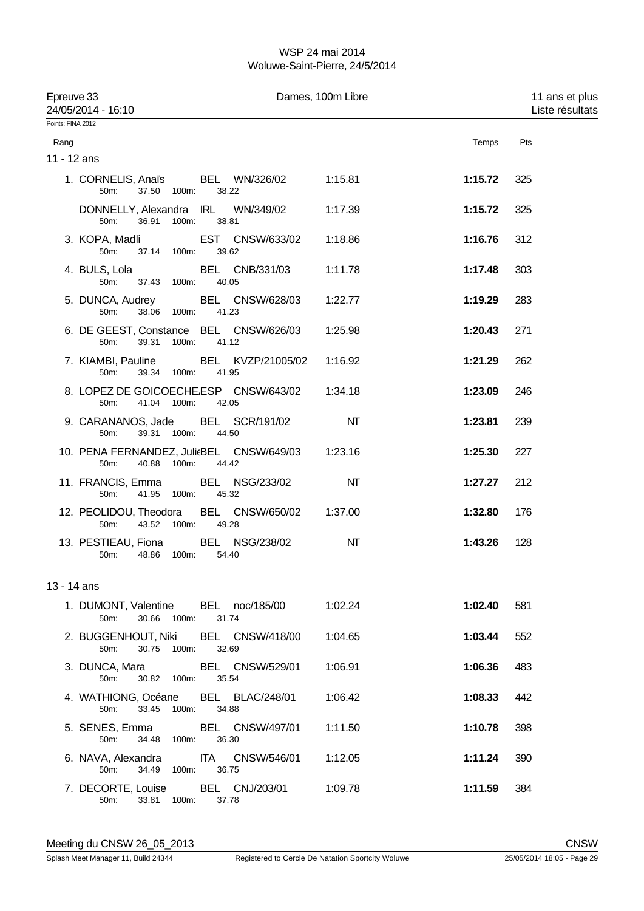| Epreuve 33<br>Points: FINA 2012 | 24/05/2014 - 16:10                                                    |                                                     | Dames, 100m Libre |         | 11 ans et plus<br>Liste résultats |
|---------------------------------|-----------------------------------------------------------------------|-----------------------------------------------------|-------------------|---------|-----------------------------------|
| Rang                            |                                                                       |                                                     |                   | Temps   | Pts                               |
| 11 - 12 ans                     |                                                                       |                                                     |                   |         |                                   |
|                                 | 1. CORNELIS, Anaïs BEL WN/326/02<br>37.50 100m:<br>50m:               | 38.22                                               | 1:15.81           | 1:15.72 | 325                               |
|                                 | 36.91<br>50m:                                                         | DONNELLY, Alexandra IRL WN/349/02<br>100m:<br>38.81 | 1:17.39           | 1:15.72 | 325                               |
|                                 | 3. KOPA, Madli<br>50m:<br>37.14 100m:                                 | <b>EST CNSW/633/02</b><br>39.62                     | 1:18.86           | 1:16.76 | 312                               |
|                                 | 4. BULS, Lola<br>50m:<br>37.43 100m:                                  | BEL CNB/331/03<br>40.05                             | 1:11.78           | 1:17.48 | 303                               |
|                                 | 5. DUNCA, Audrey BEL CNSW/628/03<br>50m:<br>38.06 100m:               | 41.23                                               | 1:22.77           | 1:19.29 | 283                               |
|                                 | 6. DE GEEST, Constance BEL CNSW/626/03<br>50m:<br>39.31 100m:         | 41.12                                               | 1:25.98           | 1:20.43 | 271                               |
|                                 | 7. KIAMBI, Pauline BEL KVZP/21005/02<br>50m:<br>39.34 100m:           | 41.95                                               | 1:16.92           | 1:21.29 | 262                               |
|                                 | 8. LOPEZ DE GOICOECHE.ESP CNSW/643/02<br>41.04 100m:<br>50m:          | 42.05                                               | 1:34.18           | 1:23.09 | 246                               |
|                                 | 9. CARANANOS, Jade BEL SCR/191/02<br>50m:<br>39.31 100m:              | 44.50                                               | NΤ                | 1:23.81 | 239                               |
|                                 | 10. PENA FERNANDEZ, JulieBEL CNSW/649/03<br>40.88 100m:<br>50m:       | 44.42                                               | 1:23.16           | 1:25.30 | 227                               |
|                                 | 11. FRANCIS, Emma BEL NSG/233/02<br>50m:<br>41.95 100m:               | 45.32                                               | NΤ                | 1:27.27 | 212                               |
|                                 | 12. PEOLIDOU, Theodora BEL CNSW/650/02 1:37.00<br>43.52 100m:<br>50m: | 49.28                                               |                   | 1:32.80 | 176                               |
|                                 | 13. PESTIEAU, Fiona BEL NSG/238/02<br>50m:<br>48.86                   | 100m:<br>54.40                                      | NT                | 1:43.26 | 128                               |
| 13 - 14 ans                     |                                                                       |                                                     |                   |         |                                   |
|                                 | 1. DUMONT, Valentine BEL noc/185/00<br>30.66 100m:<br>50m:            | 31.74                                               | 1:02.24           | 1:02.40 | 581                               |
|                                 | 2. BUGGENHOUT, Niki BEL CNSW/418/00<br>30.75 100m:<br>50m:            | 32.69                                               | 1:04.65           | 1:03.44 | 552                               |
|                                 | 3. DUNCA, Mara BEL CNSW/529/01<br>50m:<br>30.82 100m:                 | 35.54                                               | 1:06.91           | 1:06.36 | 483                               |
|                                 | 4. WATHIONG, Océane BEL BLAC/248/01<br>33.45 100m:<br>50m:            | 34.88                                               | 1:06.42           | 1:08.33 | 442                               |
|                                 | 5. SENES, Emma BEL CNSW/497/01<br>50m:<br>34.48 100m:                 | 36.30                                               | 1:11.50           | 1:10.78 | 398                               |
|                                 | 6. NAVA, Alexandra ITA CNSW/546/01<br>50m: 34.49 100m:                | 36.75                                               | 1:12.05           | 1:11.24 | 390                               |
|                                 | 7. DECORTE, Louise BEL CNJ/203/01<br>50m:<br>33.81 100m:              | 37.78                                               | 1:09.78           | 1:11.59 | 384                               |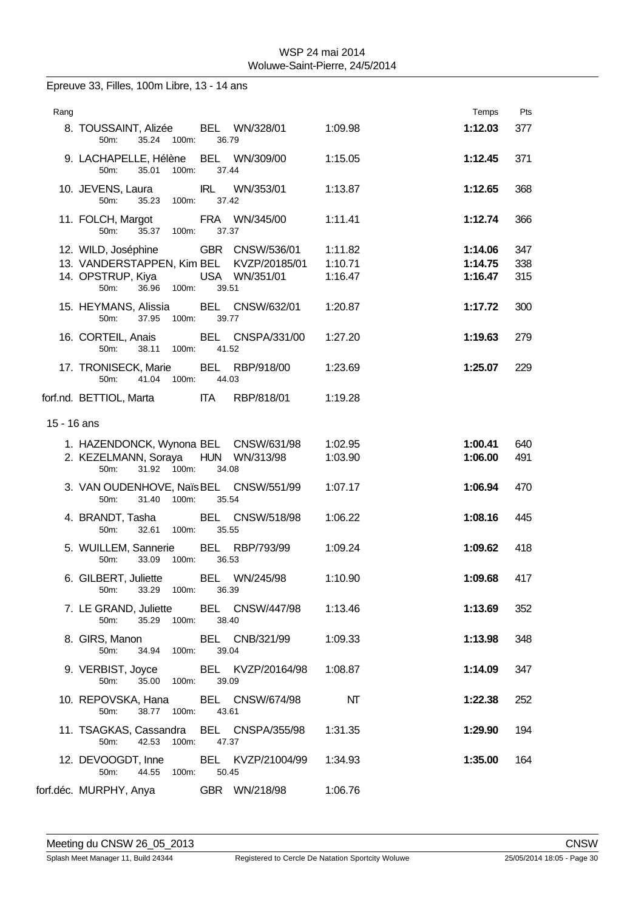Epreuve 33, Filles, 100m Libre, 13 - 14 ans

| Rang        |                                                                      |                        |         | Temps   | Pts |
|-------------|----------------------------------------------------------------------|------------------------|---------|---------|-----|
|             | 8. TOUSSAINT, Alizée BEL WN/328/01<br>35.24 100m:<br>50m:            | 36.79                  | 1:09.98 | 1:12.03 | 377 |
|             | 9. LACHAPELLE, Hélène BEL WN/309/00<br>35.01<br>100m:<br>50m:        | 37.44                  | 1:15.05 | 1:12.45 | 371 |
|             | 10. JEVENS, Laura<br>50m:<br>35.23<br>100m:                          | IRL WN/353/01<br>37.42 | 1:13.87 | 1:12.65 | 368 |
|             | 11. FOLCH, Margot FRA WN/345/00<br>35.37 100m:<br>50m:               | 37.37                  | 1:11.41 | 1:12.74 | 366 |
|             | 12. WILD, Joséphine GBR CNSW/536/01                                  |                        | 1:11.82 | 1:14.06 | 347 |
|             | 13. VANDERSTAPPEN, Kim BEL KVZP/20185/01                             |                        | 1:10.71 | 1:14.75 | 338 |
|             | 14. OPSTRUP, Kiya USA WN/351/01<br>50 <sub>m</sub> :<br>36.96 100m:  | 39.51                  | 1:16.47 | 1:16.47 | 315 |
|             | 15. HEYMANS, Alissia BEL CNSW/632/01<br>50m:<br>37.95 100m:          | 39.77                  | 1:20.87 | 1:17.72 | 300 |
|             | 16. CORTEIL, Anais BEL CNSPA/331/00<br>38.11 100m: 41.52<br>50m:     |                        | 1:27.20 | 1:19.63 | 279 |
|             | 17. TRONISECK, Marie BEL RBP/918/00<br>41.04<br>$50m$ :<br>100m:     | 44.03                  | 1:23.69 | 1:25.07 | 229 |
|             | forf.nd. BETTIOL, Marta                                              | <b>ITA RBP/818/01</b>  | 1:19.28 |         |     |
| 15 - 16 ans |                                                                      |                        |         |         |     |
|             | 1. HAZENDONCK, Wynona BEL CNSW/631/98                                |                        | 1:02.95 | 1:00.41 | 640 |
|             | 2. KEZELMANN, Soraya HUN WN/313/98<br>31.92 100m:<br>50m:            | 34.08                  | 1:03.90 | 1:06.00 | 491 |
|             | 3. VAN OUDENHOVE, Naïs BEL CNSW/551/99<br>50m:<br>31.40 100m: 35.54  |                        | 1:07.17 | 1:06.94 | 470 |
|             | 4. BRANDT, Tasha BEL CNSW/518/98<br>50m:<br>32.61 100m:              | 35.55                  | 1:06.22 | 1:08.16 | 445 |
|             | 5. WUILLEM, Sannerie BEL RBP/793/99<br>100m:<br>50m:<br>33.09        | 36.53                  | 1:09.24 | 1:09.62 | 418 |
|             | 6. GILBERT, Juliette BEL WN/245/98<br>50m: 33.29 100m: 36.39         |                        | 1:10.90 | 1:09.68 | 417 |
|             | 7. LE GRAND, Juliette BEL CNSW/447/98 1:13.46<br>35.29 100m:<br>50m: | 38.40                  |         | 1:13.69 | 352 |
|             | 8. GIRS, Manon BEL CNB/321/99 1:09.33<br>50m:<br>34.94 100m:         | 39.04                  |         | 1:13.98 | 348 |
|             | 9. VERBIST, Joyce BEL KVZP/20164/98<br>35.00 100m:<br>50m:           | 39.09                  | 1:08.87 | 1:14.09 | 347 |
|             | 10. REPOVSKA, Hana BEL CNSW/674/98<br>50m:<br>38.77 100m:            | 43.61                  | NΤ      | 1:22.38 | 252 |
|             | 11. TSAGKAS, Cassandra BEL CNSPA/355/98<br>50m:<br>42.53<br>100m:    | 47.37                  | 1:31.35 | 1:29.90 | 194 |
|             | 12. DEVOOGDT, Inne BEL KVZP/21004/99<br>50m:<br>44.55 100m:          | 50.45                  | 1:34.93 | 1:35.00 | 164 |
|             | forf.déc. MURPHY, Anya GBR WN/218/98                                 |                        | 1:06.76 |         |     |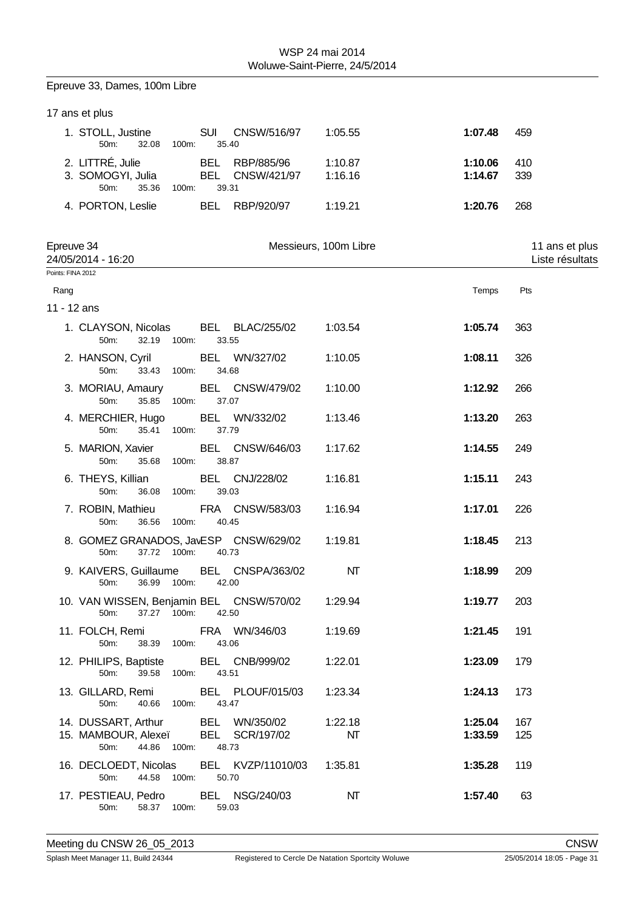Epreuve 33, Dames, 100m Libre

|                   | 17 ans et plus                                                          |       |                     |                           |                        |                    |                                   |
|-------------------|-------------------------------------------------------------------------|-------|---------------------|---------------------------|------------------------|--------------------|-----------------------------------|
|                   | 1. STOLL, Justine<br>50m:<br>32.08                                      | 100m: | <b>SUI</b><br>35.40 | CNSW/516/97               | 1:05.55                | 1:07.48            | 459                               |
|                   | 2. LITTRÉ, Julie<br>3. SOMOGYI, Julia<br>50m:<br>35.36                  | 100m: | BEL<br>BEL<br>39.31 | RBP/885/96<br>CNSW/421/97 | 1:10.87<br>1:16.16     | 1:10.06<br>1:14.67 | 410<br>339                        |
|                   | 4. PORTON, Leslie                                                       |       |                     | BEL RBP/920/97            | 1:19.21                | 1:20.76            | 268                               |
| Epreuve 34        | 24/05/2014 - 16:20                                                      |       |                     |                           | Messieurs, 100m Libre  |                    | 11 ans et plus<br>Liste résultats |
| Points: FINA 2012 |                                                                         |       |                     |                           |                        |                    |                                   |
| Rang              |                                                                         |       |                     |                           |                        | Temps              | Pts                               |
| 11 - 12 ans       |                                                                         |       |                     |                           |                        |                    |                                   |
|                   | 1. CLAYSON, Nicolas<br>32.19 100m:<br>50m:                              |       | 33.55               | BEL BLAC/255/02           | 1:03.54                | 1:05.74            | 363                               |
|                   | 2. HANSON, Cyril<br>50m:<br>33.43                                       | 100m: | 34.68               | BEL WN/327/02             | 1:10.05                | 1:08.11            | 326                               |
|                   | 3. MORIAU, Amaury<br>50m:<br>35.85                                      | 100m: | 37.07               | BEL CNSW/479/02           | 1:10.00                | 1:12.92            | 266                               |
|                   | 4. MERCHIER, Hugo<br>50m:<br>35.41 100m:                                |       | 37.79               | BEL WN/332/02             | 1:13.46                | 1:13.20            | 263                               |
|                   | 5. MARION, Xavier<br>50m:<br>35.68                                      | 100m: | 38.87               | BEL CNSW/646/03           | 1:17.62                | 1:14.55            | 249                               |
|                   | 6. THEYS, Killian<br>50m:<br>36.08                                      | 100m: | 39.03               | BEL CNJ/228/02            | 1:16.81                | 1:15.11            | 243                               |
|                   | 7. ROBIN, Mathieu<br>50m:<br>36.56                                      | 100m: | 40.45               | FRA CNSW/583/03           | 1:16.94                | 1:17.01            | 226                               |
|                   | 8. GOMEZ GRANADOS, JavESP CNSW/629/02<br>37.72 100m:<br>50m:            |       | 40.73               |                           | 1:19.81                | 1:18.45            | 213                               |
|                   | 9. KAIVERS, Guillaume<br>36.99 100m: 42.00<br>50m:                      |       |                     | BEL CNSPA/363/02          | NT                     | 1:18.99            | 209                               |
|                   | 10. VAN WISSEN, Benjamin BEL CNSW/570/02 1:29.94<br>37.27 100m:<br>50m: |       | 42.50               |                           |                        | 1:19.77            | 203                               |
|                   | 11. FOLCH, Remi<br>50m:<br>38.39 100m:                                  |       | 43.06               | FRA WN/346/03             | 1:19.69                | 1:21.45            | 191                               |
|                   | 12. PHILIPS, Baptiste BEL CNB/999/02<br>50m:<br>39.58 100m:             |       | 43.51               |                           | 1:22.01                | 1:23.09            | 179                               |
|                   | 13. GILLARD, Remi BEL PLOUF/015/03<br>50m:<br>40.66 100m:               |       | 43.47               |                           | 1:23.34                | 1:24.13            | 173                               |
|                   | 14. DUSSART, Arthur BEL WN/350/02                                       |       |                     |                           | 1:22.18                | 1:25.04            | 167                               |
|                   | 15. MAMBOUR, Alexeï BEL SCR/197/02<br>44.86 100m:<br>50m:               |       | 48.73               |                           | $\mathsf{M}\mathsf{T}$ | 1:33.59            | 125                               |
|                   | 16. DECLOEDT, Nicolas BEL KVZP/11010/03<br>44.58 100m:<br>50m:          |       | 50.70               |                           | 1:35.81                | 1:35.28            | 119                               |
|                   | 17. PESTIEAU, Pedro BEL NSG/240/03<br>50m:<br>58.37 100m:               |       | 59.03               |                           | NΤ                     | 1:57.40            | 63                                |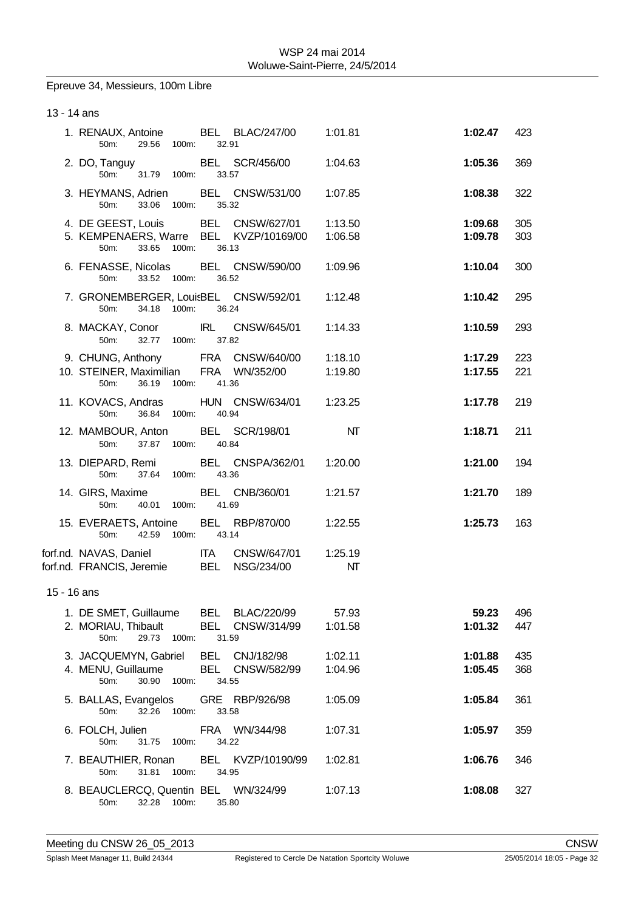Epreuve 34, Messieurs, 100m Libre

| 13 - 14 ans |                                                                                   |                                                                                            |                         |                        |            |  |  |  |
|-------------|-----------------------------------------------------------------------------------|--------------------------------------------------------------------------------------------|-------------------------|------------------------|------------|--|--|--|
|             | 50m: 29.56 100m: 32.91                                                            | 1. RENAUX, Antoine BEL BLAC/247/00 1:01.81                                                 |                         | 1:02.47 423            |            |  |  |  |
|             | 50m: 31.79 100m: 33.57                                                            | 2. DO, Tanguy BEL SCR/456/00 1:04.63                                                       |                         | 1:05.36                | 369        |  |  |  |
|             | 50m: 33.06 100m: 35.32                                                            | 3. HEYMANS, Adrien BEL CNSW/531/00 1:07.85                                                 |                         | 1:08.38                | 322        |  |  |  |
|             | 5. KEMPENAERS, Warre BEL KVZP/10169/00<br>33.65 100m: 36.13<br>50m:               | 4. DE GEEST, Louis BEL CNSW/627/01 1:13.50                                                 | 1:06.58                 | 1:09.68<br>1:09.78     | 305<br>303 |  |  |  |
|             | 50m: 33.52 100m:                                                                  | 6. FENASSE, Nicolas BEL CNSW/590/00 1:09.96<br>36.52                                       |                         | 1:10.04                | 300        |  |  |  |
|             | 50m: 34.18 100m: 36.24                                                            | 7. GRONEMBERGER, LouisBEL CNSW/592/01 1:12.48                                              |                         | 1:10.42                | 295        |  |  |  |
|             | 50m: 32.77 100m: 37.82                                                            | 8. MACKAY, Conor IRL CNSW/645/01 1:14.33                                                   |                         | 1:10.59                | 293        |  |  |  |
|             |                                                                                   | 9. CHUNG, Anthony FRA CNSW/640/00 1:18.10<br>10. STEINER, Maximilian FRA WN/352/00 1:19.80 |                         | 1:17.29 223<br>1:17.55 | 221        |  |  |  |
|             | 50m: 36.19 100m: 41.36                                                            |                                                                                            |                         |                        |            |  |  |  |
|             | 50m: 36.84 100m: 40.94                                                            | 11. KOVACS, Andras HUN CNSW/634/01 1:23.25                                                 |                         | 1:17.78 219            |            |  |  |  |
|             | 12. MAMBOUR, Anton BEL SCR/198/01<br>50m: 37.87 100m:                             | 40.84                                                                                      | $\overline{\mathsf{M}}$ | 1:18.71                | 211        |  |  |  |
|             | 50m: 37.64 100m: 43.36                                                            | 13. DIEPARD, Remi BEL CNSPA/362/01 1:20.00                                                 |                         | 1:21.00                | 194        |  |  |  |
|             | 14. GIRS, Maxime BEL CNB/360/01<br>50m: 40.01 100m: 41.69                         |                                                                                            | 1:21.57                 | 1:21.70                | 189        |  |  |  |
|             | 50m: 42.59 100m: 43.14                                                            | 15. EVERAETS, Antoine BEL RBP/870/00 1:22.55                                               |                         | 1:25.73                | 163        |  |  |  |
|             | forf.nd. FRANCIS, Jeremie BEL NSG/234/00                                          | forf.nd. NAVAS, Daniel TTA CNSW/647/01 1:25.19                                             | NT                      |                        |            |  |  |  |
| 15 - 16 ans |                                                                                   |                                                                                            |                         |                        |            |  |  |  |
|             | 1. DE SMET, Guillaume<br>2. MORIAU, Thibault<br>50m:<br>29.73 100m:               | <b>BEL BLAC/220/99</b><br>BEL CNSW/314/99<br>31.59                                         | 57.93<br>1:01.58        | 59.23<br>1:01.32       | 496<br>447 |  |  |  |
|             | 3. JACQUEMYN, Gabriel BEL CNJ/182/98<br>4. MENU, Guillaume<br>50m:<br>30.90 100m: | BEL CNSW/582/99<br>34.55                                                                   | 1:02.11<br>1:04.96      | 1:01.88<br>1:05.45     | 435<br>368 |  |  |  |
|             | 5. BALLAS, Evangelos<br>50m:<br>32.26<br>100m:                                    | GRE RBP/926/98<br>33.58                                                                    | 1:05.09                 | 1:05.84                | 361        |  |  |  |
|             | 6. FOLCH, Julien<br>50m:<br>31.75<br>100m:                                        | FRA WN/344/98<br>34.22                                                                     | 1:07.31                 | 1:05.97                | 359        |  |  |  |
|             | 7. BEAUTHIER, Ronan<br>50m:<br>31.81<br>100m:                                     | BEL KVZP/10190/99<br>34.95                                                                 | 1:02.81                 | 1:06.76                | 346        |  |  |  |
|             | 8. BEAUCLERCQ, Quentin BEL WN/324/99<br>50m:<br>32.28<br>100m:                    | 35.80                                                                                      | 1:07.13                 | 1:08.08                | 327        |  |  |  |